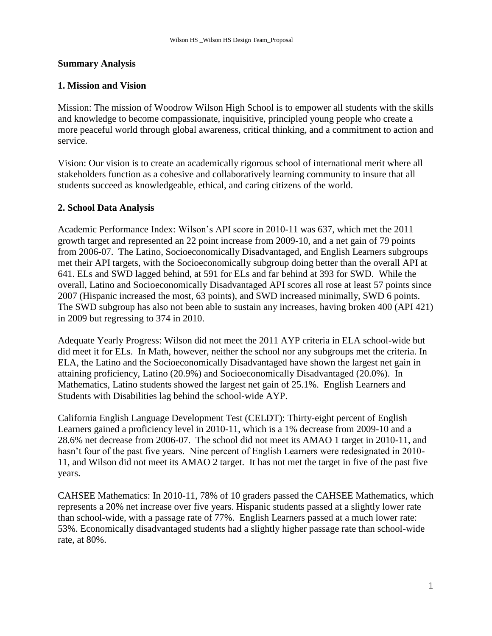### **Summary Analysis**

### **1. Mission and Vision**

Mission: The mission of Woodrow Wilson High School is to empower all students with the skills and knowledge to become compassionate, inquisitive, principled young people who create a more peaceful world through global awareness, critical thinking, and a commitment to action and service.

Vision: Our vision is to create an academically rigorous school of international merit where all stakeholders function as a cohesive and collaboratively learning community to insure that all students succeed as knowledgeable, ethical, and caring citizens of the world.

### **2. School Data Analysis**

Academic Performance Index: Wilson's API score in 2010-11 was 637, which met the 2011 growth target and represented an 22 point increase from 2009-10, and a net gain of 79 points from 2006-07. The Latino, Socioeconomically Disadvantaged, and English Learners subgroups met their API targets, with the Socioeconomically subgroup doing better than the overall API at 641. ELs and SWD lagged behind, at 591 for ELs and far behind at 393 for SWD. While the overall, Latino and Socioeconomically Disadvantaged API scores all rose at least 57 points since 2007 (Hispanic increased the most, 63 points), and SWD increased minimally, SWD 6 points. The SWD subgroup has also not been able to sustain any increases, having broken 400 (API 421) in 2009 but regressing to 374 in 2010.

Adequate Yearly Progress: Wilson did not meet the 2011 AYP criteria in ELA school-wide but did meet it for ELs. In Math, however, neither the school nor any subgroups met the criteria. In ELA, the Latino and the Socioeconomically Disadvantaged have shown the largest net gain in attaining proficiency, Latino (20.9%) and Socioeconomically Disadvantaged (20.0%). In Mathematics, Latino students showed the largest net gain of 25.1%. English Learners and Students with Disabilities lag behind the school-wide AYP.

California English Language Development Test (CELDT): Thirty-eight percent of English Learners gained a proficiency level in 2010-11, which is a 1% decrease from 2009-10 and a 28.6% net decrease from 2006-07. The school did not meet its AMAO 1 target in 2010-11, and hasn't four of the past five years. Nine percent of English Learners were redesignated in 2010- 11, and Wilson did not meet its AMAO 2 target. It has not met the target in five of the past five years.

CAHSEE Mathematics: In 2010-11, 78% of 10 graders passed the CAHSEE Mathematics, which represents a 20% net increase over five years. Hispanic students passed at a slightly lower rate than school-wide, with a passage rate of 77%. English Learners passed at a much lower rate: 53%. Economically disadvantaged students had a slightly higher passage rate than school-wide rate, at 80%.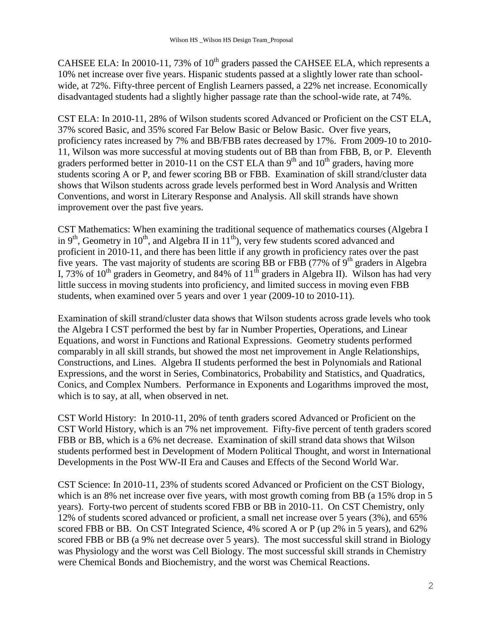CAHSEE ELA: In 20010-11, 73% of  $10<sup>th</sup>$  graders passed the CAHSEE ELA, which represents a 10% net increase over five years. Hispanic students passed at a slightly lower rate than schoolwide, at 72%. Fifty-three percent of English Learners passed, a 22% net increase. Economically disadvantaged students had a slightly higher passage rate than the school-wide rate, at 74%.

CST ELA: In 2010-11, 28% of Wilson students scored Advanced or Proficient on the CST ELA, 37% scored Basic, and 35% scored Far Below Basic or Below Basic. Over five years, proficiency rates increased by 7% and BB/FBB rates decreased by 17%. From 2009-10 to 2010- 11, Wilson was more successful at moving students out of BB than from FBB, B, or P. Eleventh graders performed better in 2010-11 on the CST ELA than  $9<sup>th</sup>$  and  $10<sup>th</sup>$  graders, having more students scoring A or P, and fewer scoring BB or FBB. Examination of skill strand/cluster data shows that Wilson students across grade levels performed best in Word Analysis and Written Conventions, and worst in Literary Response and Analysis. All skill strands have shown improvement over the past five years.

CST Mathematics: When examining the traditional sequence of mathematics courses (Algebra I in 9<sup>th</sup>, Geometry in 10<sup>th</sup>, and Algebra II in 11<sup>th</sup>), very few students scored advanced and proficient in 2010-11, and there has been little if any growth in proficiency rates over the past five years. The vast majority of students are scoring BB or FBB (77% of  $9<sup>th</sup>$  graders in Algebra I, 73% of  $10^{th}$  graders in Geometry, and 84% of  $11^{th}$  graders in Algebra II). Wilson has had very little success in moving students into proficiency, and limited success in moving even FBB students, when examined over 5 years and over 1 year (2009-10 to 2010-11).

Examination of skill strand/cluster data shows that Wilson students across grade levels who took the Algebra I CST performed the best by far in Number Properties, Operations, and Linear Equations, and worst in Functions and Rational Expressions. Geometry students performed comparably in all skill strands, but showed the most net improvement in Angle Relationships, Constructions, and Lines. Algebra II students performed the best in Polynomials and Rational Expressions, and the worst in Series, Combinatorics, Probability and Statistics, and Quadratics, Conics, and Complex Numbers. Performance in Exponents and Logarithms improved the most, which is to say, at all, when observed in net.

CST World History: In 2010-11, 20% of tenth graders scored Advanced or Proficient on the CST World History, which is an 7% net improvement. Fifty-five percent of tenth graders scored FBB or BB, which is a 6% net decrease. Examination of skill strand data shows that Wilson students performed best in Development of Modern Political Thought, and worst in International Developments in the Post WW-II Era and Causes and Effects of the Second World War.

CST Science: In 2010-11, 23% of students scored Advanced or Proficient on the CST Biology, which is an 8% net increase over five years, with most growth coming from BB (a 15% drop in 5 years). Forty-two percent of students scored FBB or BB in 2010-11. On CST Chemistry, only 12% of students scored advanced or proficient, a small net increase over 5 years (3%), and 65% scored FBB or BB. On CST Integrated Science, 4% scored A or P (up 2% in 5 years), and 62% scored FBB or BB (a 9% net decrease over 5 years). The most successful skill strand in Biology was Physiology and the worst was Cell Biology. The most successful skill strands in Chemistry were Chemical Bonds and Biochemistry, and the worst was Chemical Reactions.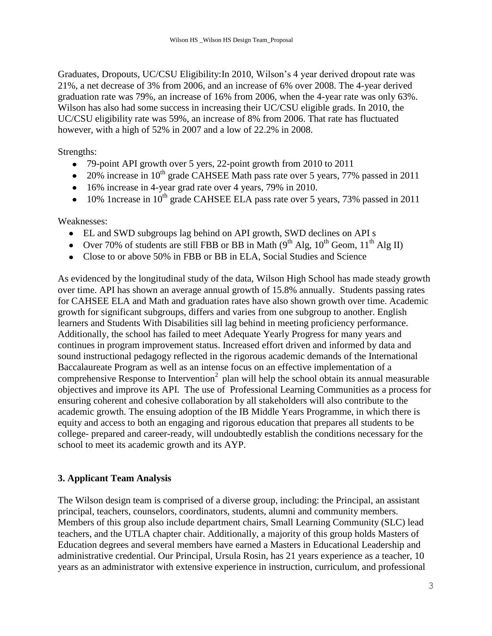Graduates, Dropouts, UC/CSU Eligibility:In 2010, Wilson's 4 year derived dropout rate was 21%, a net decrease of 3% from 2006, and an increase of 6% over 2008. The 4-year derived graduation rate was 79%, an increase of 16% from 2006, when the 4-year rate was only 63%. Wilson has also had some success in increasing their UC/CSU eligible grads. In 2010, the UC/CSU eligibility rate was 59%, an increase of 8% from 2006. That rate has fluctuated however, with a high of 52% in 2007 and a low of 22.2% in 2008.

Strengths:

- 79-point API growth over 5 yers, 22-point growth from 2010 to 2011
- $\bullet$  20% increase in 10<sup>th</sup> grade CAHSEE Math pass rate over 5 years, 77% passed in 2011
- 16% increase in 4-year grad rate over 4 years, 79% in 2010.
- $\bullet$  10% 1 ncrease in 10<sup>th</sup> grade CAHSEE ELA pass rate over 5 years, 73% passed in 2011

Weaknesses:

- EL and SWD subgroups lag behind on API growth, SWD declines on API s
- Over 70% of students are still FBB or BB in Math ( $9<sup>th</sup> Alg$ ,  $10<sup>th</sup> Geom$ ,  $11<sup>th</sup> Alg II$ )
- Close to or above 50% in FBB or BB in ELA, Social Studies and Science  $\bullet$

As evidenced by the longitudinal study of the data, Wilson High School has made steady growth over time. API has shown an average annual growth of 15.8% annually. Students passing rates for CAHSEE ELA and Math and graduation rates have also shown growth over time. Academic growth for significant subgroups, differs and varies from one subgroup to another. English learners and Students With Disabilities sill lag behind in meeting proficiency performance. Additionally, the school has failed to meet Adequate Yearly Progress for many years and continues in program improvement status. Increased effort driven and informed by data and sound instructional pedagogy reflected in the rigorous academic demands of the International Baccalaureate Program as well as an intense focus on an effective implementation of a comprehensive Response to Intervention<sup>2</sup> plan will help the school obtain its annual measurable objectives and improve its API. The use of Professional Learning Communities as a process for ensuring coherent and cohesive collaboration by all stakeholders will also contribute to the academic growth. The ensuing adoption of the IB Middle Years Programme, in which there is equity and access to both an engaging and rigorous education that prepares all students to be college- prepared and career-ready, will undoubtedly establish the conditions necessary for the school to meet its academic growth and its AYP.

#### **3. Applicant Team Analysis**

The Wilson design team is comprised of a diverse group, including: the Principal, an assistant principal, teachers, counselors, coordinators, students, alumni and community members. Members of this group also include department chairs, Small Learning Community (SLC) lead teachers, and the UTLA chapter chair. Additionally, a majority of this group holds Masters of Education degrees and several members have earned a Masters in Educational Leadership and administrative credential. Our Principal, Ursula Rosin, has 21 years experience as a teacher, 10 years as an administrator with extensive experience in instruction, curriculum, and professional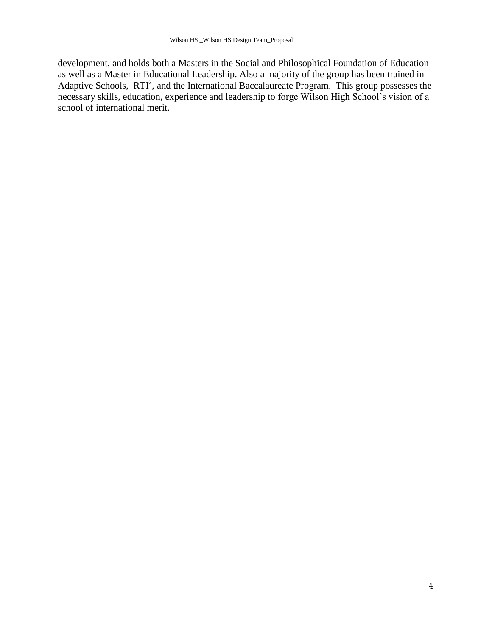development, and holds both a Masters in the Social and Philosophical Foundation of Education as well as a Master in Educational Leadership. Also a majority of the group has been trained in Adaptive Schools, RTI<sup>2</sup>, and the International Baccalaureate Program. This group possesses the necessary skills, education, experience and leadership to forge Wilson High School's vision of a school of international merit.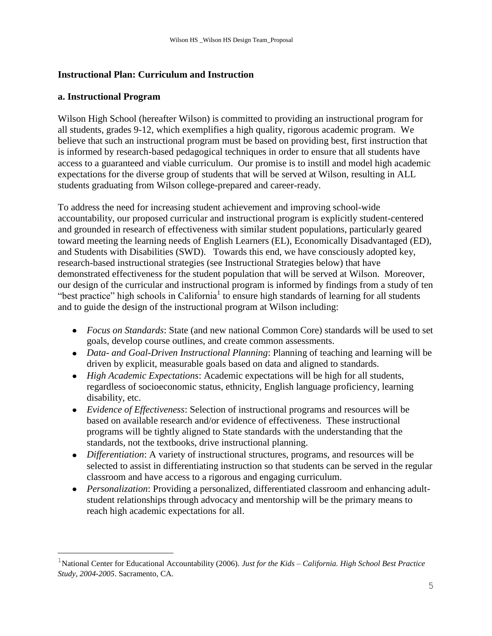### **Instructional Plan: Curriculum and Instruction**

### **a. Instructional Program**

i<br>L

Wilson High School (hereafter Wilson) is committed to providing an instructional program for all students, grades 9-12, which exemplifies a high quality, rigorous academic program. We believe that such an instructional program must be based on providing best, first instruction that is informed by research-based pedagogical techniques in order to ensure that all students have access to a guaranteed and viable curriculum. Our promise is to instill and model high academic expectations for the diverse group of students that will be served at Wilson, resulting in ALL students graduating from Wilson college-prepared and career-ready.

To address the need for increasing student achievement and improving school-wide accountability, our proposed curricular and instructional program is explicitly student-centered and grounded in research of effectiveness with similar student populations, particularly geared toward meeting the learning needs of English Learners (EL), Economically Disadvantaged (ED), and Students with Disabilities (SWD). Towards this end, we have consciously adopted key, research-based instructional strategies (see Instructional Strategies below) that have demonstrated effectiveness for the student population that will be served at Wilson. Moreover, our design of the curricular and instructional program is informed by findings from a study of ten "best practice" high schools in California<sup>1</sup> to ensure high standards of learning for all students and to guide the design of the instructional program at Wilson including:

- *Focus on Standards*: State (and new national Common Core) standards will be used to set goals, develop course outlines, and create common assessments.
- *Data- and Goal-Driven Instructional Planning*: Planning of teaching and learning will be driven by explicit, measurable goals based on data and aligned to standards.
- *High Academic Expectations*: Academic expectations will be high for all students, regardless of socioeconomic status, ethnicity, English language proficiency, learning disability, etc.
- *Evidence of Effectiveness*: Selection of instructional programs and resources will be based on available research and/or evidence of effectiveness. These instructional programs will be tightly aligned to State standards with the understanding that the standards, not the textbooks, drive instructional planning.
- *Differentiation*: A variety of instructional structures, programs, and resources will be selected to assist in differentiating instruction so that students can be served in the regular classroom and have access to a rigorous and engaging curriculum.
- *Personalization*: Providing a personalized, differentiated classroom and enhancing adultstudent relationships through advocacy and mentorship will be the primary means to reach high academic expectations for all.

<sup>1</sup>National Center for Educational Accountability (2006). *Just for the Kids – California. High School Best Practice Study, 2004-2005*. Sacramento, CA.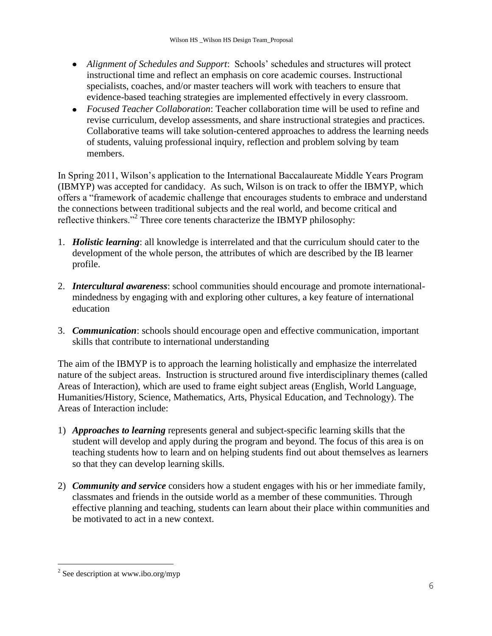- *Alignment of Schedules and Support*: Schools' schedules and structures will protect instructional time and reflect an emphasis on core academic courses. Instructional specialists, coaches, and/or master teachers will work with teachers to ensure that evidence-based teaching strategies are implemented effectively in every classroom.
- *Focused Teacher Collaboration*: Teacher collaboration time will be used to refine and revise curriculum, develop assessments, and share instructional strategies and practices. Collaborative teams will take solution-centered approaches to address the learning needs of students, valuing professional inquiry, reflection and problem solving by team members.

In Spring 2011, Wilson's application to the International Baccalaureate Middle Years Program (IBMYP) was accepted for candidacy. As such, Wilson is on track to offer the IBMYP, which offers a "framework of academic challenge that encourages students to embrace and understand the connections between traditional subjects and the real world, and become critical and reflective thinkers."<sup>2</sup> Three core tenents characterize the IBMYP philosophy:

- 1. *Holistic learning*: all knowledge is interrelated and that the curriculum should cater to the development of the whole person, the attributes of which are described by the IB learner profile.
- 2. *Intercultural awareness*: school communities should encourage and promote internationalmindedness by engaging with and exploring other cultures, a key feature of international education
- 3. *Communication*: schools should encourage open and effective communication, important skills that contribute to international understanding

The aim of the IBMYP is to approach the learning holistically and emphasize the interrelated nature of the subject areas. Instruction is structured around five interdisciplinary themes (called Areas of Interaction), which are used to frame eight subject areas (English, World Language, Humanities/History, Science, Mathematics, Arts, Physical Education, and Technology). The Areas of Interaction include:

- 1) *Approaches to learning* represents general and subject-specific learning skills that the student will develop and apply during the program and beyond. The focus of this area is on teaching students how to learn and on helping students find out about themselves as learners so that they can develop learning skills.
- 2) *Community and service* considers how a student engages with his or her immediate family, classmates and friends in the outside world as a member of these communities. Through effective planning and teaching, students can learn about their place within communities and be motivated to act in a new context.

<sup>&</sup>lt;sup>2</sup> See description at www.ibo.org/myp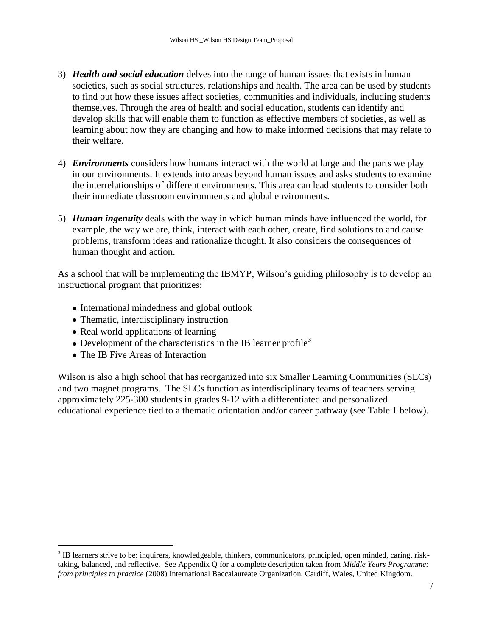- 3) *Health and social education* delves into the range of human issues that exists in human societies, such as social structures, relationships and health. The area can be used by students to find out how these issues affect societies, communities and individuals, including students themselves. Through the area of health and social education, students can identify and develop skills that will enable them to function as effective members of societies, as well as learning about how they are changing and how to make informed decisions that may relate to their welfare.
- 4) *Environments* considers how humans interact with the world at large and the parts we play in our environments. It extends into areas beyond human issues and asks students to examine the interrelationships of different environments. This area can lead students to consider both their immediate classroom environments and global environments.
- 5) *Human ingenuity* deals with the way in which human minds have influenced the world, for example, the way we are, think, interact with each other, create, find solutions to and cause problems, transform ideas and rationalize thought. It also considers the consequences of human thought and action.

As a school that will be implementing the IBMYP, Wilson's guiding philosophy is to develop an instructional program that prioritizes:

- International mindedness and global outlook
- Thematic, interdisciplinary instruction
- Real world applications of learning
- Development of the characteristics in the IB learner profile<sup>3</sup>
- The IB Five Areas of Interaction

i<br>L

Wilson is also a high school that has reorganized into six Smaller Learning Communities (SLCs) and two magnet programs. The SLCs function as interdisciplinary teams of teachers serving approximately 225-300 students in grades 9-12 with a differentiated and personalized educational experience tied to a thematic orientation and/or career pathway (see Table 1 below).

 $3$  IB learners strive to be: inquirers, knowledgeable, thinkers, communicators, principled, open minded, caring, risktaking, balanced, and reflective. See Appendix Q for a complete description taken from *Middle Years Programme: from principles to practice* (2008) International Baccalaureate Organization, Cardiff, Wales, United Kingdom.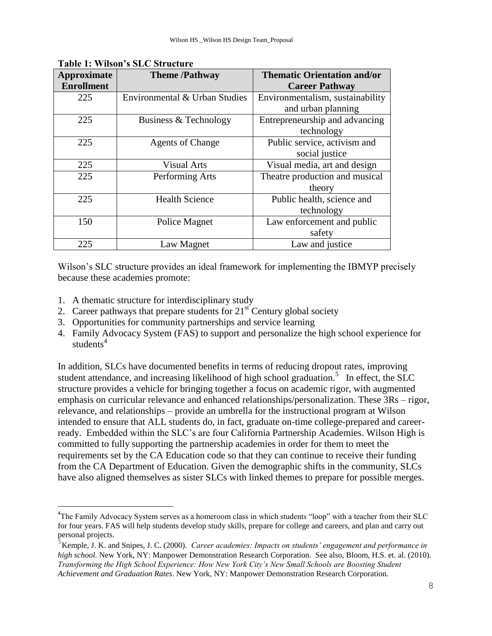| Approximate       | <b>Theme /Pathway</b>         | <b>Thematic Orientation and/or</b> |
|-------------------|-------------------------------|------------------------------------|
| <b>Enrollment</b> |                               | <b>Career Pathway</b>              |
| 225               | Environmental & Urban Studies | Environmentalism, sustainability   |
|                   |                               | and urban planning                 |
| 225               | Business & Technology         | Entrepreneurship and advancing     |
|                   |                               | technology                         |
| 225               | <b>Agents of Change</b>       | Public service, activism and       |
|                   |                               | social justice                     |
| 225               | <b>Visual Arts</b>            | Visual media, art and design       |
| 225               | Performing Arts               | Theatre production and musical     |
|                   |                               | theory                             |
| 225               | <b>Health Science</b>         | Public health, science and         |
|                   |                               | technology                         |
| 150               | Police Magnet                 | Law enforcement and public         |
|                   |                               | safety                             |
| 225               | Law Magnet                    | Law and justice                    |

**Table 1: Wilson's SLC Structure** 

Wilson's SLC structure provides an ideal framework for implementing the IBMYP precisely because these academies promote:

1. A thematic structure for interdisciplinary study

i<br>L

- 2. Career pathways that prepare students for  $21<sup>st</sup>$  Century global society
- 3. Opportunities for community partnerships and service learning
- 4. Family Advocacy System (FAS) to support and personalize the high school experience for students<sup>4</sup>

In addition, SLCs have documented benefits in terms of reducing dropout rates, improving student attendance, and increasing likelihood of high school graduation.<sup>5</sup> In effect, the SLC structure provides a vehicle for bringing together a focus on academic rigor, with augmented emphasis on curricular relevance and enhanced relationships/personalization. These 3Rs – rigor, relevance, and relationships – provide an umbrella for the instructional program at Wilson intended to ensure that ALL students do, in fact, graduate on-time college-prepared and careerready. Embedded within the SLC's are four California Partnership Academies. Wilson High is committed to fully supporting the partnership academies in order for them to meet the requirements set by the CA Education code so that they can continue to receive their funding from the CA Department of Education. Given the demographic shifts in the community, SLCs have also aligned themselves as sister SLCs with linked themes to prepare for possible merges.

<sup>&</sup>lt;sup>4</sup>The Family Advocacy System serves as a homeroom class in which students "loop" with a teacher from their SLC for four years. FAS will help students develop study skills, prepare for college and careers, and plan and carry out personal projects.

<sup>5</sup>Kemple, J. K. and Snipes, J. C. (2000). *Career academies: Impacts on students" engagement and performance in high school*. New York, NY: Manpower Demonstration Research Corporation. See also, Bloom, H.S. et. al. (2010). *Transforming the High School Experience: How New York City"s New Small Schools are Boosting Student Achievement and Graduation Rates*. New York, NY: Manpower Demonstration Research Corporation.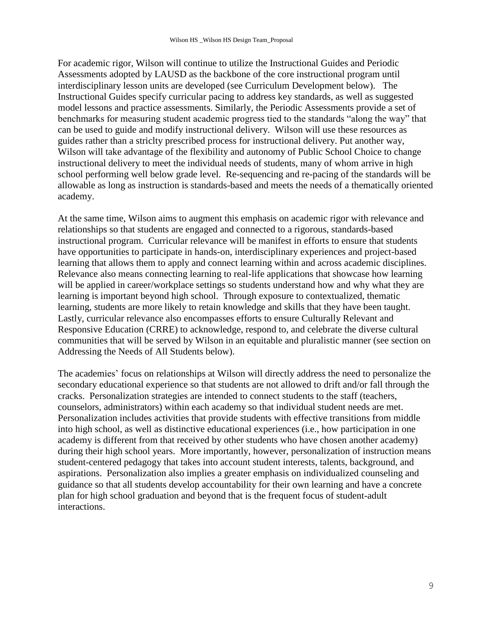For academic rigor, Wilson will continue to utilize the Instructional Guides and Periodic Assessments adopted by LAUSD as the backbone of the core instructional program until interdisciplinary lesson units are developed (see Curriculum Development below). The Instructional Guides specify curricular pacing to address key standards, as well as suggested model lessons and practice assessments. Similarly, the Periodic Assessments provide a set of benchmarks for measuring student academic progress tied to the standards "along the way" that can be used to guide and modify instructional delivery. Wilson will use these resources as guides rather than a striclty prescribed process for instructional delivery. Put another way, Wilson will take advantage of the flexibility and autonomy of Public School Choice to change instructional delivery to meet the individual needs of students, many of whom arrive in high school performing well below grade level. Re-sequencing and re-pacing of the standards will be allowable as long as instruction is standards-based and meets the needs of a thematically oriented academy.

At the same time, Wilson aims to augment this emphasis on academic rigor with relevance and relationships so that students are engaged and connected to a rigorous, standards-based instructional program. Curricular relevance will be manifest in efforts to ensure that students have opportunities to participate in hands-on, interdisciplinary experiences and project-based learning that allows them to apply and connect learning within and across academic disciplines. Relevance also means connecting learning to real-life applications that showcase how learning will be applied in career/workplace settings so students understand how and why what they are learning is important beyond high school. Through exposure to contextualized, thematic learning, students are more likely to retain knowledge and skills that they have been taught. Lastly, curricular relevance also encompasses efforts to ensure Culturally Relevant and Responsive Education (CRRE) to acknowledge, respond to, and celebrate the diverse cultural communities that will be served by Wilson in an equitable and pluralistic manner (see section on Addressing the Needs of All Students below).

The academies' focus on relationships at Wilson will directly address the need to personalize the secondary educational experience so that students are not allowed to drift and/or fall through the cracks. Personalization strategies are intended to connect students to the staff (teachers, counselors, administrators) within each academy so that individual student needs are met. Personalization includes activities that provide students with effective transitions from middle into high school, as well as distinctive educational experiences (i.e., how participation in one academy is different from that received by other students who have chosen another academy) during their high school years. More importantly, however, personalization of instruction means student-centered pedagogy that takes into account student interests, talents, background, and aspirations. Personalization also implies a greater emphasis on individualized counseling and guidance so that all students develop accountability for their own learning and have a concrete plan for high school graduation and beyond that is the frequent focus of student-adult interactions.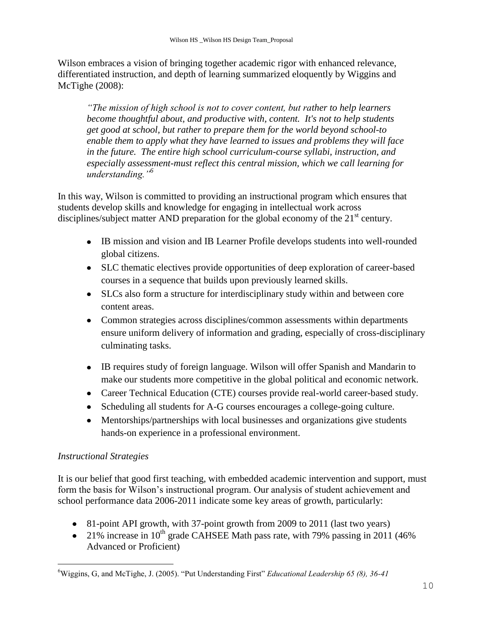Wilson embraces a vision of bringing together academic rigor with enhanced relevance, differentiated instruction, and depth of learning summarized eloquently by Wiggins and McTighe (2008):

*"The mission of high school is not to cover content, but rather to help learners become thoughtful about, and productive with, content. It's not to help students get good at school, but rather to prepare them for the world beyond school-to enable them to apply what they have learned to issues and problems they will face in the future. The entire high school curriculum-course syllabi, instruction, and especially assessment-must reflect this central mission, which we call learning for understanding."<sup>6</sup>*

In this way, Wilson is committed to providing an instructional program which ensures that students develop skills and knowledge for engaging in intellectual work across disciplines/subject matter AND preparation for the global economy of the  $21<sup>st</sup>$  century.

- IB mission and vision and IB Learner Profile develops students into well-rounded global citizens.
- SLC thematic electives provide opportunities of deep exploration of career-based courses in a sequence that builds upon previously learned skills.
- SLCs also form a structure for interdisciplinary study within and between core content areas.
- Common strategies across disciplines/common assessments within departments ensure uniform delivery of information and grading, especially of cross-disciplinary culminating tasks.
- IB requires study of foreign language. Wilson will offer Spanish and Mandarin to make our students more competitive in the global political and economic network.
- Career Technical Education (CTE) courses provide real-world career-based study.
- Scheduling all students for A-G courses encourages a college-going culture.
- Mentorships/partnerships with local businesses and organizations give students hands-on experience in a professional environment.

## *Instructional Strategies*

i<br>L

It is our belief that good first teaching, with embedded academic intervention and support, must form the basis for Wilson's instructional program. Our analysis of student achievement and school performance data 2006-2011 indicate some key areas of growth, particularly:

- 81-point API growth, with 37-point growth from 2009 to 2011 (last two years)
- 21% increase in  $10^{th}$  grade CAHSEE Math pass rate, with 79% passing in 2011 (46%) Advanced or Proficient)

<sup>6</sup>Wiggins, G, and McTighe, J. (2005). "Put Understanding First" *Educational Leadership 65 (8), 36-41*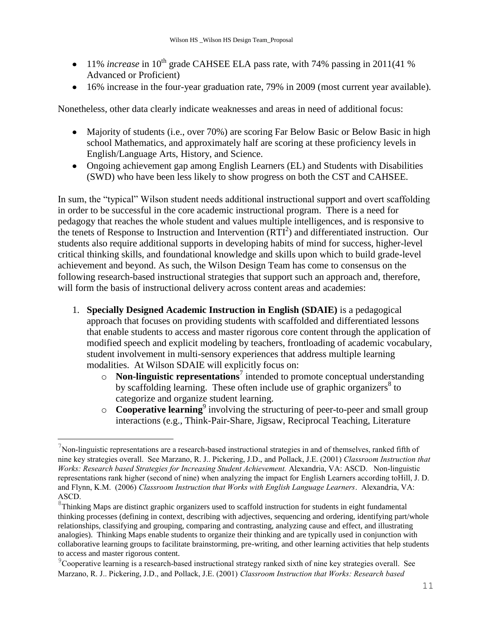- 11% *increase* in 10<sup>th</sup> grade CAHSEE ELA pass rate, with 74% passing in 2011(41 %) Advanced or Proficient)
- 16% increase in the four-year graduation rate, 79% in 2009 (most current year available).

Nonetheless, other data clearly indicate weaknesses and areas in need of additional focus:

- Majority of students (i.e., over 70%) are scoring Far Below Basic or Below Basic in high school Mathematics, and approximately half are scoring at these proficiency levels in English/Language Arts, History, and Science.
- Ongoing achievement gap among English Learners (EL) and Students with Disabilities (SWD) who have been less likely to show progress on both the CST and CAHSEE.

In sum, the "typical" Wilson student needs additional instructional support and overt scaffolding in order to be successful in the core academic instructional program. There is a need for pedagogy that reaches the whole student and values multiple intelligences, and is responsive to the tenets of Response to Instruction and Intervention  $(RTI<sup>2</sup>)$  and differentiated instruction. Our students also require additional supports in developing habits of mind for success, higher-level critical thinking skills, and foundational knowledge and skills upon which to build grade-level achievement and beyond. As such, the Wilson Design Team has come to consensus on the following research-based instructional strategies that support such an approach and, therefore, will form the basis of instructional delivery across content areas and academies:

- 1. **Specially Designed Academic Instruction in English (SDAIE)** is a pedagogical approach that focuses on providing students with scaffolded and differentiated lessons that enable students to access and master rigorous core content through the application of modified speech and explicit modeling by teachers, frontloading of academic vocabulary, student involvement in multi-sensory experiences that address multiple learning modalities. At Wilson SDAIE will explicitly focus on:
	- o **Non-linguistic representations**<sup>7</sup> intended to promote conceptual understanding by scaffolding learning. These often include use of graphic organizers<sup>8</sup> to categorize and organize student learning.
	- o **Cooperative learning**<sup>9</sup> involving the structuring of peer-to-peer and small group interactions (e.g., Think-Pair-Share, Jigsaw, Reciprocal Teaching, Literature

 $\gamma$ Non-linguistic representations are a research-based instructional strategies in and of themselves, ranked fifth of nine key strategies overall. See Marzano, R. J.. Pickering, J.D., and Pollack, J.E. (2001) *Classroom Instruction that Works: Research based Strategies for Increasing Student Achievement. Alexandria, VA: ASCD. Non-linguistic* representations rank higher (second of nine) when analyzing the impact for English Learners according toHill, J. D. and Flynn, K.M. (2006) *Classroom Instruction that Works with English Language Learners*. Alexandria, VA: ASCD.

<sup>&</sup>lt;sup>8</sup>Thinking Maps are distinct graphic organizers used to scaffold instruction for students in eight fundamental thinking processes (defining in context, describing with adjectives, sequencing and ordering, identifying part/whole relationships, classifying and grouping, comparing and contrasting, analyzing cause and effect, and illustrating analogies). Thinking Maps enable students to organize their thinking and are typically used in conjunction with collaborative learning groups to facilitate brainstorming, pre-writing, and other learning activities that help students to access and master rigorous content.

<sup>&</sup>lt;sup>9</sup>Cooperative learning is a research-based instructional strategy ranked sixth of nine key strategies overall. See Marzano, R. J.. Pickering, J.D., and Pollack, J.E. (2001) *Classroom Instruction that Works: Research based*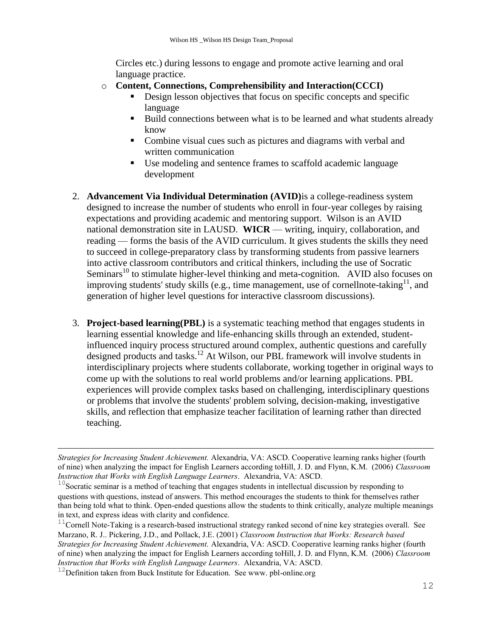Circles etc.) during lessons to engage and promote active learning and oral language practice.

- o **Content, Connections, Comprehensibility and Interaction(CCCI)**
	- Design lesson objectives that focus on specific concepts and specific language
	- Build connections between what is to be learned and what students already know
	- Combine visual cues such as pictures and diagrams with verbal and written communication
	- Use modeling and sentence frames to scaffold academic language development
- 2. **Advancement Via Individual Determination (AVID)**is a college-readiness system designed to increase the number of students who enroll in four-year colleges by raising expectations and providing academic and mentoring support. Wilson is an AVID national demonstration site in LAUSD. **WICR** — writing, inquiry, collaboration, and reading — forms the basis of the AVID curriculum. It gives students the skills they need to succeed in college-preparatory class by transforming students from passive learners into active classroom contributors and critical thinkers, including the use of Socratic Seminars<sup>10</sup> to stimulate higher-level thinking and meta-cognition. AVID also focuses on improving students' study skills (e.g., [time management,](http://en.wikipedia.org/wiki/Time_management) use of cornel[lnote-taking](http://en.wikipedia.org/wiki/Note-taking)  $11$ , and generation of higher level questions for interactive classroom discussions).
- 3. **Project-based learning(PBL)** is a systematic teaching method that engages students in learning essential knowledge and life-enhancing skills through an extended, studentinfluenced inquiry process structured around complex, authentic questions and carefully designed products and tasks. <sup>12</sup> At Wilson, our PBL framework will involve students in interdisciplinary projects where students collaborate, working together in original ways to come up with the solutions to real world problems and/or learning applications. PBL experiences will provide complex tasks based on challenging, interdisciplinary questions or problems that involve the students' problem solving, decision-making, investigative skills, and reflection that emphasize teacher facilitation of learning rather than directed teaching.

*Strategies for Increasing Student Achievement.* Alexandria, VA: ASCD. Cooperative learning ranks higher (fourth of nine) when analyzing the impact for English Learners according toHill, J. D. and Flynn, K.M. (2006) *Classroom Instruction that Works with English Language Learners*. Alexandria, VA: ASCD.

<sup>&</sup>lt;sup>10</sup>Socratic seminar is a method of teaching that engages students in intellectual discussion by responding to questions with questions, instead of answers. This method encourages the students to think for themselves rather than being told what to think. Open-ended questions allow the students to think critically, analyze multiple meanings in text, and express ideas with clarity and confidence.

 $11$ Cornell Note-Taking is a research-based instructional strategy ranked second of nine key strategies overall. See Marzano, R. J.. Pickering, J.D., and Pollack, J.E. (2001) *Classroom Instruction that Works: Research based Strategies for Increasing Student Achievement.* Alexandria, VA: ASCD. Cooperative learning ranks higher (fourth of nine) when analyzing the impact for English Learners according toHill, J. D. and Flynn, K.M. (2006) *Classroom Instruction that Works with English Language Learners*. Alexandria, VA: ASCD.

 $12$ Definition taken from Buck Institute for Education. See www. pbl-online.org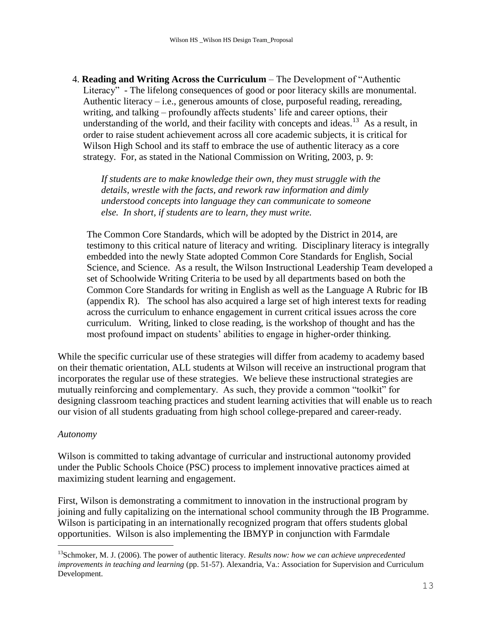4. **Reading and Writing Across the Curriculum** – The Development of "Authentic Literacy" - The lifelong consequences of good or poor literacy skills are monumental. Authentic literacy – i.e., generous amounts of close, purposeful reading, rereading, writing, and talking – profoundly affects students' life and career options, their understanding of the world, and their facility with concepts and ideas.<sup>13</sup> As a result, in order to raise student achievement across all core academic subjects, it is critical for Wilson High School and its staff to embrace the use of authentic literacy as a core strategy. For, as stated in the National Commission on Writing, 2003, p. 9:

*If students are to make knowledge their own, they must struggle with the details, wrestle with the facts, and rework raw information and dimly understood concepts into language they can communicate to someone else. In short, if students are to learn, they must write.*

The Common Core Standards, which will be adopted by the District in 2014, are testimony to this critical nature of literacy and writing. Disciplinary literacy is integrally embedded into the newly State adopted Common Core Standards for English, Social Science, and Science. As a result, the Wilson Instructional Leadership Team developed a set of Schoolwide Writing Criteria to be used by all departments based on both the Common Core Standards for writing in English as well as the Language A Rubric for IB (appendix R). The school has also acquired a large set of high interest texts for reading across the curriculum to enhance engagement in current critical issues across the core curriculum. Writing, linked to close reading, is the workshop of thought and has the most profound impact on students' abilities to engage in higher-order thinking.

While the specific curricular use of these strategies will differ from academy to academy based on their thematic orientation, ALL students at Wilson will receive an instructional program that incorporates the regular use of these strategies. We believe these instructional strategies are mutually reinforcing and complementary. As such, they provide a common "toolkit" for designing classroom teaching practices and student learning activities that will enable us to reach our vision of all students graduating from high school college-prepared and career-ready.

#### *Autonomy*

i<br>L

Wilson is committed to taking advantage of curricular and instructional autonomy provided under the Public Schools Choice (PSC) process to implement innovative practices aimed at maximizing student learning and engagement.

First, Wilson is demonstrating a commitment to innovation in the instructional program by joining and fully capitalizing on the international school community through the IB Programme. Wilson is participating in an internationally recognized program that offers students global opportunities. Wilson is also implementing the IBMYP in conjunction with Farmdale

<sup>&</sup>lt;sup>13</sup>Schmoker, M. J. (2006). The power of authentic literacy. *Results now: how we can achieve unprecedented improvements in teaching and learning* (pp. 51-57). Alexandria, Va.: Association for Supervision and Curriculum Development.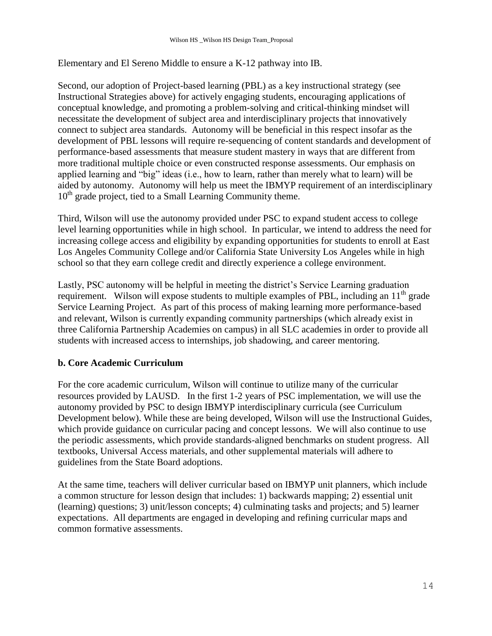Elementary and El Sereno Middle to ensure a K-12 pathway into IB.

Second, our adoption of Project-based learning (PBL) as a key instructional strategy (see Instructional Strategies above) for actively engaging students, encouraging applications of conceptual knowledge, and promoting a problem-solving and critical-thinking mindset will necessitate the development of subject area and interdisciplinary projects that innovatively connect to subject area standards. Autonomy will be beneficial in this respect insofar as the development of PBL lessons will require re-sequencing of content standards and development of performance-based assessments that measure student mastery in ways that are different from more traditional multiple choice or even constructed response assessments. Our emphasis on applied learning and "big" ideas (i.e., how to learn, rather than merely what to learn) will be aided by autonomy. Autonomy will help us meet the IBMYP requirement of an interdisciplinary  $10<sup>th</sup>$  grade project, tied to a Small Learning Community theme.

Third, Wilson will use the autonomy provided under PSC to expand student access to college level learning opportunities while in high school. In particular, we intend to address the need for increasing college access and eligibility by expanding opportunities for students to enroll at East Los Angeles Community College and/or California State University Los Angeles while in high school so that they earn college credit and directly experience a college environment.

Lastly, PSC autonomy will be helpful in meeting the district's Service Learning graduation requirement. Wilson will expose students to multiple examples of PBL, including an  $11<sup>th</sup>$  grade Service Learning Project. As part of this process of making learning more performance-based and relevant, Wilson is currently expanding community partnerships (which already exist in three California Partnership Academies on campus) in all SLC academies in order to provide all students with increased access to internships, job shadowing, and career mentoring.

### **b. Core Academic Curriculum**

For the core academic curriculum, Wilson will continue to utilize many of the curricular resources provided by LAUSD. In the first 1-2 years of PSC implementation, we will use the autonomy provided by PSC to design IBMYP interdisciplinary curricula (see Curriculum Development below). While these are being developed, Wilson will use the Instructional Guides, which provide guidance on curricular pacing and concept lessons. We will also continue to use the periodic assessments, which provide standards-aligned benchmarks on student progress. All textbooks, Universal Access materials, and other supplemental materials will adhere to guidelines from the State Board adoptions.

At the same time, teachers will deliver curricular based on IBMYP unit planners, which include a common structure for lesson design that includes: 1) backwards mapping; 2) essential unit (learning) questions; 3) unit/lesson concepts; 4) culminating tasks and projects; and 5) learner expectations. All departments are engaged in developing and refining curricular maps and common formative assessments.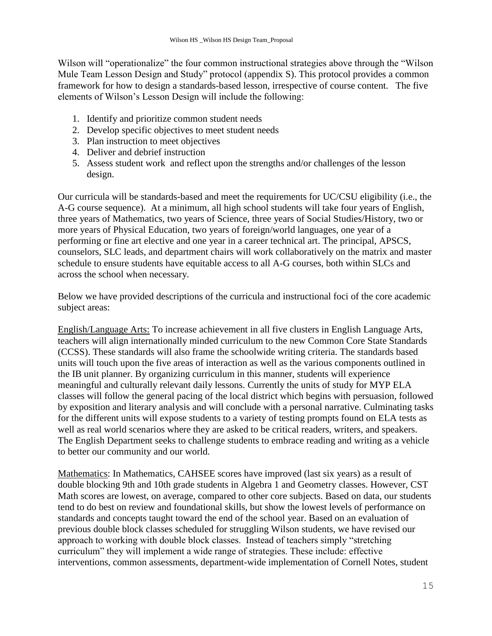Wilson will "operationalize" the four common instructional strategies above through the "Wilson" Mule Team Lesson Design and Study" protocol (appendix S). This protocol provides a common framework for how to design a standards-based lesson, irrespective of course content. The five elements of Wilson's Lesson Design will include the following:

- 1. Identify and prioritize common student needs
- 2. Develop specific objectives to meet student needs
- 3. Plan instruction to meet objectives
- 4. Deliver and debrief instruction
- 5. Assess student work and reflect upon the strengths and/or challenges of the lesson design.

Our curricula will be standards-based and meet the requirements for UC/CSU eligibility (i.e., the A-G course sequence). At a minimum, all high school students will take four years of English, three years of Mathematics, two years of Science, three years of Social Studies/History, two or more years of Physical Education, two years of foreign/world languages, one year of a performing or fine art elective and one year in a career technical art. The principal, APSCS, counselors, SLC leads, and department chairs will work collaboratively on the matrix and master schedule to ensure students have equitable access to all A-G courses, both within SLCs and across the school when necessary.

Below we have provided descriptions of the curricula and instructional foci of the core academic subject areas:

English/Language Arts: To increase achievement in all five clusters in English Language Arts, teachers will align internationally minded curriculum to the new Common Core State Standards (CCSS). These standards will also frame the schoolwide writing criteria. The standards based units will touch upon the five areas of interaction as well as the various components outlined in the IB unit planner. By organizing curriculum in this manner, students will experience meaningful and culturally relevant daily lessons. Currently the units of study for MYP ELA classes will follow the general pacing of the local district which begins with persuasion, followed by exposition and literary analysis and will conclude with a personal narrative. Culminating tasks for the different units will expose students to a variety of testing prompts found on ELA tests as well as real world scenarios where they are asked to be critical readers, writers, and speakers. The English Department seeks to challenge students to embrace reading and writing as a vehicle to better our community and our world.

Mathematics: In Mathematics, CAHSEE scores have improved (last six years) as a result of double blocking 9th and 10th grade students in Algebra 1 and Geometry classes. However, CST Math scores are lowest, on average, compared to other core subjects. Based on data, our students tend to do best on review and foundational skills, but show the lowest levels of performance on standards and concepts taught toward the end of the school year. Based on an evaluation of previous double block classes scheduled for struggling Wilson students, we have revised our approach to working with double block classes. Instead of teachers simply "stretching curriculum" they will implement a wide range of strategies. These include: effective interventions, common assessments, department-wide implementation of Cornell Notes, student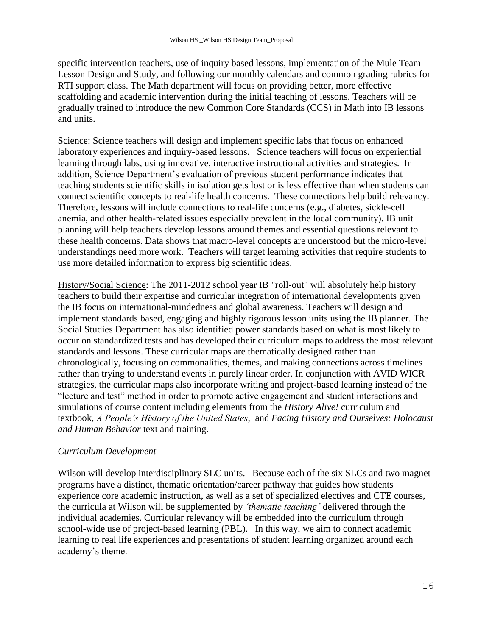specific intervention teachers, use of inquiry based lessons, implementation of the Mule Team Lesson Design and Study, and following our monthly calendars and common grading rubrics for RTI support class. The Math department will focus on providing better, more effective scaffolding and academic intervention during the initial teaching of lessons. Teachers will be gradually trained to introduce the new Common Core Standards (CCS) in Math into IB lessons and units.

Science: Science teachers will design and implement specific labs that focus on enhanced laboratory experiences and inquiry-based lessons. Science teachers will focus on experiential learning through labs, using innovative, interactive instructional activities and strategies. In addition, Science Department's evaluation of previous student performance indicates that teaching students scientific skills in isolation gets lost or is less effective than when students can connect scientific concepts to real-life health concerns. These connections help build relevancy. Therefore, lessons will include connections to real-life concerns (e.g., diabetes, sickle-cell anemia, and other health-related issues especially prevalent in the local community). IB unit planning will help teachers develop lessons around themes and essential questions relevant to these health concerns. Data shows that macro-level concepts are understood but the micro-level understandings need more work. Teachers will target learning activities that require students to use more detailed information to express big scientific ideas.

History/Social Science: The 2011-2012 school year IB "roll-out" will absolutely help history teachers to build their expertise and curricular integration of international developments given the IB focus on international-mindedness and global awareness. Teachers will design and implement standards based, engaging and highly rigorous lesson units using the IB planner. The Social Studies Department has also identified power standards based on what is most likely to occur on standardized tests and has developed their curriculum maps to address the most relevant standards and lessons. These curricular maps are thematically designed rather than chronologically, focusing on commonalities, themes, and making connections across timelines rather than trying to understand events in purely linear order. In conjunction with AVID WICR strategies, the curricular maps also incorporate writing and project-based learning instead of the "lecture and test" method in order to promote active engagement and student interactions and simulations of course content including elements from the *History Alive!* curriculum and textbook, *A People"s History of the United States*, and *Facing History and Ourselves: Holocaust and Human Behavior* text and training.

### *Curriculum Development*

Wilson will develop interdisciplinary SLC units. Because each of the six SLCs and two magnet programs have a distinct, thematic orientation/career pathway that guides how students experience core academic instruction, as well as a set of specialized electives and CTE courses, the curricula at Wilson will be supplemented by *"thematic teaching"* delivered through the individual academies. Curricular relevancy will be embedded into the curriculum through school-wide use of project-based learning (PBL). In this way, we aim to connect academic learning to real life experiences and presentations of student learning organized around each academy's theme.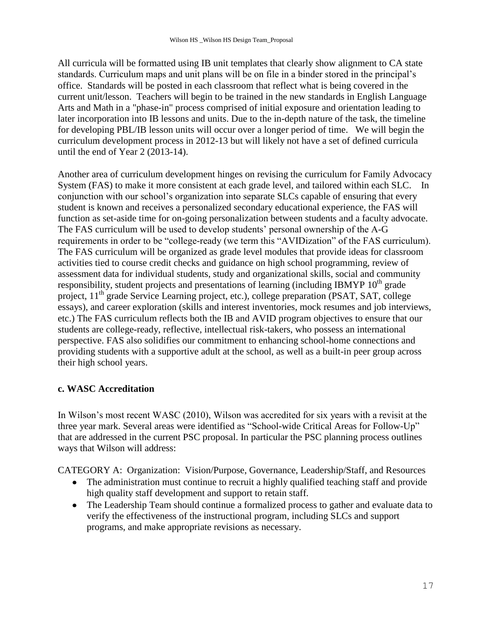All curricula will be formatted using IB unit templates that clearly show alignment to CA state standards. Curriculum maps and unit plans will be on file in a binder stored in the principal's office. Standards will be posted in each classroom that reflect what is being covered in the current unit/lesson. Teachers will begin to be trained in the new standards in English Language Arts and Math in a "phase-in" process comprised of initial exposure and orientation leading to later incorporation into IB lessons and units. Due to the in-depth nature of the task, the timeline for developing PBL/IB lesson units will occur over a longer period of time. We will begin the curriculum development process in 2012-13 but will likely not have a set of defined curricula until the end of Year 2 (2013-14).

Another area of curriculum development hinges on revising the curriculum for Family Advocacy System (FAS) to make it more consistent at each grade level, and tailored within each SLC. In conjunction with our school's organization into separate SLCs capable of ensuring that every student is known and receives a personalized secondary educational experience, the FAS will function as set-aside time for on-going personalization between students and a faculty advocate. The FAS curriculum will be used to develop students' personal ownership of the A-G requirements in order to be "college-ready (we term this "AVIDization" of the FAS curriculum). The FAS curriculum will be organized as grade level modules that provide ideas for classroom activities tied to course credit checks and guidance on high school programming, review of assessment data for individual students, study and organizational skills, social and community responsibility, student projects and presentations of learning (including IBMYP  $10<sup>th</sup>$  grade project,  $11<sup>th</sup>$  grade Service Learning project, etc.), college preparation (PSAT, SAT, college essays), and career exploration (skills and interest inventories, mock resumes and job interviews, etc.) The FAS curriculum reflects both the IB and AVID program objectives to ensure that our students are college-ready, reflective, intellectual risk-takers, who possess an international perspective. FAS also solidifies our commitment to enhancing school-home connections and providing students with a supportive adult at the school, as well as a built-in peer group across their high school years.

### **c. WASC Accreditation**

In Wilson's most recent WASC (2010), Wilson was accredited for six years with a revisit at the three year mark. Several areas were identified as "School-wide Critical Areas for Follow-Up" that are addressed in the current PSC proposal. In particular the PSC planning process outlines ways that Wilson will address:

CATEGORY A: Organization: Vision/Purpose, Governance, Leadership/Staff, and Resources

- The administration must continue to recruit a highly qualified teaching staff and provide high quality staff development and support to retain staff.
- The Leadership Team should continue a formalized process to gather and evaluate data to verify the effectiveness of the instructional program, including SLCs and support programs, and make appropriate revisions as necessary.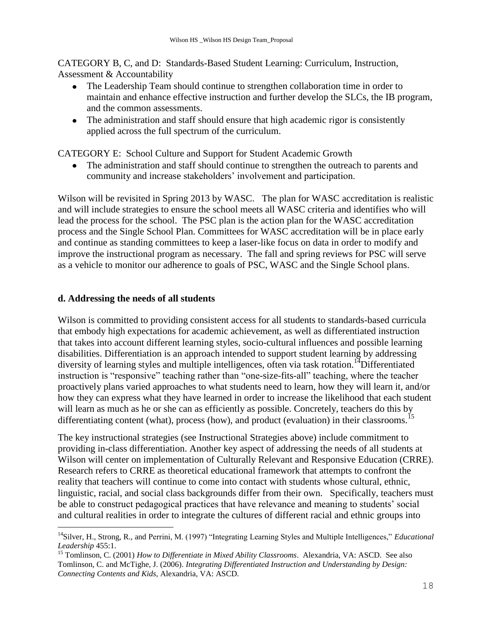CATEGORY B, C, and D: Standards-Based Student Learning: Curriculum, Instruction, Assessment & Accountability

- The Leadership Team should continue to strengthen collaboration time in order to maintain and enhance effective instruction and further develop the SLCs, the IB program, and the common assessments.
- The administration and staff should ensure that high academic rigor is consistently applied across the full spectrum of the curriculum.

CATEGORY E: School Culture and Support for Student Academic Growth

The administration and staff should continue to strengthen the outreach to parents and  $\bullet$ community and increase stakeholders' involvement and participation.

Wilson will be revisited in Spring 2013 by WASC. The plan for WASC accreditation is realistic and will include strategies to ensure the school meets all WASC criteria and identifies who will lead the process for the school. The PSC plan is the action plan for the WASC accreditation process and the Single School Plan. Committees for WASC accreditation will be in place early and continue as standing committees to keep a laser-like focus on data in order to modify and improve the instructional program as necessary. The fall and spring reviews for PSC will serve as a vehicle to monitor our adherence to goals of PSC, WASC and the Single School plans.

### **d. Addressing the needs of all students**

i<br>L

Wilson is committed to providing consistent access for all students to standards-based curricula that embody high expectations for academic achievement, as well as differentiated instruction that takes into account different learning styles, socio-cultural influences and possible learning disabilities. Differentiation is an approach intended to support student learning by addressing diversity of learning styles and multiple intelligences, often via task rotation.<sup>14</sup>Differentiated instruction is "responsive" teaching rather than "one-size-fits-all" teaching, where the teacher proactively plans varied approaches to what students need to learn, how they will learn it, and/or how they can express what they have learned in order to increase the likelihood that each student will learn as much as he or she can as efficiently as possible. Concretely, teachers do this by differentiating content (what), process (how), and product (evaluation) in their classrooms.<sup>15</sup>

The key instructional strategies (see Instructional Strategies above) include commitment to providing in-class differentiation. Another key aspect of addressing the needs of all students at Wilson will center on implementation of Culturally Relevant and Responsive Education (CRRE). Research refers to CRRE as theoretical educational framework that attempts to confront the reality that teachers will continue to come into contact with students whose cultural, ethnic, linguistic, racial, and social class backgrounds differ from their own. Specifically, teachers must be able to construct pedagogical practices that have relevance and meaning to students' social and cultural realities in order to integrate the cultures of different racial and ethnic groups into

<sup>&</sup>lt;sup>14</sup>Silver, H., Strong, R., and Perrini, M. (1997) "Integrating Learning Styles and Multiple Intelligences," *Educational Leadership* 455:1.

<sup>15</sup> Tomlinson, C. (2001) *How to Differentiate in Mixed Ability Classrooms*. Alexandria, VA: ASCD. See also Tomlinson, C. and McTighe, J. (2006). *Integrating Differentiated Instruction and Understanding by Design: Connecting Contents and Kids,* Alexandria, VA: ASCD.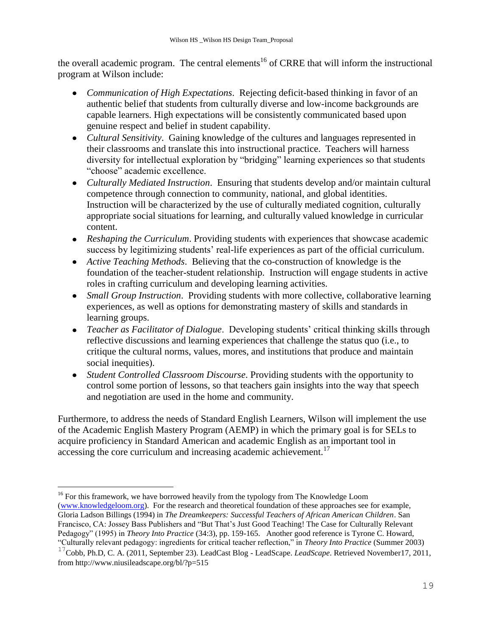the overall academic program. The central elements<sup>16</sup> of CRRE that will inform the instructional program at Wilson include:

- *Communication of High Expectations*. Rejecting deficit-based thinking in favor of an authentic belief that students from culturally diverse and low-income backgrounds are capable learners. High expectations will be consistently communicated based upon genuine respect and belief in student capability.
- *Cultural Sensitivity*. Gaining knowledge of the cultures and languages represented in their classrooms and translate this into instructional practice. Teachers will harness diversity for intellectual exploration by "bridging" learning experiences so that students "choose" academic excellence.
- *Culturally Mediated Instruction*. Ensuring that students develop and/or maintain cultural competence through connection to community, national, and global identities. Instruction will be characterized by the use of culturally mediated cognition, culturally appropriate social situations for learning, and culturally valued knowledge in curricular content.
- *Reshaping the Curriculum*. Providing students with experiences that showcase academic success by legitimizing students' real-life experiences as part of the official curriculum.
- *Active Teaching Methods*. Believing that the co-construction of knowledge is the foundation of the teacher-student relationship. Instruction will engage students in active roles in crafting curriculum and developing learning activities.
- *Small Group Instruction*. Providing students with more collective, collaborative learning experiences, as well as options for demonstrating mastery of skills and standards in learning groups.
- *Teacher as Facilitator of Dialogue*. Developing students' critical thinking skills through reflective discussions and learning experiences that challenge the status quo (i.e., to critique the cultural norms, values, mores, and institutions that produce and maintain social inequities).
- *Student Controlled Classroom Discourse*. Providing students with the opportunity to control some portion of lessons, so that teachers gain insights into the way that speech and negotiation are used in the home and community.

Furthermore, to address the needs of Standard English Learners, Wilson will implement the use of the Academic English Mastery Program (AEMP) in which the primary goal is for SELs to acquire proficiency in Standard American and academic English as an important tool in accessing the core curriculum and increasing academic achievement.<sup>17</sup>

i<br>L <sup>16</sup> For this framework, we have borrowed heavily from the typology from The Knowledge Loom [\(www.knowledgeloom.org\)](http://www.knowledgeloom.org/). For the research and theoretical foundation of these approaches see for example, Gloria Ladson Billings (1994) in *The Dreamkeepers: Successful Teachers of African American Children*. San Francisco, CA: Jossey Bass Publishers and "But That's Just Good Teaching! The Case for Culturally Relevant Pedagogy" (1995) in *Theory Into Practice* (34:3), pp. 159-165. Another good reference is Tyrone C. Howard, ―Culturally relevant pedagogy: ingredients for critical teacher reflection,‖ in *Theory Into Practice* (Summer 2003)

<sup>17</sup>Cobb, Ph.D, C. A. (2011, September 23). LeadCast Blog - LeadScape. *LeadScape*. Retrieved November17, 2011, from http://www.niusileadscape.org/bl/?p=515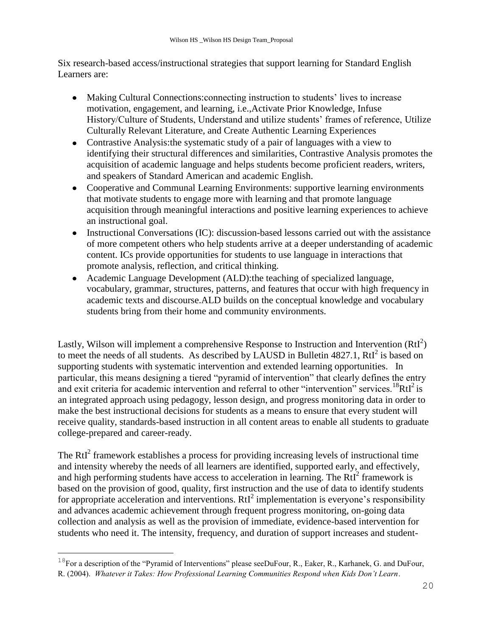Six research-based access/instructional strategies that support learning for Standard English Learners are:

- Making Cultural Connections:connecting instruction to students' lives to increase motivation, engagement, and learning, i.e.,Activate Prior Knowledge, Infuse History/Culture of Students, Understand and utilize students' frames of reference, Utilize Culturally Relevant Literature, and Create Authentic Learning Experiences
- Contrastive Analysis:the systematic study of a pair of languages with a view to identifying their structural differences and similarities, Contrastive Analysis promotes the acquisition of academic language and helps students become proficient readers, writers, and speakers of Standard American and academic English.
- Cooperative and Communal Learning Environments: supportive learning environments that motivate students to engage more with learning and that promote language acquisition through meaningful interactions and positive learning experiences to achieve an instructional goal.
- Instructional Conversations (IC): discussion-based lessons carried out with the assistance of more competent others who help students arrive at a deeper understanding of academic content. ICs provide opportunities for students to use language in interactions that promote analysis, reflection, and critical thinking.
- Academic Language Development (ALD):the teaching of specialized language, vocabulary, grammar, structures, patterns, and features that occur with high frequency in academic texts and discourse.ALD builds on the conceptual knowledge and vocabulary students bring from their home and community environments.

Lastly, Wilson will implement a comprehensive Response to Instruction and Intervention  $(RtI<sup>2</sup>)$ to meet the needs of all students. As described by LAUSD in Bulletin  $4827.1$ , RtI<sup>2</sup> is based on supporting students with systematic intervention and extended learning opportunities. In particular, this means designing a tiered "pyramid of intervention" that clearly defines the entry and exit criteria for academic intervention and referral to other "intervention" services.<sup>18</sup>RtI<sup>2</sup> is an integrated approach using pedagogy, lesson design, and progress monitoring data in order to make the best instructional decisions for students as a means to ensure that every student will receive quality, standards-based instruction in all content areas to enable all students to graduate college-prepared and career-ready.

The  $RtI<sup>2</sup>$  framework establishes a process for providing increasing levels of instructional time and intensity whereby the needs of all learners are identified, supported early, and effectively, and high performing students have access to acceleration in learning. The RtI<sup>2</sup> framework is based on the provision of good, quality, first instruction and the use of data to identify students for appropriate acceleration and interventions.  $RtI<sup>2</sup>$  implementation is everyone's responsibility and advances academic achievement through frequent progress monitoring, on-going data collection and analysis as well as the provision of immediate, evidence-based intervention for students who need it. The intensity, frequency, and duration of support increases and student-

 $18$ For a description of the "Pyramid of Interventions" please seeDuFour, R., Eaker, R., Karhanek, G. and DuFour, R. (2004). *Whatever it Takes: How Professional Learning Communities Respond when Kids Don't Learn*.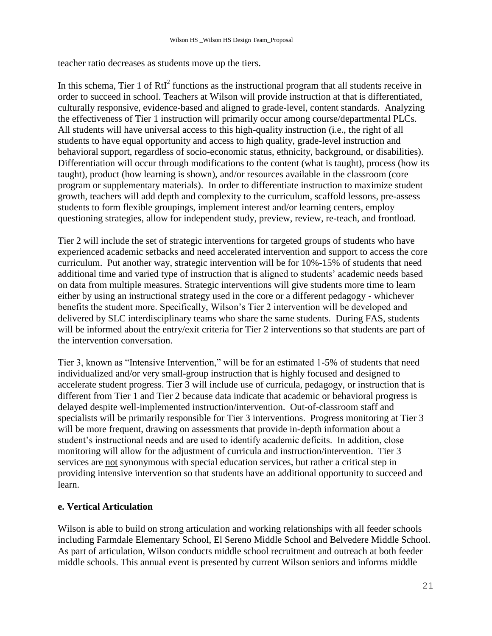teacher ratio decreases as students move up the tiers.

In this schema, Tier 1 of  $RtI<sup>2</sup>$  functions as the instructional program that all students receive in order to succeed in school. Teachers at Wilson will provide instruction at that is differentiated, culturally responsive, evidence-based and aligned to grade-level, content standards. Analyzing the effectiveness of Tier 1 instruction will primarily occur among course/departmental PLCs. All students will have universal access to this high-quality instruction (i.e., the right of all students to have equal opportunity and access to high quality, grade-level instruction and behavioral support, regardless of socio-economic status, ethnicity, background, or disabilities). Differentiation will occur through modifications to the content (what is taught), process (how its taught), product (how learning is shown), and/or resources available in the classroom (core program or supplementary materials). In order to differentiate instruction to maximize student growth, teachers will add depth and complexity to the curriculum, scaffold lessons, pre-assess students to form flexible groupings, implement interest and/or learning centers, employ questioning strategies, allow for independent study, preview, review, re-teach, and frontload.

Tier 2 will include the set of strategic interventions for targeted groups of students who have experienced academic setbacks and need accelerated intervention and support to access the core curriculum. Put another way, strategic intervention will be for 10%-15% of students that need additional time and varied type of instruction that is aligned to students' academic needs based on data from multiple measures. Strategic interventions will give students more time to learn either by using an instructional strategy used in the core or a different pedagogy - whichever benefits the student more. Specifically, Wilson's Tier 2 intervention will be developed and delivered by SLC interdisciplinary teams who share the same students. During FAS, students will be informed about the entry/exit criteria for Tier 2 interventions so that students are part of the intervention conversation.

Tier 3, known as "Intensive Intervention," will be for an estimated 1-5% of students that need individualized and/or very small-group instruction that is highly focused and designed to accelerate student progress. Tier 3 will include use of curricula, pedagogy, or instruction that is different from Tier 1 and Tier 2 because data indicate that academic or behavioral progress is delayed despite well-implemented instruction/intervention. Out-of-classroom staff and specialists will be primarily responsible for Tier 3 interventions. Progress monitoring at Tier 3 will be more frequent, drawing on assessments that provide in-depth information about a student's instructional needs and are used to identify academic deficits. In addition, close monitoring will allow for the adjustment of curricula and instruction/intervention. Tier 3 services are not synonymous with special education services, but rather a critical step in providing intensive intervention so that students have an additional opportunity to succeed and learn.

### **e. Vertical Articulation**

Wilson is able to build on strong articulation and working relationships with all feeder schools including Farmdale Elementary School, El Sereno Middle School and Belvedere Middle School. As part of articulation, Wilson conducts middle school recruitment and outreach at both feeder middle schools. This annual event is presented by current Wilson seniors and informs middle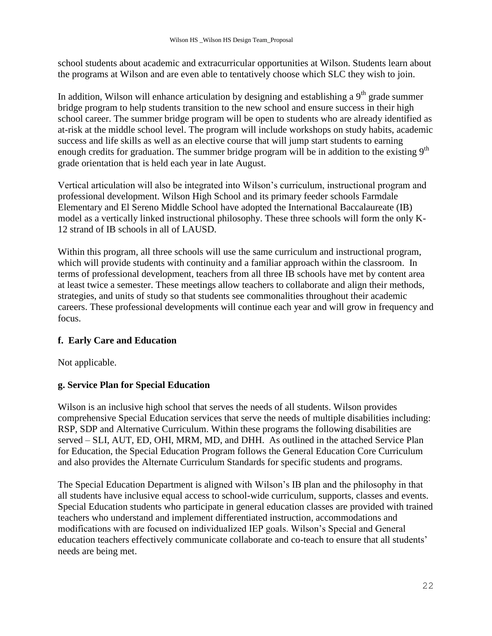school students about academic and extracurricular opportunities at Wilson. Students learn about the programs at Wilson and are even able to tentatively choose which SLC they wish to join.

In addition, Wilson will enhance articulation by designing and establishing a  $9<sup>th</sup>$  grade summer bridge program to help students transition to the new school and ensure success in their high school career. The summer bridge program will be open to students who are already identified as at-risk at the middle school level. The program will include workshops on study habits, academic success and life skills as well as an elective course that will jump start students to earning enough credits for graduation. The summer bridge program will be in addition to the existing 9<sup>th</sup> grade orientation that is held each year in late August.

Vertical articulation will also be integrated into Wilson's curriculum, instructional program and professional development. Wilson High School and its primary feeder schools Farmdale Elementary and El Sereno Middle School have adopted the International Baccalaureate (IB) model as a vertically linked instructional philosophy. These three schools will form the only K-12 strand of IB schools in all of LAUSD.

Within this program, all three schools will use the same curriculum and instructional program, which will provide students with continuity and a familiar approach within the classroom. In terms of professional development, teachers from all three IB schools have met by content area at least twice a semester. These meetings allow teachers to collaborate and align their methods, strategies, and units of study so that students see commonalities throughout their academic careers. These professional developments will continue each year and will grow in frequency and focus.

## **f. Early Care and Education**

Not applicable.

## **g. Service Plan for Special Education**

Wilson is an inclusive high school that serves the needs of all students. Wilson provides comprehensive Special Education services that serve the needs of multiple disabilities including: RSP, SDP and Alternative Curriculum. Within these programs the following disabilities are served – SLI, AUT, ED, OHI, MRM, MD, and DHH. As outlined in the attached Service Plan for Education, the Special Education Program follows the General Education Core Curriculum and also provides the Alternate Curriculum Standards for specific students and programs.

The Special Education Department is aligned with Wilson's IB plan and the philosophy in that all students have inclusive equal access to school-wide curriculum, supports, classes and events. Special Education students who participate in general education classes are provided with trained teachers who understand and implement differentiated instruction, accommodations and modifications with are focused on individualized IEP goals. Wilson's Special and General education teachers effectively communicate collaborate and co-teach to ensure that all students' needs are being met.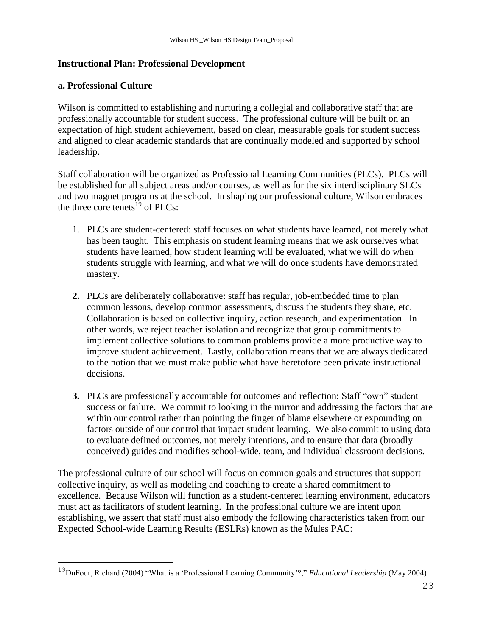### **Instructional Plan: Professional Development**

#### **a. Professional Culture**

i<br>L

Wilson is committed to establishing and nurturing a collegial and collaborative staff that are professionally accountable for student success. The professional culture will be built on an expectation of high student achievement, based on clear, measurable goals for student success and aligned to clear academic standards that are continually modeled and supported by school leadership.

Staff collaboration will be organized as Professional Learning Communities (PLCs). PLCs will be established for all subject areas and/or courses, as well as for the six interdisciplinary SLCs and two magnet programs at the school. In shaping our professional culture, Wilson embraces the three core tenets<sup>19</sup> of PLCs:

- 1. PLCs are student-centered: staff focuses on what students have learned, not merely what has been taught. This emphasis on student learning means that we ask ourselves what students have learned, how student learning will be evaluated, what we will do when students struggle with learning, and what we will do once students have demonstrated mastery.
- **2.** PLCs are deliberately collaborative: staff has regular, job-embedded time to plan common lessons, develop common assessments, discuss the students they share, etc. Collaboration is based on collective inquiry, action research, and experimentation. In other words, we reject teacher isolation and recognize that group commitments to implement collective solutions to common problems provide a more productive way to improve student achievement. Lastly, collaboration means that we are always dedicated to the notion that we must make public what have heretofore been private instructional decisions.
- **3.** PLCs are professionally accountable for outcomes and reflection: Staff "own" student success or failure. We commit to looking in the mirror and addressing the factors that are within our control rather than pointing the finger of blame elsewhere or expounding on factors outside of our control that impact student learning. We also commit to using data to evaluate defined outcomes, not merely intentions, and to ensure that data (broadly conceived) guides and modifies school-wide, team, and individual classroom decisions.

The professional culture of our school will focus on common goals and structures that support collective inquiry, as well as modeling and coaching to create a shared commitment to excellence. Because Wilson will function as a student-centered learning environment, educators must act as facilitators of student learning. In the professional culture we are intent upon establishing, we assert that staff must also embody the following characteristics taken from our Expected School-wide Learning Results (ESLRs) known as the Mules PAC:

<sup>&</sup>lt;sup>19</sup>DuFour, Richard (2004) "What is a 'Professional Learning Community'?," *Educational Leadership* (May 2004)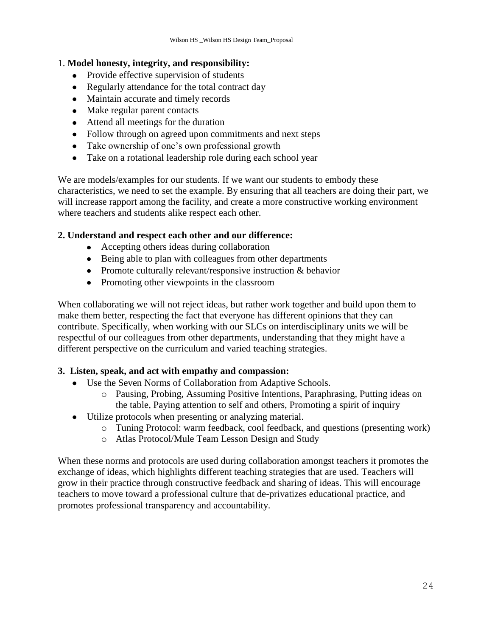### 1. **Model honesty, integrity, and responsibility:**

- Provide effective supervision of students
- Regularly attendance for the total contract day
- Maintain accurate and timely records
- Make regular parent contacts
- Attend all meetings for the duration
- Follow through on agreed upon commitments and next steps
- Take ownership of one's own professional growth
- Take on a rotational leadership role during each school year

We are models/examples for our students. If we want our students to embody these characteristics, we need to set the example. By ensuring that all teachers are doing their part, we will increase rapport among the facility, and create a more constructive working environment where teachers and students alike respect each other.

### **2. Understand and respect each other and our difference:**

- Accepting others ideas during collaboration
- Being able to plan with colleagues from other departments
- Promote culturally relevant/responsive instruction & behavior
- Promoting other viewpoints in the classroom

When collaborating we will not reject ideas, but rather work together and build upon them to make them better, respecting the fact that everyone has different opinions that they can contribute. Specifically, when working with our SLCs on interdisciplinary units we will be respectful of our colleagues from other departments, understanding that they might have a different perspective on the curriculum and varied teaching strategies.

#### **3. Listen, speak, and act with empathy and compassion:**

- Use the Seven Norms of Collaboration from Adaptive Schools.
	- o Pausing, Probing, Assuming Positive Intentions, Paraphrasing, Putting ideas on the table, Paying attention to self and others, Promoting a spirit of inquiry
- Utilize protocols when presenting or analyzing material.
	- o Tuning Protocol: warm feedback, cool feedback, and questions (presenting work)
	- o Atlas Protocol/Mule Team Lesson Design and Study

When these norms and protocols are used during collaboration amongst teachers it promotes the exchange of ideas, which highlights different teaching strategies that are used. Teachers will grow in their practice through constructive feedback and sharing of ideas. This will encourage teachers to move toward a professional culture that de-privatizes educational practice, and promotes professional transparency and accountability.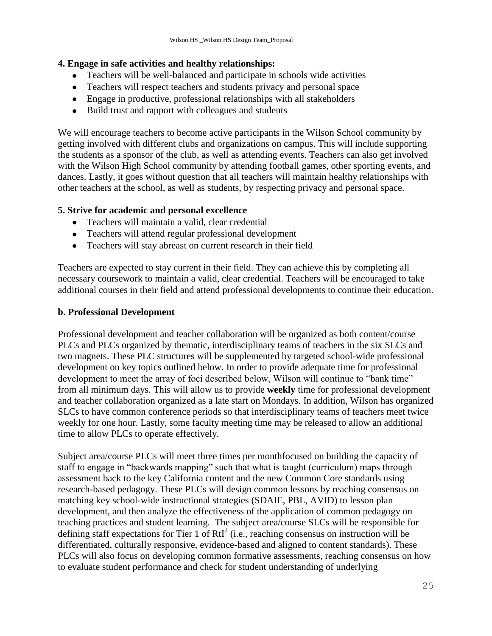### **4. Engage in safe activities and healthy relationships:**

- Teachers will be well-balanced and participate in schools wide activities
- Teachers will respect teachers and students privacy and personal space
- Engage in productive, professional relationships with all stakeholders
- Build trust and rapport with colleagues and students

We will encourage teachers to become active participants in the Wilson School community by getting involved with different clubs and organizations on campus. This will include supporting the students as a sponsor of the club, as well as attending events. Teachers can also get involved with the Wilson High School community by attending football games, other sporting events, and dances. Lastly, it goes without question that all teachers will maintain healthy relationships with other teachers at the school, as well as students, by respecting privacy and personal space.

### **5. Strive for academic and personal excellence**

- Teachers will maintain a valid, clear credential
- Teachers will attend regular professional development
- Teachers will stay abreast on current research in their field

Teachers are expected to stay current in their field. They can achieve this by completing all necessary coursework to maintain a valid, clear credential. Teachers will be encouraged to take additional courses in their field and attend professional developments to continue their education.

### **b. Professional Development**

Professional development and teacher collaboration will be organized as both content/course PLCs and PLCs organized by thematic, interdisciplinary teams of teachers in the six SLCs and two magnets. These PLC structures will be supplemented by targeted school-wide professional development on key topics outlined below. In order to provide adequate time for professional development to meet the array of foci described below, Wilson will continue to "bank time" from all minimum days. This will allow us to provide **weekly** time for professional development and teacher collaboration organized as a late start on Mondays. In addition, Wilson has organized SLCs to have common conference periods so that interdisciplinary teams of teachers meet twice weekly for one hour. Lastly, some faculty meeting time may be released to allow an additional time to allow PLCs to operate effectively.

Subject area/course PLCs will meet three times per monthfocused on building the capacity of staff to engage in "backwards mapping" such that what is taught (curriculum) maps through assessment back to the key California content and the new Common Core standards using research-based pedagogy. These PLCs will design common lessons by reaching consensus on matching key school-wide instructional strategies (SDAIE, PBL, AVID) to lesson plan development, and then analyze the effectiveness of the application of common pedagogy on teaching practices and student learning. The subject area/course SLCs will be responsible for defining staff expectations for Tier 1 of RtI<sup>2</sup> (i.e., reaching consensus on instruction will be differentiated, culturally responsive, evidence-based and aligned to content standards). These PLCs will also focus on developing common formative assessments, reaching consensus on how to evaluate student performance and check for student understanding of underlying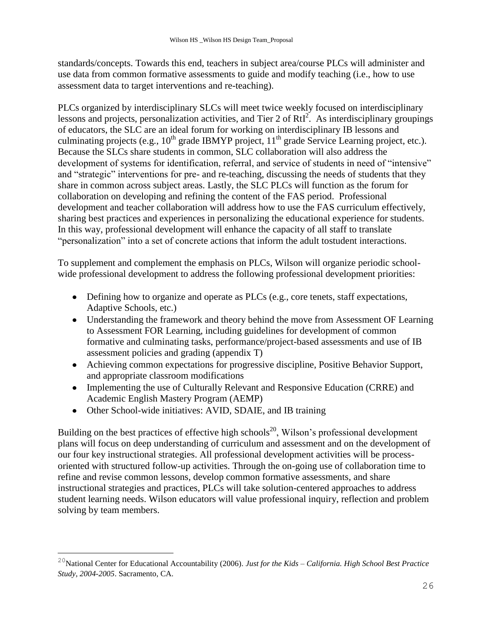standards/concepts. Towards this end, teachers in subject area/course PLCs will administer and use data from common formative assessments to guide and modify teaching (i.e., how to use assessment data to target interventions and re-teaching).

PLCs organized by interdisciplinary SLCs will meet twice weekly focused on interdisciplinary lessons and projects, personalization activities, and Tier 2 of RtI<sup>2</sup>. As interdisciplinary groupings of educators, the SLC are an ideal forum for working on interdisciplinary IB lessons and culminating projects (e.g.,  $10^{th}$  grade IBMYP project,  $11^{th}$  grade Service Learning project, etc.). Because the SLCs share students in common, SLC collaboration will also address the development of systems for identification, referral, and service of students in need of "intensive" and "strategic" interventions for pre- and re-teaching, discussing the needs of students that they share in common across subject areas. Lastly, the SLC PLCs will function as the forum for collaboration on developing and refining the content of the FAS period. Professional development and teacher collaboration will address how to use the FAS curriculum effectively, sharing best practices and experiences in personalizing the educational experience for students. In this way, professional development will enhance the capacity of all staff to translate "personalization" into a set of concrete actions that inform the adult tostudent interactions.

To supplement and complement the emphasis on PLCs, Wilson will organize periodic schoolwide professional development to address the following professional development priorities:

- Defining how to organize and operate as PLCs (e.g., core tenets, staff expectations, Adaptive Schools, etc.)
- Understanding the framework and theory behind the move from Assessment OF Learning to Assessment FOR Learning, including guidelines for development of common formative and culminating tasks, performance/project-based assessments and use of IB assessment policies and grading (appendix T)
- Achieving common expectations for progressive discipline, Positive Behavior Support, and appropriate classroom modifications
- Implementing the use of Culturally Relevant and Responsive Education (CRRE) and Academic English Mastery Program (AEMP)
- Other School-wide initiatives: AVID, SDAIE, and IB training

i<br>L

Building on the best practices of effective high schools<sup>20</sup>, Wilson's professional development plans will focus on deep understanding of curriculum and assessment and on the development of our four key instructional strategies. All professional development activities will be processoriented with structured follow-up activities. Through the on-going use of collaboration time to refine and revise common lessons, develop common formative assessments, and share instructional strategies and practices, PLCs will take solution-centered approaches to address student learning needs. Wilson educators will value professional inquiry, reflection and problem solving by team members.

<sup>20</sup>National Center for Educational Accountability (2006). *Just for the Kids – California. High School Best Practice Study, 2004-2005*. Sacramento, CA.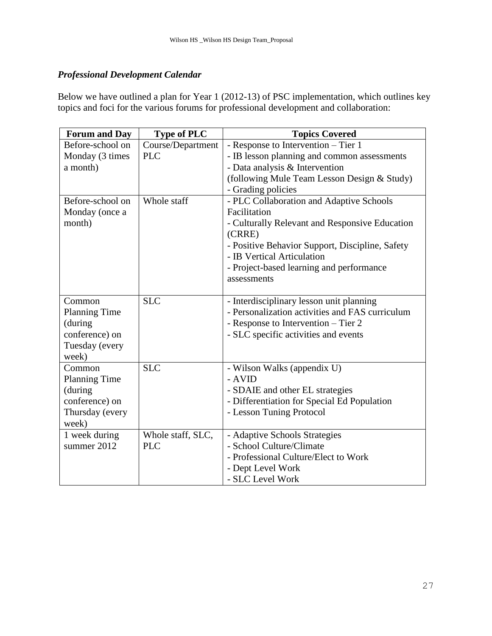# *Professional Development Calendar*

Below we have outlined a plan for Year 1 (2012-13) of PSC implementation, which outlines key topics and foci for the various forums for professional development and collaboration:

| <b>Forum and Day</b> | <b>Type of PLC</b> | <b>Topics Covered</b>                                                         |
|----------------------|--------------------|-------------------------------------------------------------------------------|
| Before-school on     | Course/Department  | - Response to Intervention – Tier 1                                           |
| Monday (3 times      | <b>PLC</b>         | - IB lesson planning and common assessments                                   |
| a month)             |                    | - Data analysis & Intervention                                                |
|                      |                    | (following Mule Team Lesson Design & Study)                                   |
|                      |                    | - Grading policies                                                            |
| Before-school on     | Whole staff        | - PLC Collaboration and Adaptive Schools                                      |
| Monday (once a       |                    | Facilitation                                                                  |
| month)               |                    | - Culturally Relevant and Responsive Education<br>(CRRE)                      |
|                      |                    | - Positive Behavior Support, Discipline, Safety<br>- IB Vertical Articulation |
|                      |                    | - Project-based learning and performance                                      |
|                      |                    | assessments                                                                   |
|                      |                    |                                                                               |
| Common               | <b>SLC</b>         | - Interdisciplinary lesson unit planning                                      |
| <b>Planning Time</b> |                    | - Personalization activities and FAS curriculum                               |
| (during              |                    | - Response to Intervention – Tier 2                                           |
| conference) on       |                    | - SLC specific activities and events                                          |
| Tuesday (every       |                    |                                                                               |
| week)                |                    |                                                                               |
| Common               | <b>SLC</b>         | - Wilson Walks (appendix U)                                                   |
| <b>Planning Time</b> |                    | - AVID                                                                        |
| (during              |                    | - SDAIE and other EL strategies                                               |
| conference) on       |                    | - Differentiation for Special Ed Population                                   |
| Thursday (every      |                    | - Lesson Tuning Protocol                                                      |
| week)                |                    |                                                                               |
| 1 week during        | Whole staff, SLC,  | - Adaptive Schools Strategies                                                 |
| summer 2012          | <b>PLC</b>         | - School Culture/Climate                                                      |
|                      |                    | - Professional Culture/Elect to Work                                          |
|                      |                    | - Dept Level Work                                                             |
|                      |                    | - SLC Level Work                                                              |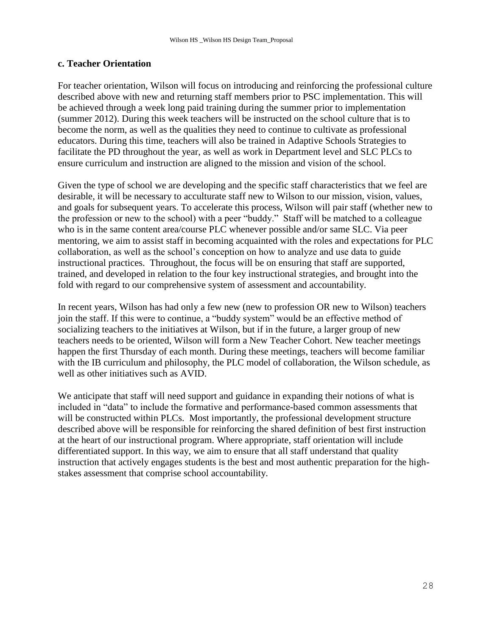#### **c. Teacher Orientation**

For teacher orientation, Wilson will focus on introducing and reinforcing the professional culture described above with new and returning staff members prior to PSC implementation. This will be achieved through a week long paid training during the summer prior to implementation (summer 2012). During this week teachers will be instructed on the school culture that is to become the norm, as well as the qualities they need to continue to cultivate as professional educators. During this time, teachers will also be trained in Adaptive Schools Strategies to facilitate the PD throughout the year, as well as work in Department level and SLC PLCs to ensure curriculum and instruction are aligned to the mission and vision of the school.

Given the type of school we are developing and the specific staff characteristics that we feel are desirable, it will be necessary to acculturate staff new to Wilson to our mission, vision, values, and goals for subsequent years. To accelerate this process, Wilson will pair staff (whether new to the profession or new to the school) with a peer "buddy." Staff will be matched to a colleague who is in the same content area/course PLC whenever possible and/or same SLC. Via peer mentoring, we aim to assist staff in becoming acquainted with the roles and expectations for PLC collaboration, as well as the school's conception on how to analyze and use data to guide instructional practices. Throughout, the focus will be on ensuring that staff are supported, trained, and developed in relation to the four key instructional strategies, and brought into the fold with regard to our comprehensive system of assessment and accountability.

In recent years, Wilson has had only a few new (new to profession OR new to Wilson) teachers join the staff. If this were to continue, a "buddy system" would be an effective method of socializing teachers to the initiatives at Wilson, but if in the future, a larger group of new teachers needs to be oriented, Wilson will form a New Teacher Cohort. New teacher meetings happen the first Thursday of each month. During these meetings, teachers will become familiar with the IB curriculum and philosophy, the PLC model of collaboration, the Wilson schedule, as well as other initiatives such as AVID.

We anticipate that staff will need support and guidance in expanding their notions of what is included in "data" to include the formative and performance-based common assessments that will be constructed within PLCs. Most importantly, the professional development structure described above will be responsible for reinforcing the shared definition of best first instruction at the heart of our instructional program. Where appropriate, staff orientation will include differentiated support. In this way, we aim to ensure that all staff understand that quality instruction that actively engages students is the best and most authentic preparation for the highstakes assessment that comprise school accountability.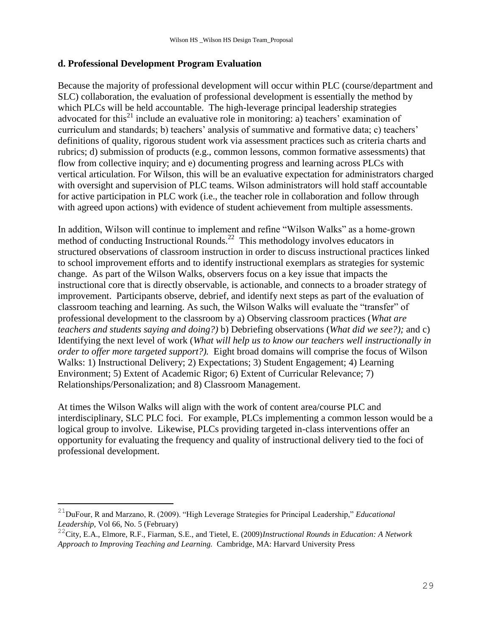### **d. Professional Development Program Evaluation**

Because the majority of professional development will occur within PLC (course/department and SLC) collaboration, the evaluation of professional development is essentially the method by which PLCs will be held accountable. The high-leverage principal leadership strategies advocated for this<sup>21</sup> include an evaluative role in monitoring: a) teachers' examination of curriculum and standards; b) teachers' analysis of summative and formative data; c) teachers' definitions of quality, rigorous student work via assessment practices such as criteria charts and rubrics; d) submission of products (e.g., common lessons, common formative assessments) that flow from collective inquiry; and e) documenting progress and learning across PLCs with vertical articulation. For Wilson, this will be an evaluative expectation for administrators charged with oversight and supervision of PLC teams. Wilson administrators will hold staff accountable for active participation in PLC work (i.e., the teacher role in collaboration and follow through with agreed upon actions) with evidence of student achievement from multiple assessments.

In addition, Wilson will continue to implement and refine "Wilson Walks" as a home-grown method of conducting Instructional Rounds.<sup>22</sup> This methodology involves educators in structured observations of classroom instruction in order to discuss instructional practices linked to school improvement efforts and to identify instructional exemplars as strategies for systemic change. As part of the Wilson Walks, observers focus on a key issue that impacts the instructional core that is directly observable, is actionable, and connects to a broader strategy of improvement. Participants observe, debrief, and identify next steps as part of the evaluation of classroom teaching and learning. As such, the Wilson Walks will evaluate the "transfer" of professional development to the classroom by a) Observing classroom practices (*What are teachers and students saying and doing?)* b) Debriefing observations (*What did we see?);* and c) Identifying the next level of work (*What will help us to know our teachers well instructionally in order to offer more targeted support?).* Eight broad domains will comprise the focus of Wilson Walks: 1) Instructional Delivery; 2) Expectations; 3) Student Engagement; 4) Learning Environment; 5) Extent of Academic Rigor; 6) Extent of Curricular Relevance; 7) Relationships/Personalization; and 8) Classroom Management.

At times the Wilson Walks will align with the work of content area/course PLC and interdisciplinary, SLC PLC foci. For example, PLCs implementing a common lesson would be a logical group to involve. Likewise, PLCs providing targeted in-class interventions offer an opportunity for evaluating the frequency and quality of instructional delivery tied to the foci of professional development.

<sup>&</sup>lt;sup>21</sup>DuFour, R and Marzano, R. (2009). "High Leverage Strategies for Principal Leadership," *Educational Leadership*, Vol 66, No. 5 (February)

<sup>22</sup>City, E.A., Elmore, R.F., Fiarman, S.E., and Tietel, E. (2009)*Instructional Rounds in Education: A Network Approach to Improving Teaching and Learning.* Cambridge, MA: Harvard University Press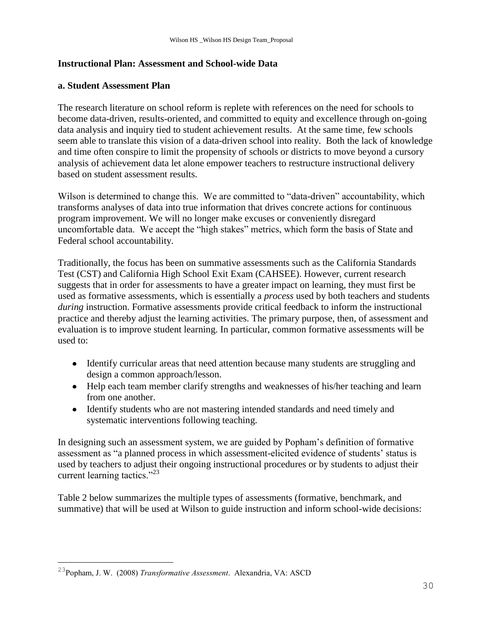### **Instructional Plan: Assessment and School-wide Data**

#### **a. Student Assessment Plan**

The research literature on school reform is replete with references on the need for schools to become data-driven, results-oriented, and committed to equity and excellence through on-going data analysis and inquiry tied to student achievement results. At the same time, few schools seem able to translate this vision of a data-driven school into reality. Both the lack of knowledge and time often conspire to limit the propensity of schools or districts to move beyond a cursory analysis of achievement data let alone empower teachers to restructure instructional delivery based on student assessment results.

Wilson is determined to change this. We are committed to "data-driven" accountability, which transforms analyses of data into true information that drives concrete actions for continuous program improvement. We will no longer make excuses or conveniently disregard uncomfortable data. We accept the "high stakes" metrics, which form the basis of State and Federal school accountability.

Traditionally, the focus has been on summative assessments such as the California Standards Test (CST) and California High School Exit Exam (CAHSEE). However, current research suggests that in order for assessments to have a greater impact on learning, they must first be used as formative assessments, which is essentially a *process* used by both teachers and students *during* instruction. Formative assessments provide critical feedback to inform the instructional practice and thereby adjust the learning activities. The primary purpose, then, of assessment and evaluation is to improve student learning. In particular, common formative assessments will be used to:

- Identify curricular areas that need attention because many students are struggling and design a common approach/lesson.
- Help each team member clarify strengths and weaknesses of his/her teaching and learn from one another.
- Identify students who are not mastering intended standards and need timely and systematic interventions following teaching.

In designing such an assessment system, we are guided by Popham's definition of formative assessment as "a planned process in which assessment-elicited evidence of students' status is used by teachers to adjust their ongoing instructional procedures or by students to adjust their current learning tactics." $^{23}$ 

Table 2 below summarizes the multiple types of assessments (formative, benchmark, and summative) that will be used at Wilson to guide instruction and inform school-wide decisions:

<sup>23</sup>Popham, J. W. (2008) *Transformative Assessment*. Alexandria, VA: ASCD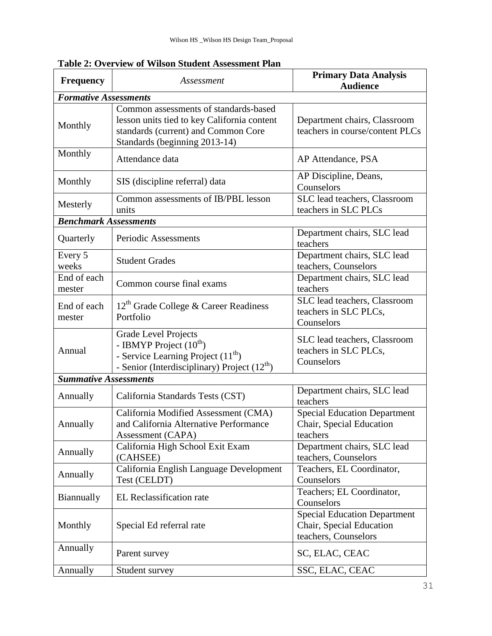| <b>Frequency</b>             | <b>Primary Data Analysis</b><br>Assessment<br><b>Audience</b>                                                                                                 |                                                                                         |  |  |  |
|------------------------------|---------------------------------------------------------------------------------------------------------------------------------------------------------------|-----------------------------------------------------------------------------------------|--|--|--|
| <b>Formative Assessments</b> |                                                                                                                                                               |                                                                                         |  |  |  |
| Monthly                      | Common assessments of standards-based<br>lesson units tied to key California content<br>standards (current) and Common Core<br>Standards (beginning 2013-14)  | Department chairs, Classroom<br>teachers in course/content PLCs                         |  |  |  |
| Monthly                      | Attendance data                                                                                                                                               | AP Attendance, PSA                                                                      |  |  |  |
| Monthly                      | SIS (discipline referral) data                                                                                                                                | AP Discipline, Deans,<br>Counselors                                                     |  |  |  |
| Mesterly                     | Common assessments of IB/PBL lesson<br>units                                                                                                                  | SLC lead teachers, Classroom<br>teachers in SLC PLCs                                    |  |  |  |
| <b>Benchmark Assessments</b> |                                                                                                                                                               |                                                                                         |  |  |  |
| Quarterly                    | Periodic Assessments                                                                                                                                          | Department chairs, SLC lead<br>teachers                                                 |  |  |  |
| Every 5<br>weeks             | <b>Student Grades</b>                                                                                                                                         | Department chairs, SLC lead<br>teachers, Counselors                                     |  |  |  |
| End of each<br>mester        | Common course final exams                                                                                                                                     | Department chairs, SLC lead<br>teachers                                                 |  |  |  |
| End of each<br>mester        | $12th$ Grade College & Career Readiness<br>Portfolio                                                                                                          | SLC lead teachers, Classroom<br>teachers in SLC PLCs,<br>Counselors                     |  |  |  |
| Annual                       | <b>Grade Level Projects</b><br>- IBMYP Project $(10^{th})$<br>- Service Learning Project $(11th)$<br>- Senior (Interdisciplinary) Project (12 <sup>th</sup> ) | SLC lead teachers, Classroom<br>teachers in SLC PLCs,<br>Counselors                     |  |  |  |
| <b>Summative Assessments</b> |                                                                                                                                                               |                                                                                         |  |  |  |
| Annually                     | California Standards Tests (CST)                                                                                                                              | Department chairs, SLC lead<br>teachers                                                 |  |  |  |
| Annually                     | California Modified Assessment (CMA)<br>and California Alternative Performance<br>Assessment (CAPA)                                                           | <b>Special Education Department</b><br>Chair, Special Education<br>teachers             |  |  |  |
| Annually                     | California High School Exit Exam<br>(CAHSEE)                                                                                                                  | Department chairs, SLC lead<br>teachers, Counselors                                     |  |  |  |
| Annually                     | California English Language Development<br>Test (CELDT)                                                                                                       | Teachers, EL Coordinator,<br>Counselors                                                 |  |  |  |
| Biannually                   | EL Reclassification rate                                                                                                                                      | Teachers; EL Coordinator,<br>Counselors                                                 |  |  |  |
| Monthly                      | Special Ed referral rate                                                                                                                                      | <b>Special Education Department</b><br>Chair, Special Education<br>teachers, Counselors |  |  |  |
| Annually                     | Parent survey                                                                                                                                                 | SC, ELAC, CEAC                                                                          |  |  |  |
| Annually                     | Student survey                                                                                                                                                | SSC, ELAC, CEAC                                                                         |  |  |  |

**Table 2: Overview of Wilson Student Assessment Plan**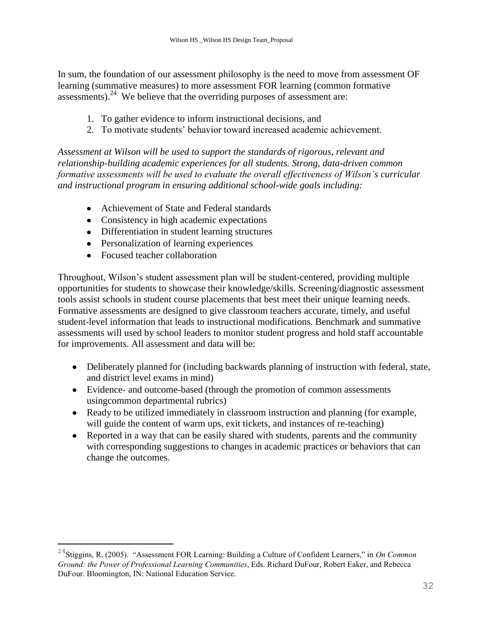In sum, the foundation of our assessment philosophy is the need to move from assessment OF learning (summative measures) to more assessment FOR learning (common formative assessments). $^{24}$  We believe that the overriding purposes of assessment are:

- 1. To gather evidence to inform instructional decisions, and
- 2. To motivate students' behavior toward increased academic achievement.

*Assessment at Wilson will be used to support the standards of rigorous, relevant and relationship-building academic experiences for all students. Strong, data-driven common formative assessments will be used to evaluate the overall effectiveness of Wilson"s curricular and instructional program in ensuring additional school-wide goals including:* 

- Achievement of State and Federal standards
- Consistency in high academic expectations
- Differentiation in student learning structures
- Personalization of learning experiences
- Focused teacher collaboration

L,

Throughout, Wilson's student assessment plan will be student-centered, providing multiple opportunities for students to showcase their knowledge/skills. Screening/diagnostic assessment tools assist schools in student course placements that best meet their unique learning needs. Formative assessments are designed to give classroom teachers accurate, timely, and useful student-level information that leads to instructional modifications. Benchmark and summative assessments will used by school leaders to monitor student progress and hold staff accountable for improvements. All assessment and data will be:

- Deliberately planned for (including backwards planning of instruction with federal, state, and district level exams in mind)
- Evidence- and outcome-based (through the promotion of common assessments usingcommon departmental rubrics)
- Ready to be utilized immediately in classroom instruction and planning (for example, will guide the content of warm ups, exit tickets, and instances of re-teaching)
- Reported in a way that can be easily shared with students, parents and the community with corresponding suggestions to changes in academic practices or behaviors that can change the outcomes.

<sup>&</sup>lt;sup>24</sup>Stiggins, R. (2005). "Assessment FOR Learning: Building a Culture of Confident Learners," in *On Common Ground: the Power of Professional Learning Communities*, Eds. Richard DuFour, Robert Eaker, and Rebecca DuFour. Bloomington, IN: National Education Service.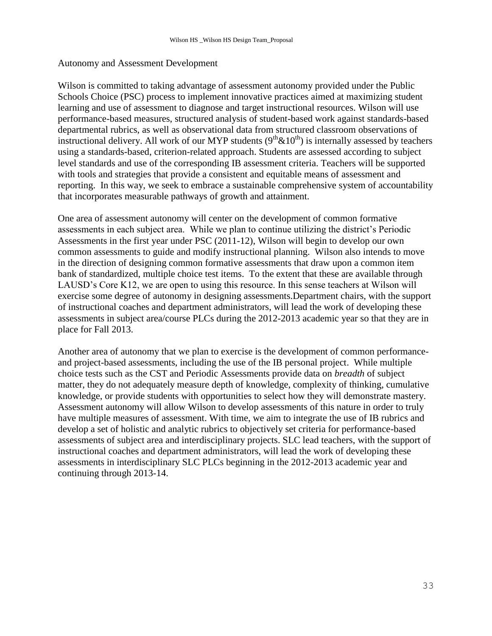#### Autonomy and Assessment Development

Wilson is committed to taking advantage of assessment autonomy provided under the Public Schools Choice (PSC) process to implement innovative practices aimed at maximizing student learning and use of assessment to diagnose and target instructional resources. Wilson will use performance-based measures, structured analysis of student-based work against standards-based departmental rubrics, as well as observational data from structured classroom observations of instructional delivery. All work of our MYP students  $(9<sup>th</sup> \& 10<sup>th</sup>)$  is internally assessed by teachers using a standards-based, criterion-related approach. Students are assessed according to subject level standards and use of the corresponding IB assessment criteria. Teachers will be supported with tools and strategies that provide a consistent and equitable means of assessment and reporting. In this way, we seek to embrace a sustainable comprehensive system of accountability that incorporates measurable pathways of growth and attainment.

One area of assessment autonomy will center on the development of common formative assessments in each subject area. While we plan to continue utilizing the district's Periodic Assessments in the first year under PSC (2011-12), Wilson will begin to develop our own common assessments to guide and modify instructional planning. Wilson also intends to move in the direction of designing common formative assessments that draw upon a common item bank of standardized, multiple choice test items. To the extent that these are available through LAUSD's Core K12, we are open to using this resource. In this sense teachers at Wilson will exercise some degree of autonomy in designing assessments.Department chairs, with the support of instructional coaches and department administrators, will lead the work of developing these assessments in subject area/course PLCs during the 2012-2013 academic year so that they are in place for Fall 2013.

Another area of autonomy that we plan to exercise is the development of common performanceand project-based assessments, including the use of the IB personal project. While multiple choice tests such as the CST and Periodic Assessments provide data on *breadth* of subject matter, they do not adequately measure depth of knowledge, complexity of thinking, cumulative knowledge, or provide students with opportunities to select how they will demonstrate mastery. Assessment autonomy will allow Wilson to develop assessments of this nature in order to truly have multiple measures of assessment. With time, we aim to integrate the use of IB rubrics and develop a set of holistic and analytic rubrics to objectively set criteria for performance-based assessments of subject area and interdisciplinary projects. SLC lead teachers, with the support of instructional coaches and department administrators, will lead the work of developing these assessments in interdisciplinary SLC PLCs beginning in the 2012-2013 academic year and continuing through 2013-14.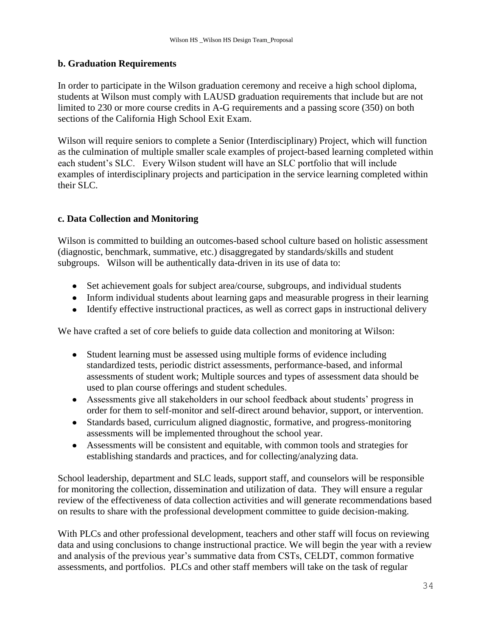### **b. Graduation Requirements**

In order to participate in the Wilson graduation ceremony and receive a high school diploma, students at Wilson must comply with LAUSD graduation requirements that include but are not limited to 230 or more course credits in A-G requirements and a passing score (350) on both sections of the California High School Exit Exam.

Wilson will require seniors to complete a Senior (Interdisciplinary) Project, which will function as the culmination of multiple smaller scale examples of project-based learning completed within each student's SLC. Every Wilson student will have an SLC portfolio that will include examples of interdisciplinary projects and participation in the service learning completed within their SLC.

### **c. Data Collection and Monitoring**

Wilson is committed to building an outcomes-based school culture based on holistic assessment (diagnostic, benchmark, summative, etc.) disaggregated by standards/skills and student subgroups. Wilson will be authentically data-driven in its use of data to:

- Set achievement goals for subject area/course, subgroups, and individual students
- Inform individual students about learning gaps and measurable progress in their learning
- Identify effective instructional practices, as well as correct gaps in instructional delivery

We have crafted a set of core beliefs to guide data collection and monitoring at Wilson:

- Student learning must be assessed using multiple forms of evidence including standardized tests, periodic district assessments, performance-based, and informal assessments of student work; Multiple sources and types of assessment data should be used to plan course offerings and student schedules.
- Assessments give all stakeholders in our school feedback about students' progress in order for them to self-monitor and self-direct around behavior, support, or intervention.
- Standards based, curriculum aligned diagnostic, formative, and progress-monitoring assessments will be implemented throughout the school year.
- Assessments will be consistent and equitable, with common tools and strategies for establishing standards and practices, and for collecting/analyzing data.

School leadership, department and SLC leads, support staff, and counselors will be responsible for monitoring the collection, dissemination and utilization of data. They will ensure a regular review of the effectiveness of data collection activities and will generate recommendations based on results to share with the professional development committee to guide decision-making.

With PLCs and other professional development, teachers and other staff will focus on reviewing data and using conclusions to change instructional practice. We will begin the year with a review and analysis of the previous year's summative data from CSTs, CELDT, common formative assessments, and portfolios. PLCs and other staff members will take on the task of regular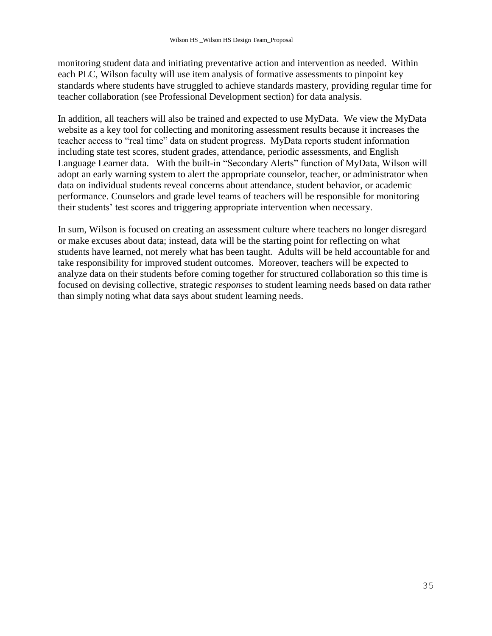monitoring student data and initiating preventative action and intervention as needed. Within each PLC, Wilson faculty will use item analysis of formative assessments to pinpoint key standards where students have struggled to achieve standards mastery, providing regular time for teacher collaboration (see Professional Development section) for data analysis.

In addition, all teachers will also be trained and expected to use MyData. We view the MyData website as a key tool for collecting and monitoring assessment results because it increases the teacher access to "real time" data on student progress. MyData reports student information including state test scores, student grades, attendance, periodic assessments, and English Language Learner data. With the built-in "Secondary Alerts" function of MyData, Wilson will adopt an early warning system to alert the appropriate counselor, teacher, or administrator when data on individual students reveal concerns about attendance, student behavior, or academic performance. Counselors and grade level teams of teachers will be responsible for monitoring their students' test scores and triggering appropriate intervention when necessary.

In sum, Wilson is focused on creating an assessment culture where teachers no longer disregard or make excuses about data; instead, data will be the starting point for reflecting on what students have learned, not merely what has been taught. Adults will be held accountable for and take responsibility for improved student outcomes. Moreover, teachers will be expected to analyze data on their students before coming together for structured collaboration so this time is focused on devising collective, strategic *responses* to student learning needs based on data rather than simply noting what data says about student learning needs.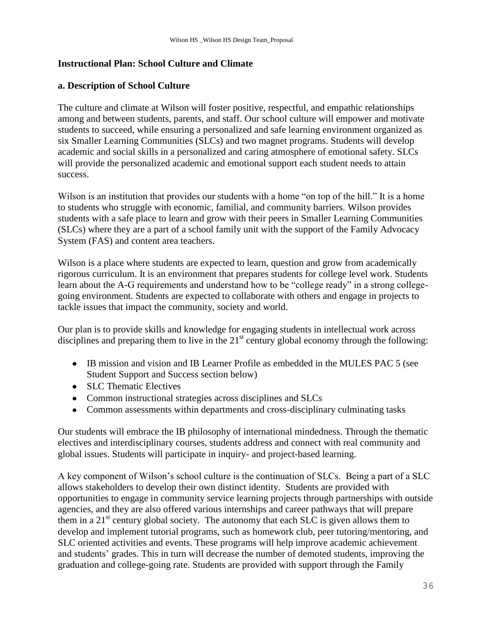### **Instructional Plan: School Culture and Climate**

### **a. Description of School Culture**

The culture and climate at Wilson will foster positive, respectful, and empathic relationships among and between students, parents, and staff. Our school culture will empower and motivate students to succeed, while ensuring a personalized and safe learning environment organized as six Smaller Learning Communities (SLCs) and two magnet programs. Students will develop academic and social skills in a personalized and caring atmosphere of emotional safety. SLCs will provide the personalized academic and emotional support each student needs to attain success.

Wilson is an institution that provides our students with a home "on top of the hill." It is a home to students who struggle with economic, familial, and community barriers. Wilson provides students with a safe place to learn and grow with their peers in Smaller Learning Communities (SLCs) where they are a part of a school family unit with the support of the Family Advocacy System (FAS) and content area teachers.

Wilson is a place where students are expected to learn, question and grow from academically rigorous curriculum. It is an environment that prepares students for college level work. Students learn about the A-G requirements and understand how to be "college ready" in a strong collegegoing environment. Students are expected to collaborate with others and engage in projects to tackle issues that impact the community, society and world.

Our plan is to provide skills and knowledge for engaging students in intellectual work across disciplines and preparing them to live in the  $21<sup>st</sup>$  century global economy through the following:

- IB mission and vision and IB Learner Profile as embedded in the MULES PAC 5 (see Student Support and Success section below)
- SLC Thematic Electives
- Common instructional strategies across disciplines and SLCs
- Common assessments within departments and cross-disciplinary culminating tasks

Our students will embrace the IB philosophy of international mindedness. Through the thematic electives and interdisciplinary courses, students address and connect with real community and global issues. Students will participate in inquiry- and project-based learning.

A key component of Wilson's school culture is the continuation of SLCs. Being a part of a SLC allows stakeholders to develop their own distinct identity. Students are provided with opportunities to engage in community service learning projects through partnerships with outside agencies, and they are also offered various internships and career pathways that will prepare them in a  $21<sup>st</sup>$  century global society. The autonomy that each SLC is given allows them to develop and implement tutorial programs, such as homework club, peer tutoring/mentoring, and SLC oriented activities and events. These programs will help improve academic achievement and students' grades. This in turn will decrease the number of demoted students, improving the graduation and college-going rate. Students are provided with support through the Family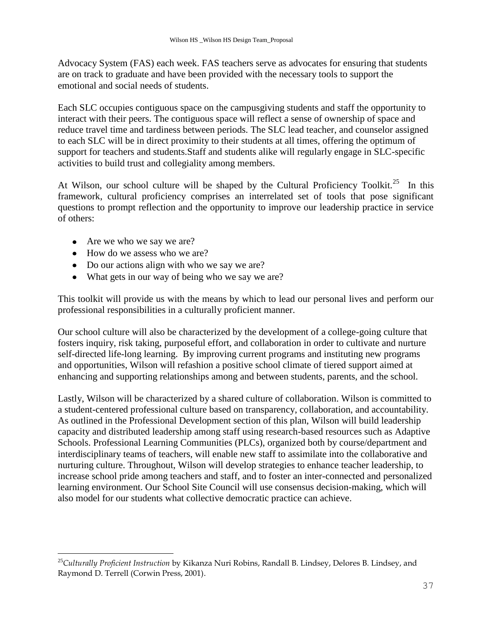Advocacy System (FAS) each week. FAS teachers serve as advocates for ensuring that students are on track to graduate and have been provided with the necessary tools to support the emotional and social needs of students.

Each SLC occupies contiguous space on the campusgiving students and staff the opportunity to interact with their peers. The contiguous space will reflect a sense of ownership of space and reduce travel time and tardiness between periods. The SLC lead teacher, and counselor assigned to each SLC will be in direct proximity to their students at all times, offering the optimum of support for teachers and students.Staff and students alike will regularly engage in SLC-specific activities to build trust and collegiality among members.

At Wilson, our school culture will be shaped by the Cultural Proficiency Toolkit.<sup>25</sup> In this framework, cultural proficiency comprises an interrelated set of tools that pose significant questions to prompt reflection and the opportunity to improve our leadership practice in service of others:

• Are we who we say we are?

i<br>L

- How do we assess who we are?
- Do our actions align with who we say we are?
- What gets in our way of being who we say we are?

This toolkit will provide us with the means by which to lead our personal lives and perform our professional responsibilities in a culturally proficient manner.

Our school culture will also be characterized by the development of a college-going culture that fosters inquiry, risk taking, purposeful effort, and collaboration in order to cultivate and nurture self-directed life-long learning. By improving current programs and instituting new programs and opportunities, Wilson will refashion a positive school climate of tiered support aimed at enhancing and supporting relationships among and between students, parents, and the school.

Lastly, Wilson will be characterized by a shared culture of collaboration. Wilson is committed to a student-centered professional culture based on transparency, collaboration, and accountability. As outlined in the Professional Development section of this plan, Wilson will build leadership capacity and distributed leadership among staff using research-based resources such as Adaptive Schools. Professional Learning Communities (PLCs), organized both by course/department and interdisciplinary teams of teachers, will enable new staff to assimilate into the collaborative and nurturing culture. Throughout, Wilson will develop strategies to enhance teacher leadership, to increase school pride among teachers and staff, and to foster an inter-connected and personalized learning environment. Our School Site Council will use consensus decision-making, which will also model for our students what collective democratic practice can achieve.

<sup>25</sup>*Culturally Proficient Instruction* by Kikanza Nuri Robins, Randall B. Lindsey, Delores B. Lindsey, and Raymond D. Terrell (Corwin Press, 2001).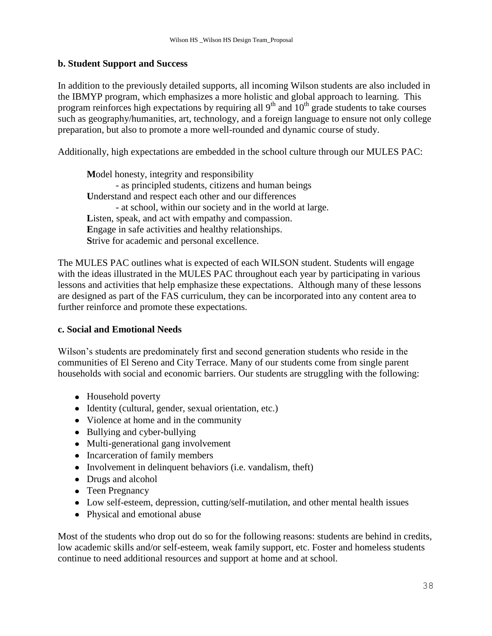### **b. Student Support and Success**

In addition to the previously detailed supports, all incoming Wilson students are also included in the IBMYP program, which emphasizes a more holistic and global approach to learning. This program reinforces high expectations by requiring all  $9<sup>th</sup>$  and  $10<sup>th</sup>$  grade students to take courses such as geography/humanities, art, technology, and a foreign language to ensure not only college preparation, but also to promote a more well-rounded and dynamic course of study.

Additionally, high expectations are embedded in the school culture through our MULES PAC:

**M**odel honesty, integrity and responsibility - as principled students, citizens and human beings **U**nderstand and respect each other and our differences - at school, within our society and in the world at large. Listen, speak, and act with empathy and compassion. **E**ngage in safe activities and healthy relationships. **S**trive for academic and personal excellence.

The MULES PAC outlines what is expected of each WILSON student. Students will engage with the ideas illustrated in the MULES PAC throughout each year by participating in various lessons and activities that help emphasize these expectations. Although many of these lessons are designed as part of the FAS curriculum, they can be incorporated into any content area to further reinforce and promote these expectations.

#### **c. Social and Emotional Needs**

Wilson's students are predominately first and second generation students who reside in the communities of El Sereno and City Terrace. Many of our students come from single parent households with social and economic barriers. Our students are struggling with the following:

- Household poverty
- Identity (cultural, gender, sexual orientation, etc.)
- Violence at home and in the community
- Bullying and cyber-bullying
- Multi-generational gang involvement
- Incarceration of family members
- Involvement in delinquent behaviors (i.e. vandalism, theft)
- Drugs and alcohol
- Teen Pregnancy
- Low self-esteem, depression, cutting/self-mutilation, and other mental health issues
- Physical and emotional abuse

Most of the students who drop out do so for the following reasons: students are behind in credits, low academic skills and/or self-esteem, weak family support, etc. Foster and homeless students continue to need additional resources and support at home and at school.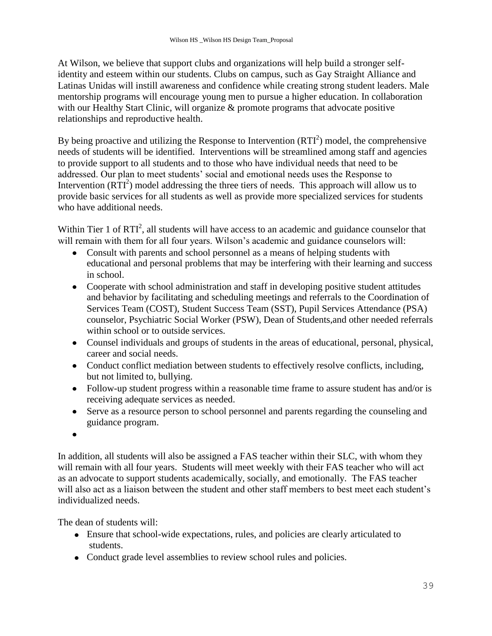At Wilson, we believe that support clubs and organizations will help build a stronger selfidentity and esteem within our students. Clubs on campus, such as Gay Straight Alliance and Latinas Unidas will instill awareness and confidence while creating strong student leaders. Male mentorship programs will encourage young men to pursue a higher education. In collaboration with our Healthy Start Clinic, will organize & promote programs that advocate positive relationships and reproductive health.

By being proactive and utilizing the Response to Intervention  $(RTI<sup>2</sup>)$  model, the comprehensive needs of students will be identified. Interventions will be streamlined among staff and agencies to provide support to all students and to those who have individual needs that need to be addressed. Our plan to meet students' social and emotional needs uses the Response to Intervention  $(RTI<sup>2</sup>)$  model addressing the three tiers of needs. This approach will allow us to provide basic services for all students as well as provide more specialized services for students who have additional needs.

Within Tier 1 of  $RTI<sup>2</sup>$ , all students will have access to an academic and guidance counselor that will remain with them for all four years. Wilson's academic and guidance counselors will:

- Consult with parents and school personnel as a means of helping students with  $\bullet$ educational and personal problems that may be interfering with their learning and success in school.
- Cooperate with school administration and staff in developing positive student attitudes and behavior by facilitating and scheduling meetings and referrals to the Coordination of Services Team (COST), Student Success Team (SST), Pupil Services Attendance (PSA) counselor, Psychiatric Social Worker (PSW), Dean of Students,and other needed referrals within school or to outside services.
- Counsel individuals and groups of students in the areas of educational, personal, physical, career and social needs.
- Conduct conflict mediation between students to effectively resolve conflicts, including, but not limited to, bullying.
- Follow-up student progress within a reasonable time frame to assure student has and/or is receiving adequate services as needed.
- Serve as a resource person to school personnel and parents regarding the counseling and guidance program.
- $\bullet$

In addition, all students will also be assigned a FAS teacher within their SLC, with whom they will remain with all four years. Students will meet weekly with their FAS teacher who will act as an advocate to support students academically, socially, and emotionally. The FAS teacher will also act as a liaison between the student and other staff members to best meet each student's individualized needs.

The dean of students will:

- Ensure that school-wide expectations, rules, and policies are clearly articulated to students.
- Conduct grade level assemblies to review school rules and policies.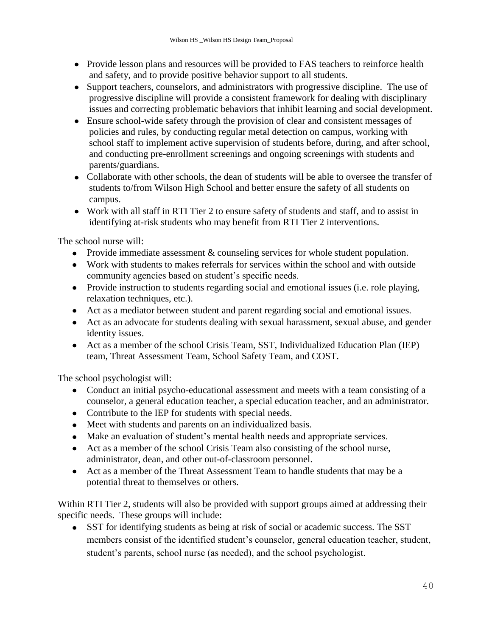- Provide lesson plans and resources will be provided to FAS teachers to reinforce health and safety, and to provide positive behavior support to all students.
- Support teachers, counselors, and administrators with progressive discipline. The use of progressive discipline will provide a consistent framework for dealing with disciplinary issues and correcting problematic behaviors that inhibit learning and social development.
- Ensure school-wide safety through the provision of clear and consistent messages of policies and rules, by conducting regular metal detection on campus, working with school staff to implement active supervision of students before, during, and after school, and conducting pre-enrollment screenings and ongoing screenings with students and parents/guardians.
- Collaborate with other schools, the dean of students will be able to oversee the transfer of students to/from Wilson High School and better ensure the safety of all students on campus.
- Work with all staff in RTI Tier 2 to ensure safety of students and staff, and to assist in identifying at-risk students who may benefit from RTI Tier 2 interventions.

The school nurse will:

- Provide immediate assessment & counseling services for whole student population.
- Work with students to makes referrals for services within the school and with outside community agencies based on student's specific needs.
- Provide instruction to students regarding social and emotional issues (i.e. role playing, relaxation techniques, etc.).
- Act as a mediator between student and parent regarding social and emotional issues.
- Act as an advocate for students dealing with sexual harassment, sexual abuse, and gender identity issues.
- Act as a member of the school Crisis Team, SST, Individualized Education Plan (IEP) team, Threat Assessment Team, School Safety Team, and COST.

The school psychologist will:

- Conduct an initial psycho-educational assessment and meets with a team consisting of a counselor, a general education teacher, a special education teacher, and an administrator.
- Contribute to the IEP for students with special needs.
- Meet with students and parents on an individualized basis.
- Make an evaluation of student's mental health needs and appropriate services.
- Act as a member of the school Crisis Team also consisting of the school nurse, administrator, dean, and other out-of-classroom personnel.
- Act as a member of the Threat Assessment Team to handle students that may be a potential threat to themselves or others.

Within RTI Tier 2, students will also be provided with support groups aimed at addressing their specific needs. These groups will include:

SST for identifying students as being at risk of social or academic success. The SST members consist of the identified student's counselor, general education teacher, student, student's parents, school nurse (as needed), and the school psychologist.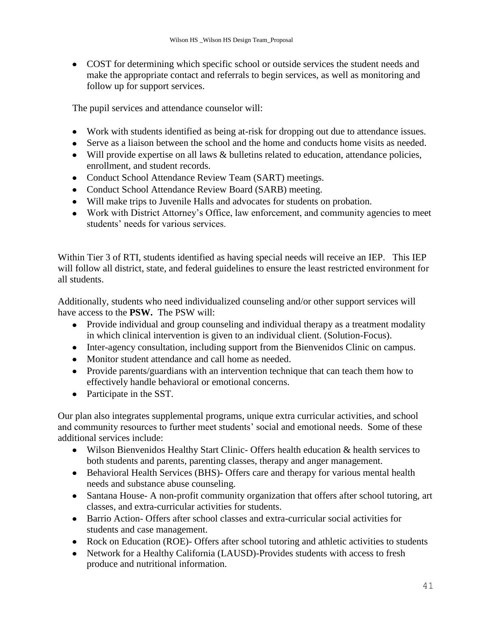COST for determining which specific school or outside services the student needs and make the appropriate contact and referrals to begin services, as well as monitoring and follow up for support services.

The pupil services and attendance counselor will:

- Work with students identified as being at-risk for dropping out due to attendance issues.
- Serve as a liaison between the school and the home and conducts home visits as needed.
- Will provide expertise on all laws & bulletins related to education, attendance policies, enrollment, and student records.
- Conduct School Attendance Review Team (SART) meetings.
- Conduct School Attendance Review Board (SARB) meeting.
- Will make trips to Juvenile Halls and advocates for students on probation.
- Work with District Attorney's Office, law enforcement, and community agencies to meet students' needs for various services.

Within Tier 3 of RTI, students identified as having special needs will receive an IEP. This IEP will follow all district, state, and federal guidelines to ensure the least restricted environment for all students.

Additionally, students who need individualized counseling and/or other support services will have access to the **PSW.** The PSW will:

- Provide individual and group counseling and individual therapy as a treatment modality in which clinical intervention is given to an individual client. (Solution-Focus).
- Inter-agency consultation, including support from the Bienvenidos Clinic on campus.
- Monitor student attendance and call home as needed.
- Provide parents/guardians with an intervention technique that can teach them how to effectively handle behavioral or emotional concerns.
- Participate in the SST.

Our plan also integrates supplemental programs, unique extra curricular activities, and school and community resources to further meet students' social and emotional needs. Some of these additional services include:

- Wilson Bienvenidos Healthy Start Clinic- Offers health education & health services to both students and parents, parenting classes, therapy and anger management.
- Behavioral Health Services (BHS)- Offers care and therapy for various mental health needs and substance abuse counseling.
- Santana House- A non-profit community organization that offers after school tutoring, art classes, and extra-curricular activities for students.
- Barrio Action- Offers after school classes and extra-curricular social activities for students and case management.
- Rock on Education (ROE)- Offers after school tutoring and athletic activities to students
- Network for a Healthy California (LAUSD)-Provides students with access to fresh produce and nutritional information.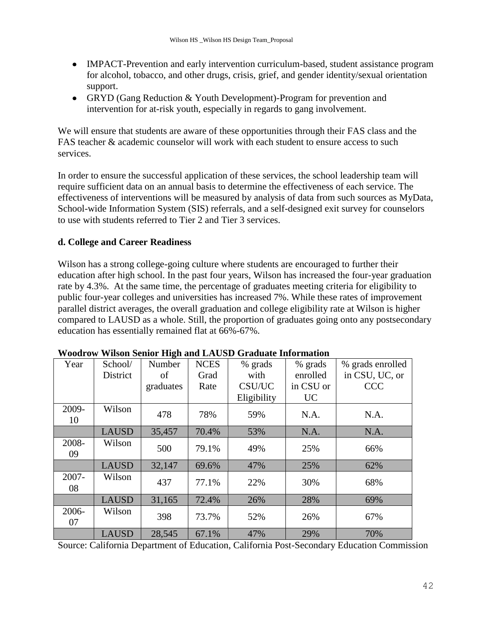- IMPACT-Prevention and early intervention curriculum-based, student assistance program for alcohol, tobacco, and other drugs, crisis, grief, and gender identity/sexual orientation support.
- GRYD (Gang Reduction & Youth Development)-Program for prevention and intervention for at-risk youth, especially in regards to gang involvement.

We will ensure that students are aware of these opportunities through their FAS class and the FAS teacher & academic counselor will work with each student to ensure access to such services.

In order to ensure the successful application of these services, the school leadership team will require sufficient data on an annual basis to determine the effectiveness of each service. The effectiveness of interventions will be measured by analysis of data from such sources as MyData, School-wide Information System (SIS) referrals, and a self-designed exit survey for counselors to use with students referred to Tier 2 and Tier 3 services.

### **d. College and Career Readiness**

Wilson has a strong college-going culture where students are encouraged to further their education after high school. In the past four years, Wilson has increased the four-year graduation rate by 4.3%. At the same time, the percentage of graduates meeting criteria for eligibility to public four-year colleges and universities has increased 7%. While these rates of improvement parallel district averages, the overall graduation and college eligibility rate at Wilson is higher compared to LAUSD as a whole. Still, the proportion of graduates going onto any postsecondary education has essentially remained flat at 66%-67%.

| Year        | School/      | Number    | <b>NCES</b> | % grads     | % grads   | % grads enrolled |
|-------------|--------------|-----------|-------------|-------------|-----------|------------------|
|             | District     | of        | Grad        | with        | enrolled  | in CSU, UC, or   |
|             |              | graduates | Rate        | CSU/UC      | in CSU or | <b>CCC</b>       |
|             |              |           |             | Eligibility | <b>UC</b> |                  |
| 2009-<br>10 | Wilson       | 478       | 78%         | 59%         | N.A.      | N.A.             |
|             | <b>LAUSD</b> | 35,457    | 70.4%       | 53%         | N.A.      | N.A.             |
| 2008-<br>09 | Wilson       | 500       | 79.1%       | 49%         | 25%       | 66%              |
|             | <b>LAUSD</b> | 32,147    | 69.6%       | 47%         | 25%       | 62%              |
| 2007-<br>08 | Wilson       | 437       | 77.1%       | 22%         | 30%       | 68%              |
|             | <b>LAUSD</b> | 31,165    | 72.4%       | 26%         | 28%       | 69%              |
| 2006-<br>07 | Wilson       | 398       | 73.7%       | 52%         | 26%       | 67%              |
|             | <b>LAUSD</b> | 28,545    | 67.1%       | 47%         | 29%       | 70%              |

#### **Woodrow Wilson Senior High and LAUSD Graduate Information**

Source: California Department of Education, California Post-Secondary Education Commission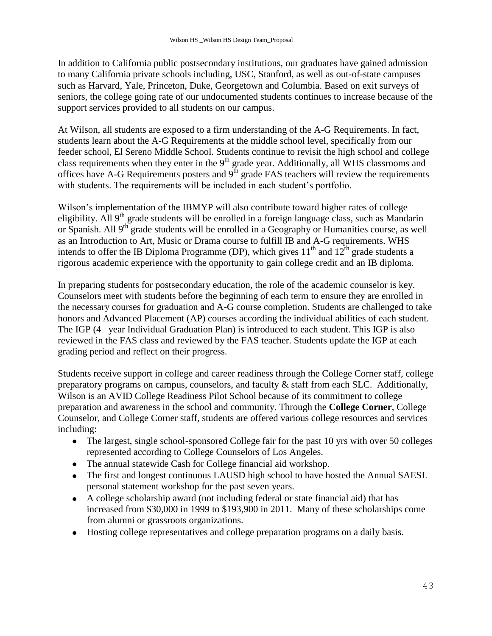In addition to California public postsecondary institutions, our graduates have gained admission to many California private schools including, USC, Stanford, as well as out-of-state campuses such as Harvard, Yale, Princeton, Duke, Georgetown and Columbia. Based on exit surveys of seniors, the college going rate of our undocumented students continues to increase because of the support services provided to all students on our campus.

At Wilson, all students are exposed to a firm understanding of the A-G Requirements. In fact, students learn about the A-G Requirements at the middle school level, specifically from our feeder school, El Sereno Middle School. Students continue to revisit the high school and college class requirements when they enter in the 9<sup>th</sup> grade year. Additionally, all WHS classrooms and offices have A-G Requirements posters and  $9<sup>th</sup>$  grade FAS teachers will review the requirements with students. The requirements will be included in each student's portfolio.

Wilson's implementation of the IBMYP will also contribute toward higher rates of college eligibility. All  $9<sup>th</sup>$  grade students will be enrolled in a foreign language class, such as Mandarin or Spanish. All 9<sup>th</sup> grade students will be enrolled in a Geography or Humanities course, as well as an Introduction to Art, Music or Drama course to fulfill IB and A-G requirements. WHS intends to offer the IB Diploma Programme (DP), which gives  $11<sup>th</sup>$  and  $12<sup>th</sup>$  grade students a rigorous academic experience with the opportunity to gain college credit and an IB diploma.

In preparing students for postsecondary education, the role of the academic counselor is key. Counselors meet with students before the beginning of each term to ensure they are enrolled in the necessary courses for graduation and A-G course completion. Students are challenged to take honors and Advanced Placement (AP) courses according the individual abilities of each student. The IGP (4 –year Individual Graduation Plan) is introduced to each student. This IGP is also reviewed in the FAS class and reviewed by the FAS teacher. Students update the IGP at each grading period and reflect on their progress.

Students receive support in college and career readiness through the College Corner staff, college preparatory programs on campus, counselors, and faculty & staff from each SLC. Additionally, Wilson is an AVID College Readiness Pilot School because of its commitment to college preparation and awareness in the school and community. Through the **College Corner**, College Counselor, and College Corner staff, students are offered various college resources and services including:

- The largest, single school-sponsored College fair for the past 10 yrs with over 50 colleges represented according to College Counselors of Los Angeles.
- The annual statewide Cash for College financial aid workshop.
- The first and longest continuous LAUSD high school to have hosted the Annual SAESL personal statement workshop for the past seven years.
- A college scholarship award (not including federal or state financial aid) that has increased from \$30,000 in 1999 to \$193,900 in 2011. Many of these scholarships come from alumni or grassroots organizations.
- Hosting college representatives and college preparation programs on a daily basis.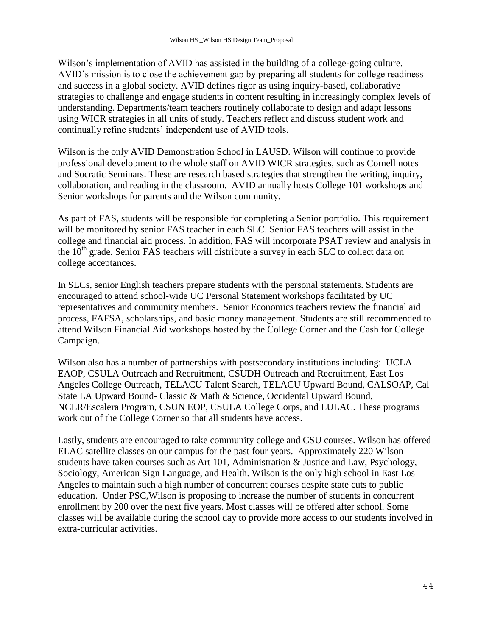Wilson's implementation of AVID has assisted in the building of a college-going culture. AVID's mission is to close the achievement gap by preparing all students for college readiness and success in a global society. AVID defines rigor as using inquiry-based, collaborative strategies to challenge and engage students in content resulting in increasingly complex levels of understanding. Departments/team teachers routinely collaborate to design and adapt lessons using WICR strategies in all units of study. Teachers reflect and discuss student work and continually refine students' independent use of AVID tools.

Wilson is the only AVID Demonstration School in LAUSD. Wilson will continue to provide professional development to the whole staff on AVID WICR strategies, such as Cornell notes and Socratic Seminars. These are research based strategies that strengthen the writing, inquiry, collaboration, and reading in the classroom. AVID annually hosts College 101 workshops and Senior workshops for parents and the Wilson community.

As part of FAS, students will be responsible for completing a Senior portfolio. This requirement will be monitored by senior FAS teacher in each SLC. Senior FAS teachers will assist in the college and financial aid process. In addition, FAS will incorporate PSAT review and analysis in the  $10<sup>th</sup>$  grade. Senior FAS teachers will distribute a survey in each SLC to collect data on college acceptances.

In SLCs, senior English teachers prepare students with the personal statements. Students are encouraged to attend school-wide UC Personal Statement workshops facilitated by UC representatives and community members. Senior Economics teachers review the financial aid process, FAFSA, scholarships, and basic money management. Students are still recommended to attend Wilson Financial Aid workshops hosted by the College Corner and the Cash for College Campaign.

Wilson also has a number of partnerships with postsecondary institutions including: UCLA EAOP, CSULA Outreach and Recruitment, CSUDH Outreach and Recruitment, East Los Angeles College Outreach, TELACU Talent Search, TELACU Upward Bound, CALSOAP, Cal State LA Upward Bound- Classic & Math & Science, Occidental Upward Bound, NCLR/Escalera Program, CSUN EOP, CSULA College Corps, and LULAC. These programs work out of the College Corner so that all students have access.

Lastly, students are encouraged to take community college and CSU courses. Wilson has offered ELAC satellite classes on our campus for the past four years. Approximately 220 Wilson students have taken courses such as Art 101, Administration & Justice and Law, Psychology, Sociology, American Sign Language, and Health. Wilson is the only high school in East Los Angeles to maintain such a high number of concurrent courses despite state cuts to public education. Under PSC,Wilson is proposing to increase the number of students in concurrent enrollment by 200 over the next five years. Most classes will be offered after school. Some classes will be available during the school day to provide more access to our students involved in extra-curricular activities.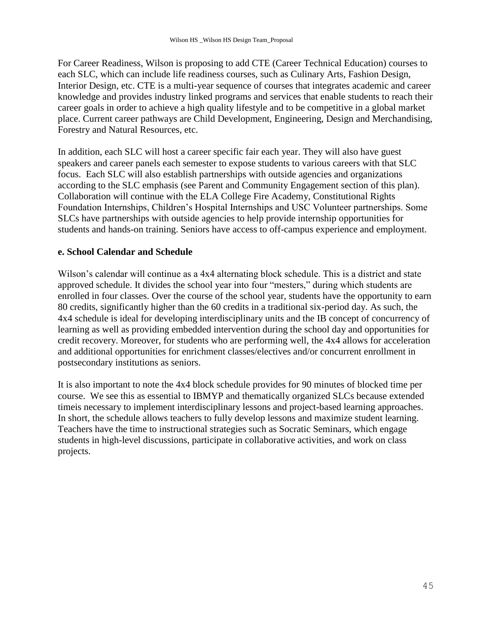For Career Readiness, Wilson is proposing to add CTE (Career Technical Education) courses to each SLC, which can include life readiness courses, such as Culinary Arts, Fashion Design, Interior Design, etc. CTE is a multi-year sequence of courses that integrates academic and career knowledge and provides industry linked programs and services that enable students to reach their career goals in order to achieve a high quality lifestyle and to be competitive in a global market place. Current career pathways are Child Development, Engineering, Design and Merchandising, Forestry and Natural Resources, etc.

In addition, each SLC will host a career specific fair each year. They will also have guest speakers and career panels each semester to expose students to various careers with that SLC focus. Each SLC will also establish partnerships with outside agencies and organizations according to the SLC emphasis (see Parent and Community Engagement section of this plan). Collaboration will continue with the ELA College Fire Academy, Constitutional Rights Foundation Internships, Children's Hospital Internships and USC Volunteer partnerships. Some SLCs have partnerships with outside agencies to help provide internship opportunities for students and hands-on training. Seniors have access to off-campus experience and employment.

### **e. School Calendar and Schedule**

Wilson's calendar will continue as a 4x4 alternating block schedule. This is a district and state approved schedule. It divides the school year into four "mesters," during which students are enrolled in four classes. Over the course of the school year, students have the opportunity to earn 80 credits, significantly higher than the 60 credits in a traditional six-period day. As such, the 4x4 schedule is ideal for developing interdisciplinary units and the IB concept of concurrency of learning as well as providing embedded intervention during the school day and opportunities for credit recovery. Moreover, for students who are performing well, the 4x4 allows for acceleration and additional opportunities for enrichment classes/electives and/or concurrent enrollment in postsecondary institutions as seniors.

It is also important to note the 4x4 block schedule provides for 90 minutes of blocked time per course. We see this as essential to IBMYP and thematically organized SLCs because extended timeis necessary to implement interdisciplinary lessons and project-based learning approaches. In short, the schedule allows teachers to fully develop lessons and maximize student learning. Teachers have the time to instructional strategies such as Socratic Seminars, which engage students in high-level discussions, participate in collaborative activities, and work on class projects.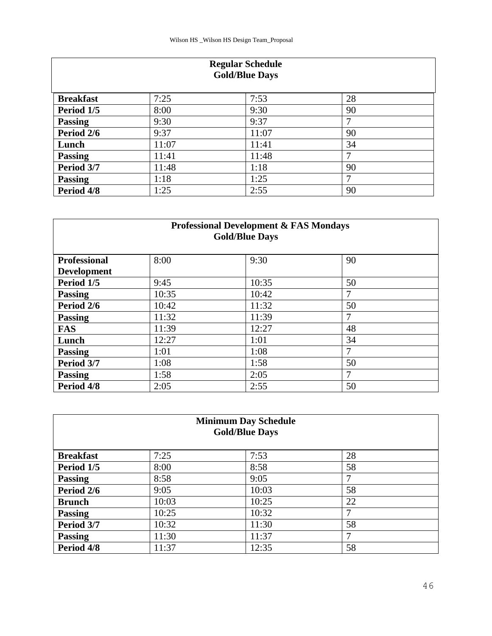| <b>Regular Schedule</b><br><b>Gold/Blue Days</b> |       |       |    |  |
|--------------------------------------------------|-------|-------|----|--|
| <b>Breakfast</b>                                 | 7:25  | 7:53  | 28 |  |
| Period 1/5                                       | 8:00  | 9:30  | 90 |  |
| <b>Passing</b>                                   | 9:30  | 9:37  | 7  |  |
| Period 2/6                                       | 9:37  | 11:07 | 90 |  |
| Lunch                                            | 11:07 | 11:41 | 34 |  |
| <b>Passing</b>                                   | 11:41 | 11:48 | 7  |  |
| Period 3/7                                       | 11:48 | 1:18  | 90 |  |
| <b>Passing</b>                                   | 1:18  | 1:25  | 7  |  |
| Period 4/8                                       | 1:25  | 2:55  | 90 |  |

### **Professional Development & FAS Mondays Gold/Blue Days**

| <b>Professional</b> | 8:00  | 9:30  | 90 |  |
|---------------------|-------|-------|----|--|
| <b>Development</b>  |       |       |    |  |
| Period 1/5          | 9:45  | 10:35 | 50 |  |
| <b>Passing</b>      | 10:35 | 10:42 |    |  |
| Period 2/6          | 10:42 | 11:32 | 50 |  |
| <b>Passing</b>      | 11:32 | 11:39 | 7  |  |
| <b>FAS</b>          | 11:39 | 12:27 | 48 |  |
| Lunch               | 12:27 | 1:01  | 34 |  |
| <b>Passing</b>      | 1:01  | 1:08  | 7  |  |
| Period 3/7          | 1:08  | 1:58  | 50 |  |
| <b>Passing</b>      | 1:58  | 2:05  | ⇁  |  |
| Period 4/8          | 2:05  | 2:55  | 50 |  |

| <b>Minimum Day Schedule</b><br><b>Gold/Blue Days</b> |       |       |    |  |
|------------------------------------------------------|-------|-------|----|--|
| <b>Breakfast</b>                                     | 7:25  | 7:53  | 28 |  |
| Period 1/5                                           | 8:00  | 8:58  | 58 |  |
| <b>Passing</b>                                       | 8:58  | 9:05  | 7  |  |
| Period 2/6                                           | 9:05  | 10:03 | 58 |  |
| <b>Brunch</b>                                        | 10:03 | 10:25 | 22 |  |
| <b>Passing</b>                                       | 10:25 | 10:32 | 7  |  |
| Period 3/7                                           | 10:32 | 11:30 | 58 |  |
| <b>Passing</b>                                       | 11:30 | 11:37 | 7  |  |
| Period 4/8                                           | 11:37 | 12:35 | 58 |  |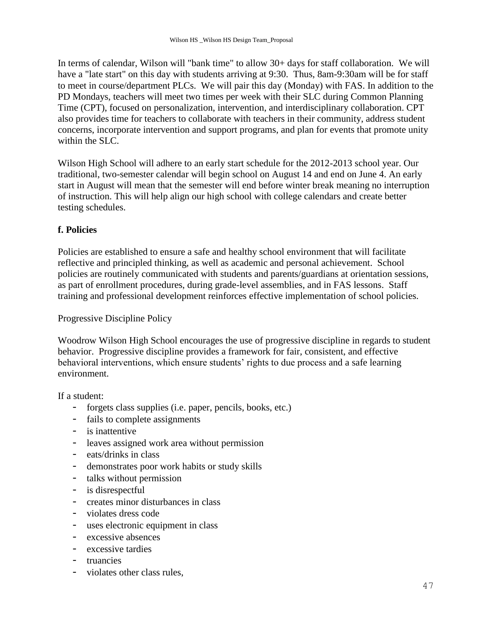In terms of calendar, Wilson will "bank time" to allow 30+ days for staff collaboration. We will have a "late start" on this day with students arriving at 9:30. Thus, 8am-9:30am will be for staff to meet in course/department PLCs. We will pair this day (Monday) with FAS. In addition to the PD Mondays, teachers will meet two times per week with their SLC during Common Planning Time (CPT), focused on personalization, intervention, and interdisciplinary collaboration. CPT also provides time for teachers to collaborate with teachers in their community, address student concerns, incorporate intervention and support programs, and plan for events that promote unity within the SLC.

Wilson High School will adhere to an early start schedule for the 2012-2013 school year. Our traditional, two-semester calendar will begin school on August 14 and end on June 4. An early start in August will mean that the semester will end before winter break meaning no interruption of instruction. This will help align our high school with college calendars and create better testing schedules.

### **f. Policies**

Policies are established to ensure a safe and healthy school environment that will facilitate reflective and principled thinking, as well as academic and personal achievement. School policies are routinely communicated with students and parents/guardians at orientation sessions, as part of enrollment procedures, during grade-level assemblies, and in FAS lessons. Staff training and professional development reinforces effective implementation of school policies.

Progressive Discipline Policy

Woodrow Wilson High School encourages the use of progressive discipline in regards to student behavior. Progressive discipline provides a framework for fair, consistent, and effective behavioral interventions, which ensure students' rights to due process and a safe learning environment.

If a student:

- forgets class supplies (i.e. paper, pencils, books, etc.)
- fails to complete assignments
- is inattentive
- leaves assigned work area without permission
- eats/drinks in class
- demonstrates poor work habits or study skills
- talks without permission
- is disrespectful
- creates minor disturbances in class
- violates dress code
- uses electronic equipment in class
- excessive absences
- excessive tardies
- truancies
- violates other class rules,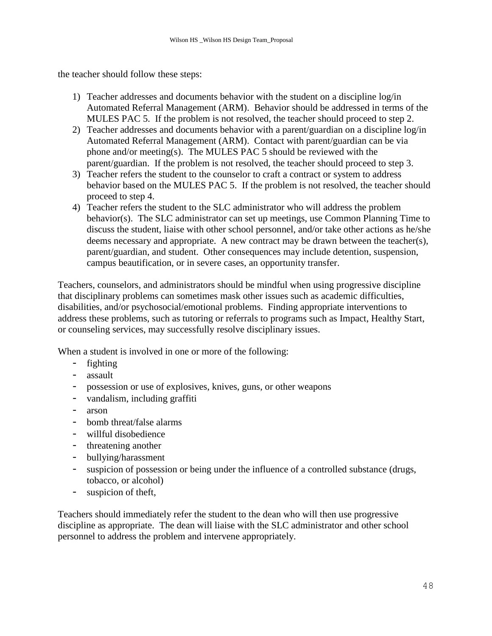the teacher should follow these steps:

- 1) Teacher addresses and documents behavior with the student on a discipline log/in Automated Referral Management (ARM). Behavior should be addressed in terms of the MULES PAC 5. If the problem is not resolved, the teacher should proceed to step 2.
- 2) Teacher addresses and documents behavior with a parent/guardian on a discipline log/in Automated Referral Management (ARM). Contact with parent/guardian can be via phone and/or meeting(s). The MULES PAC 5 should be reviewed with the parent/guardian. If the problem is not resolved, the teacher should proceed to step 3.
- 3) Teacher refers the student to the counselor to craft a contract or system to address behavior based on the MULES PAC 5. If the problem is not resolved, the teacher should proceed to step 4.
- 4) Teacher refers the student to the SLC administrator who will address the problem behavior(s). The SLC administrator can set up meetings, use Common Planning Time to discuss the student, liaise with other school personnel, and/or take other actions as he/she deems necessary and appropriate. A new contract may be drawn between the teacher(s), parent/guardian, and student. Other consequences may include detention, suspension, campus beautification, or in severe cases, an opportunity transfer.

Teachers, counselors, and administrators should be mindful when using progressive discipline that disciplinary problems can sometimes mask other issues such as academic difficulties, disabilities, and/or psychosocial/emotional problems. Finding appropriate interventions to address these problems, such as tutoring or referrals to programs such as Impact, Healthy Start, or counseling services, may successfully resolve disciplinary issues.

When a student is involved in one or more of the following:

- fighting
- assault
- possession or use of explosives, knives, guns, or other weapons
- vandalism, including graffiti
- arson
- bomb threat/false alarms
- willful disobedience
- threatening another
- bullying/harassment
- suspicion of possession or being under the influence of a controlled substance (drugs, tobacco, or alcohol)
- suspicion of theft,

Teachers should immediately refer the student to the dean who will then use progressive discipline as appropriate. The dean will liaise with the SLC administrator and other school personnel to address the problem and intervene appropriately.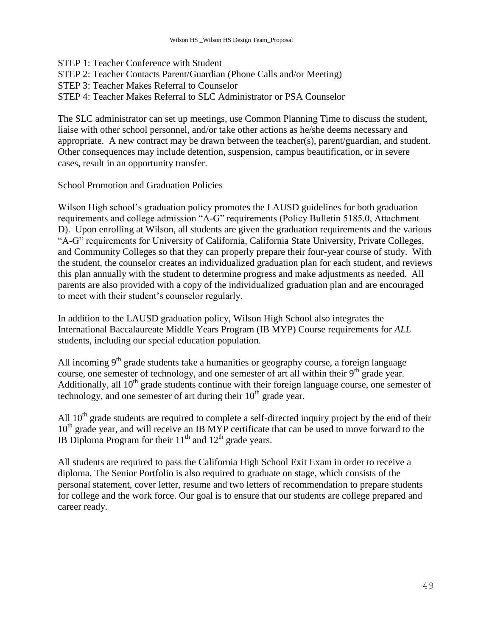STEP 1: Teacher Conference with Student STEP 2: Teacher Contacts Parent/Guardian (Phone Calls and/or Meeting) STEP 3: Teacher Makes Referral to Counselor STEP 4: Teacher Makes Referral to SLC Administrator or PSA Counselor

The SLC administrator can set up meetings, use Common Planning Time to discuss the student, liaise with other school personnel, and/or take other actions as he/she deems necessary and appropriate. A new contract may be drawn between the teacher(s), parent/guardian, and student. Other consequences may include detention, suspension, campus beautification, or in severe cases, result in an opportunity transfer.

School Promotion and Graduation Policies

Wilson High school's graduation policy promotes the LAUSD guidelines for both graduation requirements and college admission "A-G" requirements (Policy Bulletin 5185.0, Attachment D). Upon enrolling at Wilson, all students are given the graduation requirements and the various ―A-G‖ requirements for University of California, California State University, Private Colleges, and Community Colleges so that they can properly prepare their four-year course of study. With the student, the counselor creates an individualized graduation plan for each student, and reviews this plan annually with the student to determine progress and make adjustments as needed. All parents are also provided with a copy of the individualized graduation plan and are encouraged to meet with their student's counselor regularly.

In addition to the LAUSD graduation policy, Wilson High School also integrates the International Baccalaureate Middle Years Program (IB MYP) Course requirements for *ALL* students, including our special education population.

All incoming  $9<sup>th</sup>$  grade students take a humanities or geography course, a foreign language course, one semester of technology, and one semester of art all within their  $9<sup>th</sup>$  grade year. Additionally, all  $10^{th}$  grade students continue with their foreign language course, one semester of technology, and one semester of art during their  $10<sup>th</sup>$  grade year.

All  $10<sup>th</sup>$  grade students are required to complete a self-directed inquiry project by the end of their 10<sup>th</sup> grade year, and will receive an IB MYP certificate that can be used to move forward to the IB Diploma Program for their  $11<sup>th</sup>$  and  $12<sup>th</sup>$  grade years.

All students are required to pass the California High School Exit Exam in order to receive a diploma. The Senior Portfolio is also required to graduate on stage, which consists of the personal statement, cover letter, resume and two letters of recommendation to prepare students for college and the work force. Our goal is to ensure that our students are college prepared and career ready.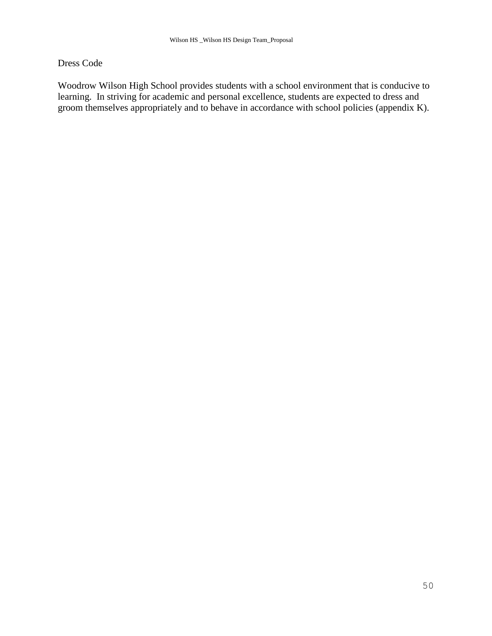### Dress Code

Woodrow Wilson High School provides students with a school environment that is conducive to learning. In striving for academic and personal excellence, students are expected to dress and groom themselves appropriately and to behave in accordance with school policies (appendix K).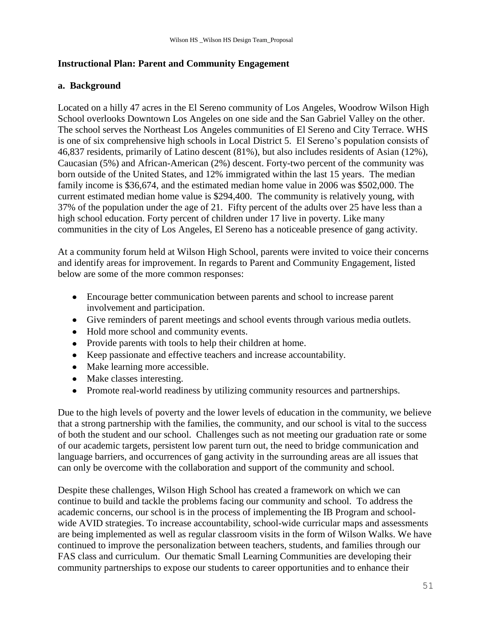### **Instructional Plan: Parent and Community Engagement**

### **a. Background**

Located on a hilly 47 acres in the El Sereno community of Los Angeles, Woodrow Wilson High School overlooks Downtown Los Angeles on one side and the San Gabriel Valley on the other. The school serves the Northeast Los Angeles communities of El Sereno and City Terrace. WHS is one of six comprehensive high schools in Local District 5. El Sereno's population consists of 46,837 residents, primarily of Latino descent (81%), but also includes residents of Asian (12%), Caucasian (5%) and African-American (2%) descent. Forty-two percent of the community was born outside of the United States, and 12% immigrated within the last 15 years. The median family income is \$36,674, and the estimated median home value in 2006 was \$502,000. The current estimated median home value is \$294,400. The community is relatively young, with 37% of the population under the age of 21. Fifty percent of the adults over 25 have less than a high school education. Forty percent of children under 17 live in poverty. Like many communities in the city of Los Angeles, El Sereno has a noticeable presence of gang activity.

At a community forum held at Wilson High School, parents were invited to voice their concerns and identify areas for improvement. In regards to Parent and Community Engagement, listed below are some of the more common responses:

- Encourage better communication between parents and school to increase parent involvement and participation.
- Give reminders of parent meetings and school events through various media outlets.
- Hold more school and community events.
- Provide parents with tools to help their children at home.
- Keep passionate and effective teachers and increase accountability.
- Make learning more accessible.
- Make classes interesting.
- Promote real-world readiness by utilizing community resources and partnerships.

Due to the high levels of poverty and the lower levels of education in the community, we believe that a strong partnership with the families, the community, and our school is vital to the success of both the student and our school. Challenges such as not meeting our graduation rate or some of our academic targets, persistent low parent turn out, the need to bridge communication and language barriers, and occurrences of gang activity in the surrounding areas are all issues that can only be overcome with the collaboration and support of the community and school.

Despite these challenges, Wilson High School has created a framework on which we can continue to build and tackle the problems facing our community and school. To address the academic concerns, our school is in the process of implementing the IB Program and schoolwide AVID strategies. To increase accountability, school-wide curricular maps and assessments are being implemented as well as regular classroom visits in the form of Wilson Walks. We have continued to improve the personalization between teachers, students, and families through our FAS class and curriculum. Our thematic Small Learning Communities are developing their community partnerships to expose our students to career opportunities and to enhance their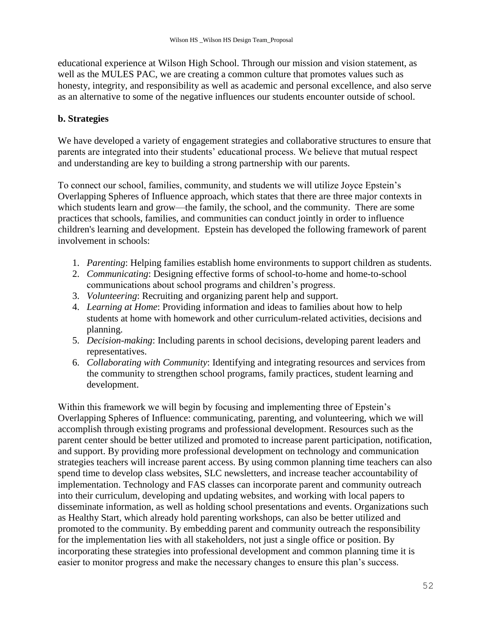educational experience at Wilson High School. Through our mission and vision statement, as well as the MULES PAC, we are creating a common culture that promotes values such as honesty, integrity, and responsibility as well as academic and personal excellence, and also serve as an alternative to some of the negative influences our students encounter outside of school.

### **b. Strategies**

We have developed a variety of engagement strategies and collaborative structures to ensure that parents are integrated into their students' educational process. We believe that mutual respect and understanding are key to building a strong partnership with our parents.

To connect our school, families, community, and students we will utilize Joyce Epstein's Overlapping Spheres of Influence approach, which states that there are three major contexts in which students learn and grow—the family, the school, and the community. There are some practices that schools, families, and communities can conduct jointly in order to influence children's learning and development. Epstein has developed the following framework of parent involvement in schools:

- 1. *Parenting*: Helping families establish home environments to support children as students.
- 2. *Communicating*: Designing effective forms of school-to-home and home-to-school communications about school programs and children's progress.
- 3. *Volunteering*: Recruiting and organizing parent help and support.
- 4. *Learning at Home*: Providing information and ideas to families about how to help students at home with homework and other curriculum-related activities, decisions and planning.
- 5. *Decision-making*: Including parents in school decisions, developing parent leaders and representatives.
- 6. *Collaborating with Community*: Identifying and integrating resources and services from the community to strengthen school programs, family practices, student learning and development.

Within this framework we will begin by focusing and implementing three of Epstein's Overlapping Spheres of Influence: communicating, parenting, and volunteering, which we will accomplish through existing programs and professional development. Resources such as the parent center should be better utilized and promoted to increase parent participation, notification, and support. By providing more professional development on technology and communication strategies teachers will increase parent access. By using common planning time teachers can also spend time to develop class websites, SLC newsletters, and increase teacher accountability of implementation. Technology and FAS classes can incorporate parent and community outreach into their curriculum, developing and updating websites, and working with local papers to disseminate information, as well as holding school presentations and events. Organizations such as Healthy Start, which already hold parenting workshops, can also be better utilized and promoted to the community. By embedding parent and community outreach the responsibility for the implementation lies with all stakeholders, not just a single office or position. By incorporating these strategies into professional development and common planning time it is easier to monitor progress and make the necessary changes to ensure this plan's success.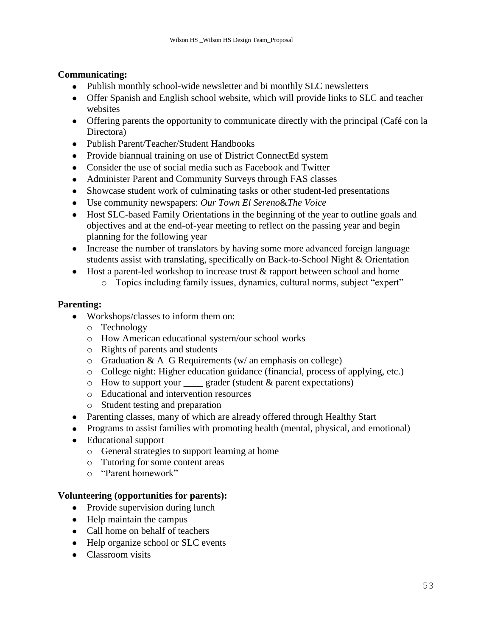### **Communicating:**

- Publish monthly school-wide newsletter and bi monthly SLC newsletters
- Offer Spanish and English school website, which will provide links to SLC and teacher websites
- Offering parents the opportunity to communicate directly with the principal (Café con la Directora)
- Publish Parent/Teacher/Student Handbooks
- Provide biannual training on use of District ConnectEd system
- Consider the use of social media such as Facebook and Twitter
- Administer Parent and Community Surveys through FAS classes
- Showcase student work of culminating tasks or other student-led presentations
- Use community newspapers: *Our Town El Sereno*&*The Voice*
- Host SLC-based Family Orientations in the beginning of the year to outline goals and objectives and at the end-of-year meeting to reflect on the passing year and begin planning for the following year
- Increase the number of translators by having some more advanced foreign language students assist with translating, specifically on Back-to-School Night & Orientation
- $\bullet$  Host a parent-led workshop to increase trust  $\&$  rapport between school and home
	- o Topics including family issues, dynamics, cultural norms, subject "expert"

#### **Parenting:**

- Workshops/classes to inform them on:
	- o Technology
	- o How American educational system/our school works
	- o Rights of parents and students
	- $\circ$  Graduation & A–G Requirements (w/ an emphasis on college)
	- o College night: Higher education guidance (financial, process of applying, etc.)
	- $\circ$  How to support your grader (student & parent expectations)
	- o Educational and intervention resources
	- o Student testing and preparation
- Parenting classes, many of which are already offered through Healthy Start
- Programs to assist families with promoting health (mental, physical, and emotional)
- Educational support
	- o General strategies to support learning at home
	- o Tutoring for some content areas
	- $\circ$  "Parent homework"

#### **Volunteering (opportunities for parents):**

- Provide supervision during lunch
- Help maintain the campus
- Call home on behalf of teachers
- Help organize school or SLC events
- Classroom visits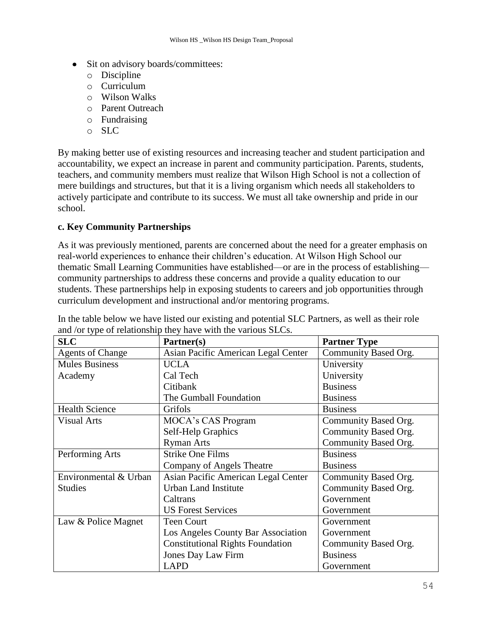- Sit on advisory boards/committees:
	- o Discipline
	- o Curriculum
	- o Wilson Walks
	- o Parent Outreach
	- o Fundraising
	- o SLC

By making better use of existing resources and increasing teacher and student participation and accountability, we expect an increase in parent and community participation. Parents, students, teachers, and community members must realize that Wilson High School is not a collection of mere buildings and structures, but that it is a living organism which needs all stakeholders to actively participate and contribute to its success. We must all take ownership and pride in our school.

### **c. Key Community Partnerships**

As it was previously mentioned, parents are concerned about the need for a greater emphasis on real-world experiences to enhance their children's education. At Wilson High School our thematic Small Learning Communities have established—or are in the process of establishing community partnerships to address these concerns and provide a quality education to our students. These partnerships help in exposing students to careers and job opportunities through curriculum development and instructional and/or mentoring programs.

| <b>SLC</b>              | Partner(s)                              | <b>Partner Type</b>  |
|-------------------------|-----------------------------------------|----------------------|
| <b>Agents of Change</b> | Asian Pacific American Legal Center     | Community Based Org. |
| <b>Mules Business</b>   | <b>UCLA</b>                             | University           |
| Academy                 | Cal Tech                                | University           |
|                         | Citibank                                | <b>Business</b>      |
|                         | The Gumball Foundation                  | <b>Business</b>      |
| <b>Health Science</b>   | Grifols                                 | <b>Business</b>      |
| <b>Visual Arts</b>      | MOCA's CAS Program                      | Community Based Org. |
|                         | Self-Help Graphics                      | Community Based Org. |
|                         | <b>Ryman Arts</b>                       | Community Based Org. |
| Performing Arts         | <b>Strike One Films</b>                 | <b>Business</b>      |
|                         | Company of Angels Theatre               | <b>Business</b>      |
| Environmental & Urban   | Asian Pacific American Legal Center     | Community Based Org. |
| <b>Studies</b>          | <b>Urban Land Institute</b>             | Community Based Org. |
|                         | Caltrans                                | Government           |
|                         | <b>US Forest Services</b>               | Government           |
| Law & Police Magnet     | <b>Teen Court</b>                       | Government           |
|                         | Los Angeles County Bar Association      | Government           |
|                         | <b>Constitutional Rights Foundation</b> | Community Based Org. |
|                         | <b>Jones Day Law Firm</b>               | <b>Business</b>      |
|                         | <b>LAPD</b>                             | Government           |

In the table below we have listed our existing and potential SLC Partners, as well as their role and /or type of relationship they have with the various SLCs.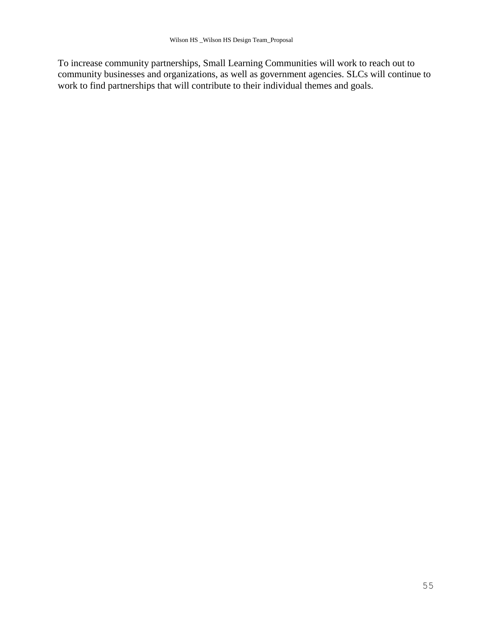To increase community partnerships, Small Learning Communities will work to reach out to community businesses and organizations, as well as government agencies. SLCs will continue to work to find partnerships that will contribute to their individual themes and goals.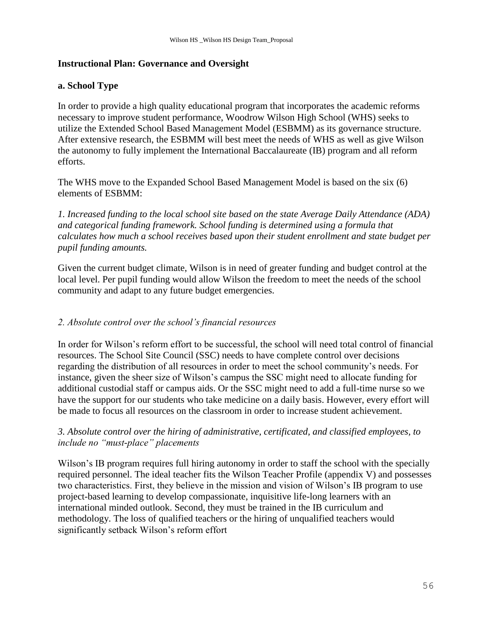### **Instructional Plan: Governance and Oversight**

### **a. School Type**

In order to provide a high quality educational program that incorporates the academic reforms necessary to improve student performance, Woodrow Wilson High School (WHS) seeks to utilize the Extended School Based Management Model (ESBMM) as its governance structure. After extensive research, the ESBMM will best meet the needs of WHS as well as give Wilson the autonomy to fully implement the International Baccalaureate (IB) program and all reform efforts.

The WHS move to the Expanded School Based Management Model is based on the six (6) elements of ESBMM:

*1. Increased funding to the local school site based on the state Average Daily Attendance (ADA) and categorical funding framework. School funding is determined using a formula that calculates how much a school receives based upon their student enrollment and state budget per pupil funding amounts.*

Given the current budget climate, Wilson is in need of greater funding and budget control at the local level. Per pupil funding would allow Wilson the freedom to meet the needs of the school community and adapt to any future budget emergencies.

### *2. Absolute control over the school"s financial resources*

In order for Wilson's reform effort to be successful, the school will need total control of financial resources. The School Site Council (SSC) needs to have complete control over decisions regarding the distribution of all resources in order to meet the school community's needs. For instance, given the sheer size of Wilson's campus the SSC might need to allocate funding for additional custodial staff or campus aids. Or the SSC might need to add a full-time nurse so we have the support for our students who take medicine on a daily basis. However, every effort will be made to focus all resources on the classroom in order to increase student achievement.

### *3. Absolute control over the hiring of administrative, certificated, and classified employees, to include no "must-place" placements*

Wilson's IB program requires full hiring autonomy in order to staff the school with the specially required personnel. The ideal teacher fits the Wilson Teacher Profile (appendix V) and possesses two characteristics. First, they believe in the mission and vision of Wilson's IB program to use project-based learning to develop compassionate, inquisitive life-long learners with an international minded outlook. Second, they must be trained in the IB curriculum and methodology. The loss of qualified teachers or the hiring of unqualified teachers would significantly setback Wilson's reform effort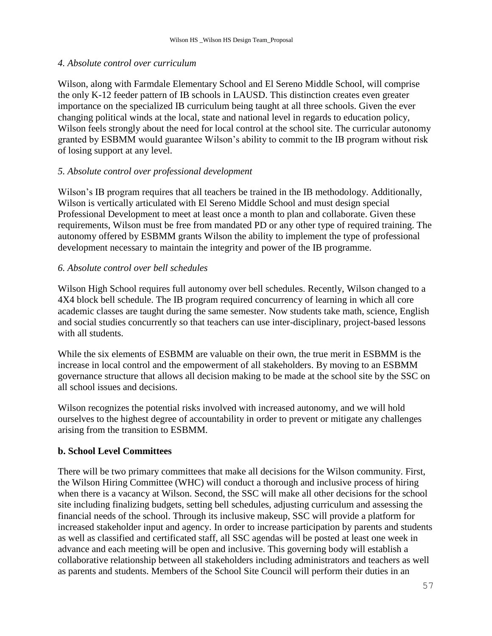#### *4. Absolute control over curriculum*

Wilson, along with Farmdale Elementary School and El Sereno Middle School, will comprise the only K-12 feeder pattern of IB schools in LAUSD. This distinction creates even greater importance on the specialized IB curriculum being taught at all three schools. Given the ever changing political winds at the local, state and national level in regards to education policy, Wilson feels strongly about the need for local control at the school site. The curricular autonomy granted by ESBMM would guarantee Wilson's ability to commit to the IB program without risk of losing support at any level.

#### *5. Absolute control over professional development*

Wilson's IB program requires that all teachers be trained in the IB methodology. Additionally, Wilson is vertically articulated with El Sereno Middle School and must design special Professional Development to meet at least once a month to plan and collaborate. Given these requirements, Wilson must be free from mandated PD or any other type of required training. The autonomy offered by ESBMM grants Wilson the ability to implement the type of professional development necessary to maintain the integrity and power of the IB programme.

#### *6. Absolute control over bell schedules*

Wilson High School requires full autonomy over bell schedules. Recently, Wilson changed to a 4X4 block bell schedule. The IB program required concurrency of learning in which all core academic classes are taught during the same semester. Now students take math, science, English and social studies concurrently so that teachers can use inter-disciplinary, project-based lessons with all students.

While the six elements of ESBMM are valuable on their own, the true merit in ESBMM is the increase in local control and the empowerment of all stakeholders. By moving to an ESBMM governance structure that allows all decision making to be made at the school site by the SSC on all school issues and decisions.

Wilson recognizes the potential risks involved with increased autonomy, and we will hold ourselves to the highest degree of accountability in order to prevent or mitigate any challenges arising from the transition to ESBMM.

#### **b. School Level Committees**

There will be two primary committees that make all decisions for the Wilson community. First, the Wilson Hiring Committee (WHC) will conduct a thorough and inclusive process of hiring when there is a vacancy at Wilson. Second, the SSC will make all other decisions for the school site including finalizing budgets, setting bell schedules, adjusting curriculum and assessing the financial needs of the school. Through its inclusive makeup, SSC will provide a platform for increased stakeholder input and agency. In order to increase participation by parents and students as well as classified and certificated staff, all SSC agendas will be posted at least one week in advance and each meeting will be open and inclusive. This governing body will establish a collaborative relationship between all stakeholders including administrators and teachers as well as parents and students. Members of the School Site Council will perform their duties in an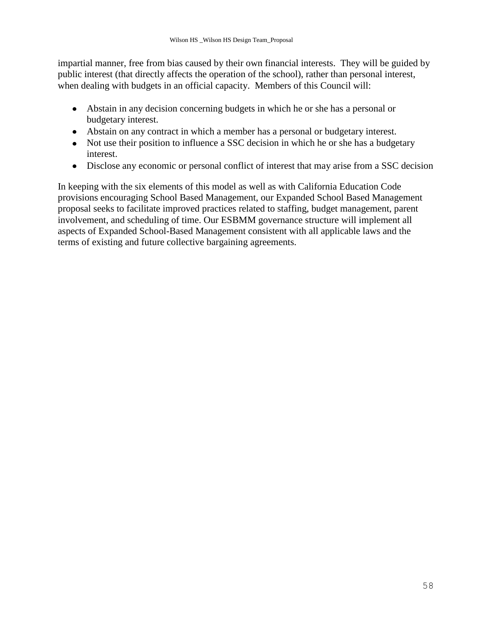impartial manner, free from bias caused by their own financial interests. They will be guided by public interest (that directly affects the operation of the school), rather than personal interest, when dealing with budgets in an official capacity. Members of this Council will:

- Abstain in any decision concerning budgets in which he or she has a personal or budgetary interest.
- Abstain on any contract in which a member has a personal or budgetary interest.
- Not use their position to influence a SSC decision in which he or she has a budgetary interest.
- Disclose any economic or personal conflict of interest that may arise from a SSC decision

In keeping with the six elements of this model as well as with California Education Code provisions encouraging School Based Management, our Expanded School Based Management proposal seeks to facilitate improved practices related to staffing, budget management, parent involvement, and scheduling of time. Our ESBMM governance structure will implement all aspects of Expanded School-Based Management consistent with all applicable laws and the terms of existing and future collective bargaining agreements.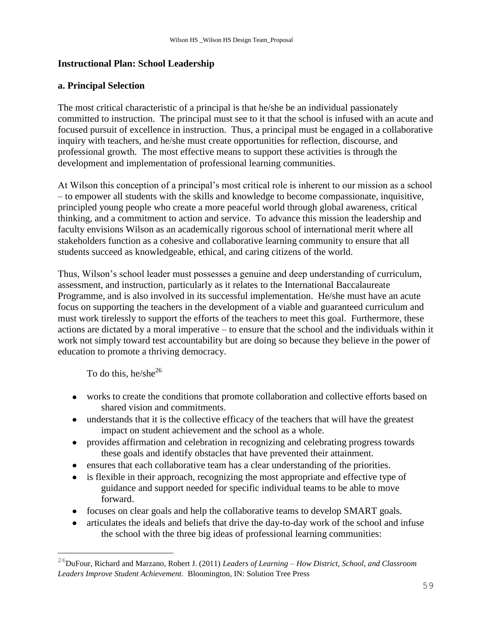### **Instructional Plan: School Leadership**

#### **a. Principal Selection**

The most critical characteristic of a principal is that he/she be an individual passionately committed to instruction. The principal must see to it that the school is infused with an acute and focused pursuit of excellence in instruction. Thus, a principal must be engaged in a collaborative inquiry with teachers, and he/she must create opportunities for reflection, discourse, and professional growth. The most effective means to support these activities is through the development and implementation of professional learning communities.

At Wilson this conception of a principal's most critical role is inherent to our mission as a school – to empower all students with the skills and knowledge to become compassionate, inquisitive, principled young people who create a more peaceful world through global awareness, critical thinking, and a commitment to action and service. To advance this mission the leadership and faculty envisions Wilson as an academically rigorous school of international merit where all stakeholders function as a cohesive and collaborative learning community to ensure that all students succeed as knowledgeable, ethical, and caring citizens of the world.

Thus, Wilson's school leader must possesses a genuine and deep understanding of curriculum, assessment, and instruction, particularly as it relates to the International Baccalaureate Programme, and is also involved in its successful implementation. He/she must have an acute focus on supporting the teachers in the development of a viable and guaranteed curriculum and must work tirelessly to support the efforts of the teachers to meet this goal. Furthermore, these actions are dictated by a moral imperative – to ensure that the school and the individuals within it work not simply toward test accountability but are doing so because they believe in the power of education to promote a thriving democracy.

To do this, he/she<sup>26</sup>

- works to create the conditions that promote collaboration and collective efforts based on  $\bullet$ shared vision and commitments.
- understands that it is the collective efficacy of the teachers that will have the greatest impact on student achievement and the school as a whole.
- provides affirmation and celebration in recognizing and celebrating progress towards  $\bullet$ these goals and identify obstacles that have prevented their attainment.
- ensures that each collaborative team has a clear understanding of the priorities.
- is flexible in their approach, recognizing the most appropriate and effective type of guidance and support needed for specific individual teams to be able to move forward.
- focuses on clear goals and help the collaborative teams to develop SMART goals.
- articulates the ideals and beliefs that drive the day-to-day work of the school and infuse the school with the three big ideas of professional learning communities:

<sup>26</sup>DuFour, Richard and Marzano, Robert J. (2011) *Leaders of Learning – How District, School, and Classroom Leaders Improve Student Achievement.* Bloomington, IN: Solution Tree Press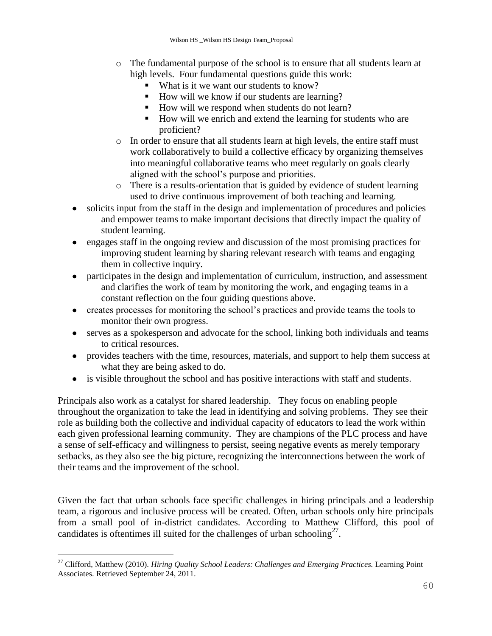- o The fundamental purpose of the school is to ensure that all students learn at high levels. Four fundamental questions guide this work:
	- What is it we want our students to know?
	- How will we know if our students are learning?
	- How will we respond when students do not learn?
	- How will we enrich and extend the learning for students who are proficient?
- o In order to ensure that all students learn at high levels, the entire staff must work collaboratively to build a collective efficacy by organizing themselves into meaningful collaborative teams who meet regularly on goals clearly aligned with the school's purpose and priorities.
- o There is a results-orientation that is guided by evidence of student learning used to drive continuous improvement of both teaching and learning.
- solicits input from the staff in the design and implementation of procedures and policies and empower teams to make important decisions that directly impact the quality of student learning.
- engages staff in the ongoing review and discussion of the most promising practices for improving student learning by sharing relevant research with teams and engaging them in collective inquiry.
- participates in the design and implementation of curriculum, instruction, and assessment and clarifies the work of team by monitoring the work, and engaging teams in a constant reflection on the four guiding questions above.
- creates processes for monitoring the school's practices and provide teams the tools to monitor their own progress.
- serves as a spokesperson and advocate for the school, linking both individuals and teams to critical resources.
- provides teachers with the time, resources, materials, and support to help them success at what they are being asked to do.
- is visible throughout the school and has positive interactions with staff and students.  $\bullet$

Principals also work as a catalyst for shared leadership. They focus on enabling people throughout the organization to take the lead in identifying and solving problems. They see their role as building both the collective and individual capacity of educators to lead the work within each given professional learning community. They are champions of the PLC process and have a sense of self-efficacy and willingness to persist, seeing negative events as merely temporary setbacks, as they also see the big picture, recognizing the interconnections between the work of their teams and the improvement of the school.

Given the fact that urban schools face specific challenges in hiring principals and a leadership team, a rigorous and inclusive process will be created. Often, urban schools only hire principals from a small pool of in-district candidates. According to Matthew Clifford, this pool of candidates is oftentimes ill suited for the challenges of urban schooling<sup>27</sup>.

<sup>27</sup> Clifford, Matthew (2010). *Hiring Quality School Leaders: Challenges and Emerging Practices.* Learning Point Associates. Retrieved September 24, 2011.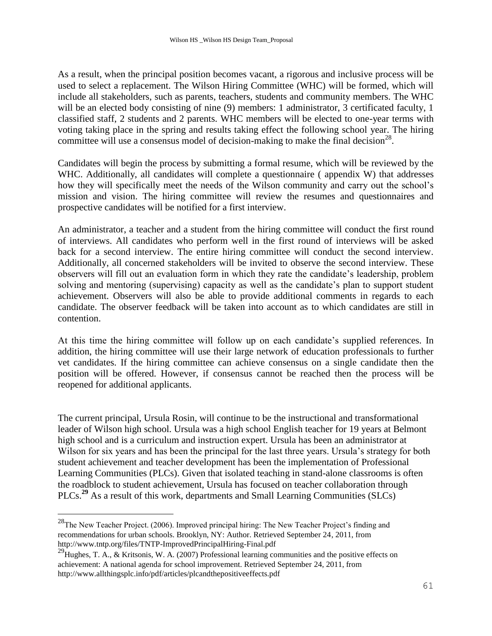As a result, when the principal position becomes vacant, a rigorous and inclusive process will be used to select a replacement. The Wilson Hiring Committee (WHC) will be formed, which will include all stakeholders, such as parents, teachers, students and community members. The WHC will be an elected body consisting of nine (9) members: 1 administrator, 3 certificated faculty, 1 classified staff, 2 students and 2 parents. WHC members will be elected to one-year terms with voting taking place in the spring and results taking effect the following school year. The hiring committee will use a consensus model of decision-making to make the final decision<sup>28</sup>.

Candidates will begin the process by submitting a formal resume, which will be reviewed by the WHC. Additionally, all candidates will complete a questionnaire (appendix W) that addresses how they will specifically meet the needs of the Wilson community and carry out the school's mission and vision. The hiring committee will review the resumes and questionnaires and prospective candidates will be notified for a first interview.

An administrator, a teacher and a student from the hiring committee will conduct the first round of interviews. All candidates who perform well in the first round of interviews will be asked back for a second interview. The entire hiring committee will conduct the second interview. Additionally, all concerned stakeholders will be invited to observe the second interview. These observers will fill out an evaluation form in which they rate the candidate's leadership, problem solving and mentoring (supervising) capacity as well as the candidate's plan to support student achievement. Observers will also be able to provide additional comments in regards to each candidate. The observer feedback will be taken into account as to which candidates are still in contention.

At this time the hiring committee will follow up on each candidate's supplied references. In addition, the hiring committee will use their large network of education professionals to further vet candidates. If the hiring committee can achieve consensus on a single candidate then the position will be offered. However, if consensus cannot be reached then the process will be reopened for additional applicants.

The current principal, Ursula Rosin, will continue to be the instructional and transformational leader of Wilson high school. Ursula was a high school English teacher for 19 years at Belmont high school and is a curriculum and instruction expert. Ursula has been an administrator at Wilson for six years and has been the principal for the last three years. Ursula's strategy for both student achievement and teacher development has been the implementation of Professional Learning Communities (PLCs). Given that isolated teaching in stand-alone classrooms is often the roadblock to student achievement, Ursula has focused on teacher collaboration through PLCs.**<sup>29</sup>** As a result of this work, departments and Small Learning Communities (SLCs)

 $^{28}$ The New Teacher Project. (2006). Improved principal hiring: The New Teacher Project's finding and recommendations for urban schools. Brooklyn, NY: Author. Retrieved September 24, 2011, from http://www.tntp.org/files/TNTP-ImprovedPrincipalHiring-Final.pdf

<sup>&</sup>lt;sup>29</sup>Hughes, T. A., & Kritsonis, W. A. (2007) Professional learning communities and the positive effects on achievement: A national agenda for school improvement. Retrieved September 24, 2011, from http://www.allthingsplc.info/pdf/articles/plcandthepositiveeffects.pdf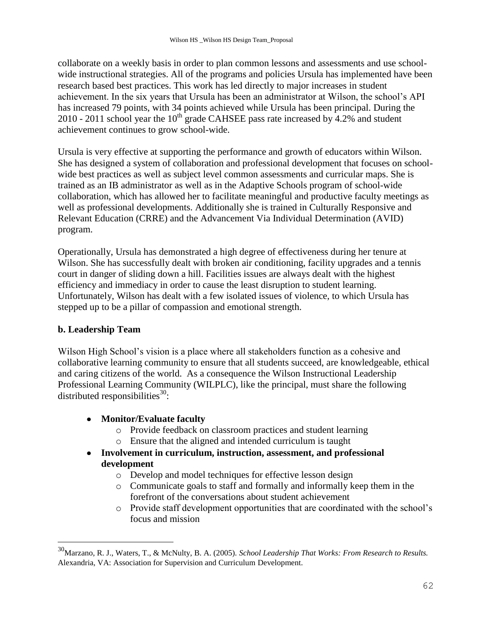collaborate on a weekly basis in order to plan common lessons and assessments and use schoolwide instructional strategies. All of the programs and policies Ursula has implemented have been research based best practices. This work has led directly to major increases in student achievement. In the six years that Ursula has been an administrator at Wilson, the school's API has increased 79 points, with 34 points achieved while Ursula has been principal. During the 2010 - 2011 school year the  $10^{th}$  grade CAHSEE pass rate increased by 4.2% and student achievement continues to grow school-wide.

Ursula is very effective at supporting the performance and growth of educators within Wilson. She has designed a system of collaboration and professional development that focuses on schoolwide best practices as well as subject level common assessments and curricular maps. She is trained as an IB administrator as well as in the Adaptive Schools program of school-wide collaboration, which has allowed her to facilitate meaningful and productive faculty meetings as well as professional developments. Additionally she is trained in Culturally Responsive and Relevant Education (CRRE) and the Advancement Via Individual Determination (AVID) program.

Operationally, Ursula has demonstrated a high degree of effectiveness during her tenure at Wilson. She has successfully dealt with broken air conditioning, facility upgrades and a tennis court in danger of sliding down a hill. Facilities issues are always dealt with the highest efficiency and immediacy in order to cause the least disruption to student learning. Unfortunately, Wilson has dealt with a few isolated issues of violence, to which Ursula has stepped up to be a pillar of compassion and emotional strength.

### **b. Leadership Team**

i<br>L

Wilson High School's vision is a place where all stakeholders function as a cohesive and collaborative learning community to ensure that all students succeed, are knowledgeable, ethical and caring citizens of the world. As a consequence the Wilson Instructional Leadership Professional Learning Community (WILPLC), like the principal, must share the following distributed responsibilities $^{30}$ :

- **Monitor/Evaluate faculty**
	- o Provide feedback on classroom practices and student learning
	- o Ensure that the aligned and intended curriculum is taught
- **Involvement in curriculum, instruction, assessment, and professional development**
	- o Develop and model techniques for effective lesson design
	- o Communicate goals to staff and formally and informally keep them in the forefront of the conversations about student achievement
	- o Provide staff development opportunities that are coordinated with the school's focus and mission

<sup>30</sup>Marzano, R. J., Waters, T., & McNulty, B. A. (2005). *School Leadership That Works: From Research to Results.* Alexandria, VA: Association for Supervision and Curriculum Development.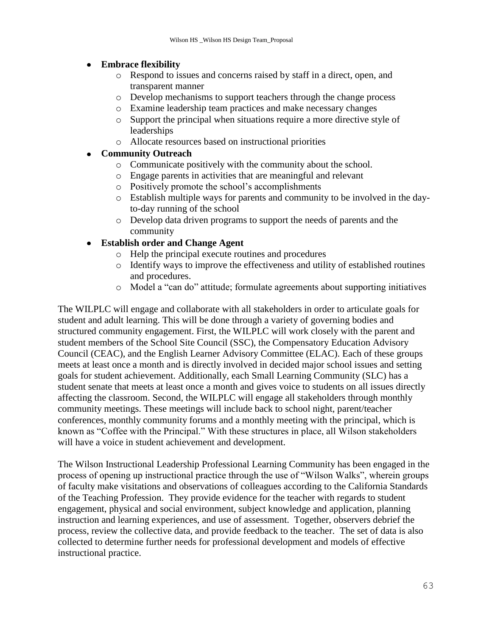### **Embrace flexibility**

- o Respond to issues and concerns raised by staff in a direct, open, and transparent manner
- o Develop mechanisms to support teachers through the change process
- o Examine leadership team practices and make necessary changes
- o Support the principal when situations require a more directive style of leaderships
- o Allocate resources based on instructional priorities

### **Community Outreach**

- o Communicate positively with the community about the school.
- o Engage parents in activities that are meaningful and relevant
- o Positively promote the school's accomplishments
- o Establish multiple ways for parents and community to be involved in the dayto-day running of the school
- o Develop data driven programs to support the needs of parents and the community

#### **Establish order and Change Agent**  $\bullet$

- o Help the principal execute routines and procedures
- o Identify ways to improve the effectiveness and utility of established routines and procedures.
- o Model a "can do" attitude; formulate agreements about supporting initiatives

The WILPLC will engage and collaborate with all stakeholders in order to articulate goals for student and adult learning. This will be done through a variety of governing bodies and structured community engagement. First, the WILPLC will work closely with the parent and student members of the School Site Council (SSC), the Compensatory Education Advisory Council (CEAC), and the English Learner Advisory Committee (ELAC). Each of these groups meets at least once a month and is directly involved in decided major school issues and setting goals for student achievement. Additionally, each Small Learning Community (SLC) has a student senate that meets at least once a month and gives voice to students on all issues directly affecting the classroom. Second, the WILPLC will engage all stakeholders through monthly community meetings. These meetings will include back to school night, parent/teacher conferences, monthly community forums and a monthly meeting with the principal, which is known as "Coffee with the Principal." With these structures in place, all Wilson stakeholders will have a voice in student achievement and development.

The Wilson Instructional Leadership Professional Learning Community has been engaged in the process of opening up instructional practice through the use of "Wilson Walks", wherein groups of faculty make visitations and observations of colleagues according to the California Standards of the Teaching Profession. They provide evidence for the teacher with regards to student engagement, physical and social environment, subject knowledge and application, planning instruction and learning experiences, and use of assessment. Together, observers debrief the process, review the collective data, and provide feedback to the teacher. The set of data is also collected to determine further needs for professional development and models of effective instructional practice.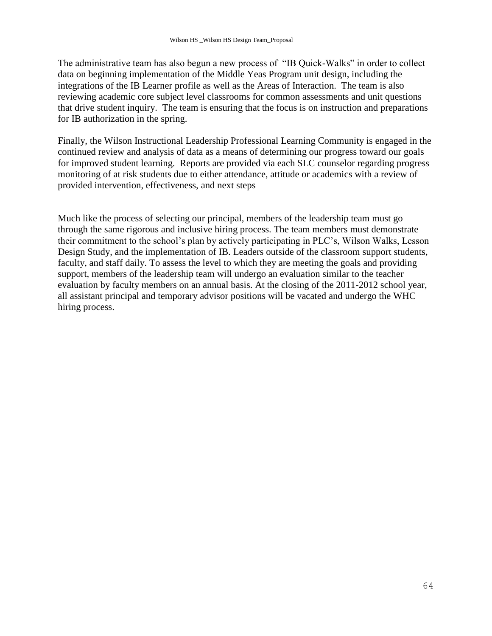The administrative team has also begun a new process of "IB Quick-Walks" in order to collect data on beginning implementation of the Middle Yeas Program unit design, including the integrations of the IB Learner profile as well as the Areas of Interaction. The team is also reviewing academic core subject level classrooms for common assessments and unit questions that drive student inquiry. The team is ensuring that the focus is on instruction and preparations for IB authorization in the spring.

Finally, the Wilson Instructional Leadership Professional Learning Community is engaged in the continued review and analysis of data as a means of determining our progress toward our goals for improved student learning. Reports are provided via each SLC counselor regarding progress monitoring of at risk students due to either attendance, attitude or academics with a review of provided intervention, effectiveness, and next steps

Much like the process of selecting our principal, members of the leadership team must go through the same rigorous and inclusive hiring process. The team members must demonstrate their commitment to the school's plan by actively participating in PLC's, Wilson Walks, Lesson Design Study, and the implementation of IB. Leaders outside of the classroom support students, faculty, and staff daily. To assess the level to which they are meeting the goals and providing support, members of the leadership team will undergo an evaluation similar to the teacher evaluation by faculty members on an annual basis. At the closing of the 2011-2012 school year, all assistant principal and temporary advisor positions will be vacated and undergo the WHC hiring process.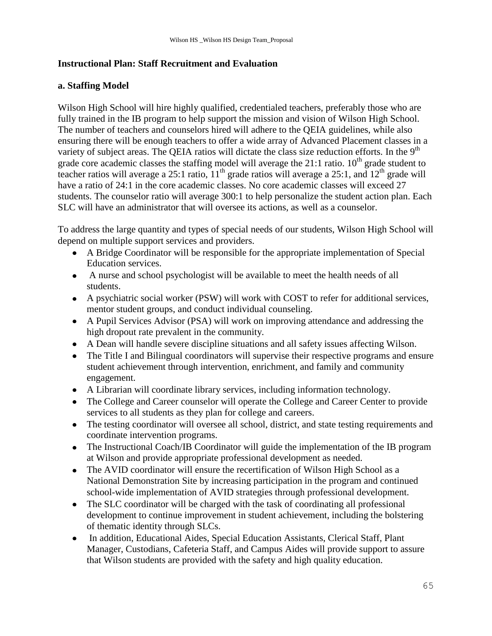### **Instructional Plan: Staff Recruitment and Evaluation**

### **a. Staffing Model**

Wilson High School will hire highly qualified, credentialed teachers, preferably those who are fully trained in the IB program to help support the mission and vision of Wilson High School. The number of teachers and counselors hired will adhere to the QEIA guidelines, while also ensuring there will be enough teachers to offer a wide array of Advanced Placement classes in a variety of subject areas. The QEIA ratios will dictate the class size reduction efforts. In the 9<sup>th</sup> grade core academic classes the staffing model will average the  $21:1$  ratio.  $10<sup>th</sup>$  grade student to teacher ratios will average a 25:1 ratio,  $11<sup>th</sup>$  grade ratios will average a 25:1, and  $12<sup>th</sup>$  grade will have a ratio of 24:1 in the core academic classes. No core academic classes will exceed 27 students. The counselor ratio will average 300:1 to help personalize the student action plan. Each SLC will have an administrator that will oversee its actions, as well as a counselor.

To address the large quantity and types of special needs of our students, Wilson High School will depend on multiple support services and providers.

- A Bridge Coordinator will be responsible for the appropriate implementation of Special Education services.
- A nurse and school psychologist will be available to meet the health needs of all students.
- A psychiatric social worker (PSW) will work with COST to refer for additional services, mentor student groups, and conduct individual counseling.
- A Pupil Services Advisor (PSA) will work on improving attendance and addressing the high dropout rate prevalent in the community.
- A Dean will handle severe discipline situations and all safety issues affecting Wilson.
- The Title I and Bilingual coordinators will supervise their respective programs and ensure student achievement through intervention, enrichment, and family and community engagement.
- A Librarian will coordinate library services, including information technology.
- The College and Career counselor will operate the College and Career Center to provide services to all students as they plan for college and careers.
- The testing coordinator will oversee all school, district, and state testing requirements and coordinate intervention programs.
- The Instructional Coach/IB Coordinator will guide the implementation of the IB program at Wilson and provide appropriate professional development as needed.
- The AVID coordinator will ensure the recertification of Wilson High School as a National Demonstration Site by increasing participation in the program and continued school-wide implementation of AVID strategies through professional development.
- The SLC coordinator will be charged with the task of coordinating all professional development to continue improvement in student achievement, including the bolstering of thematic identity through SLCs.
- In addition, Educational Aides, Special Education Assistants, Clerical Staff, Plant Manager, Custodians, Cafeteria Staff, and Campus Aides will provide support to assure that Wilson students are provided with the safety and high quality education.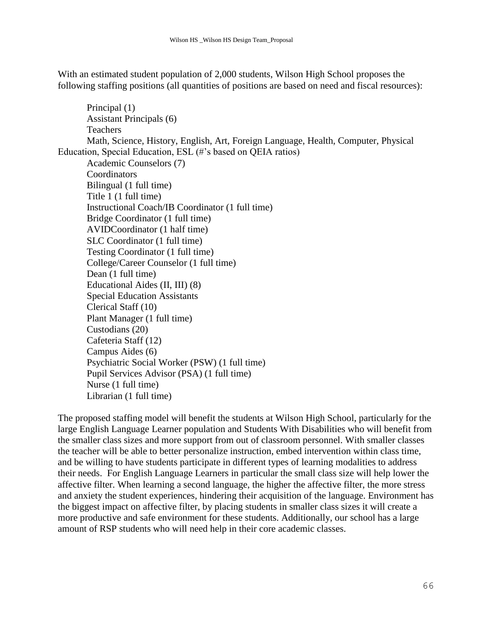With an estimated student population of 2,000 students, Wilson High School proposes the following staffing positions (all quantities of positions are based on need and fiscal resources):

Principal (1) Assistant Principals (6) **Teachers** Math, Science, History, English, Art, Foreign Language, Health, Computer, Physical Education, Special Education, ESL (#'s based on QEIA ratios) Academic Counselors (7) **Coordinators** Bilingual (1 full time) Title 1 (1 full time) Instructional Coach/IB Coordinator (1 full time) Bridge Coordinator (1 full time) AVIDCoordinator (1 half time) SLC Coordinator (1 full time) Testing Coordinator (1 full time) College/Career Counselor (1 full time) Dean (1 full time) Educational Aides (II, III) (8) Special Education Assistants Clerical Staff (10) Plant Manager (1 full time) Custodians (20) Cafeteria Staff (12) Campus Aides (6) Psychiatric Social Worker (PSW) (1 full time) Pupil Services Advisor (PSA) (1 full time) Nurse (1 full time) Librarian (1 full time)

The proposed staffing model will benefit the students at Wilson High School, particularly for the large English Language Learner population and Students With Disabilities who will benefit from the smaller class sizes and more support from out of classroom personnel. With smaller classes the teacher will be able to better personalize instruction, embed intervention within class time, and be willing to have students participate in different types of learning modalities to address their needs. For English Language Learners in particular the small class size will help lower the affective filter. When learning a second language, the higher the affective filter, the more stress and anxiety the student experiences, hindering their acquisition of the language. Environment has the biggest impact on affective filter, by placing students in smaller class sizes it will create a more productive and safe environment for these students. Additionally, our school has a large amount of RSP students who will need help in their core academic classes.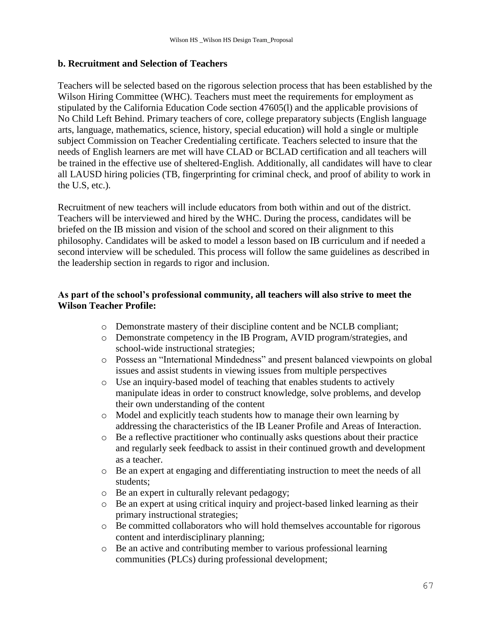### **b. Recruitment and Selection of Teachers**

Teachers will be selected based on the rigorous selection process that has been established by the Wilson Hiring Committee (WHC). Teachers must meet the requirements for employment as stipulated by the California Education Code section 47605(l) and the applicable provisions of No Child Left Behind. Primary teachers of core, college preparatory subjects (English language arts, language, mathematics, science, history, special education) will hold a single or multiple subject Commission on Teacher Credentialing certificate. Teachers selected to insure that the needs of English learners are met will have CLAD or BCLAD certification and all teachers will be trained in the effective use of sheltered-English. Additionally, all candidates will have to clear all LAUSD hiring policies (TB, fingerprinting for criminal check, and proof of ability to work in the U.S, etc.).

Recruitment of new teachers will include educators from both within and out of the district. Teachers will be interviewed and hired by the WHC. During the process, candidates will be briefed on the IB mission and vision of the school and scored on their alignment to this philosophy. Candidates will be asked to model a lesson based on IB curriculum and if needed a second interview will be scheduled. This process will follow the same guidelines as described in the leadership section in regards to rigor and inclusion.

### **As part of the school's professional community, all teachers will also strive to meet the Wilson Teacher Profile:**

- o Demonstrate mastery of their discipline content and be NCLB compliant;
- o Demonstrate competency in the IB Program, AVID program/strategies, and school-wide instructional strategies;
- o Possess an "International Mindedness" and present balanced viewpoints on global issues and assist students in viewing issues from multiple perspectives
- o Use an inquiry-based model of teaching that enables students to actively manipulate ideas in order to construct knowledge, solve problems, and develop their own understanding of the content
- o Model and explicitly teach students how to manage their own learning by addressing the characteristics of the IB Leaner Profile and Areas of Interaction.
- o Be a reflective practitioner who continually asks questions about their practice and regularly seek feedback to assist in their continued growth and development as a teacher.
- o Be an expert at engaging and differentiating instruction to meet the needs of all students;
- o Be an expert in culturally relevant pedagogy;
- o Be an expert at using critical inquiry and project-based linked learning as their primary instructional strategies;
- o Be committed collaborators who will hold themselves accountable for rigorous content and interdisciplinary planning;
- o Be an active and contributing member to various professional learning communities (PLCs) during professional development;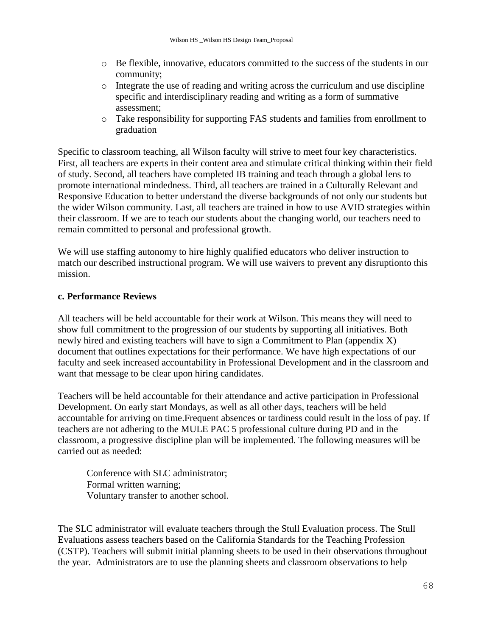- o Be flexible, innovative, educators committed to the success of the students in our community;
- o Integrate the use of reading and writing across the curriculum and use discipline specific and interdisciplinary reading and writing as a form of summative assessment;
- o Take responsibility for supporting FAS students and families from enrollment to graduation

Specific to classroom teaching, all Wilson faculty will strive to meet four key characteristics. First, all teachers are experts in their content area and stimulate critical thinking within their field of study. Second, all teachers have completed IB training and teach through a global lens to promote international mindedness. Third, all teachers are trained in a Culturally Relevant and Responsive Education to better understand the diverse backgrounds of not only our students but the wider Wilson community. Last, all teachers are trained in how to use AVID strategies within their classroom. If we are to teach our students about the changing world, our teachers need to remain committed to personal and professional growth.

We will use staffing autonomy to hire highly qualified educators who deliver instruction to match our described instructional program. We will use waivers to prevent any disruptionto this mission.

#### **c. Performance Reviews**

All teachers will be held accountable for their work at Wilson. This means they will need to show full commitment to the progression of our students by supporting all initiatives. Both newly hired and existing teachers will have to sign a Commitment to Plan (appendix X) document that outlines expectations for their performance. We have high expectations of our faculty and seek increased accountability in Professional Development and in the classroom and want that message to be clear upon hiring candidates.

Teachers will be held accountable for their attendance and active participation in Professional Development. On early start Mondays, as well as all other days, teachers will be held accountable for arriving on time.Frequent absences or tardiness could result in the loss of pay. If teachers are not adhering to the MULE PAC 5 professional culture during PD and in the classroom, a progressive discipline plan will be implemented. The following measures will be carried out as needed:

Conference with SLC administrator; Formal written warning; Voluntary transfer to another school.

The SLC administrator will evaluate teachers through the Stull Evaluation process. The Stull Evaluations assess teachers based on the California Standards for the Teaching Profession (CSTP). Teachers will submit initial planning sheets to be used in their observations throughout the year. Administrators are to use the planning sheets and classroom observations to help